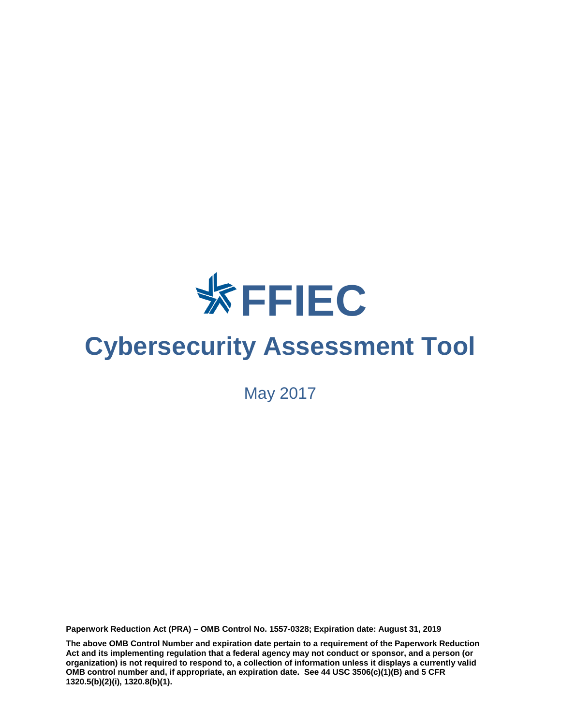

# **Cybersecurity Assessment Tool**

May 2017

**Paperwork Reduction Act (PRA) – OMB Control No. 1557-0328; Expiration date: August 31, 2019**

**The above OMB Control Number and expiration date pertain to a requirement of the Paperwork Reduction Act and its implementing regulation that a federal agency may not conduct or sponsor, and a person (or organization) is not required to respond to, a collection of information unless it displays a currently valid OMB control number and, if appropriate, an expiration date. See 44 USC 3506(c)(1)(B) and 5 CFR 1320.5(b)(2)(i), 1320.8(b)(1).**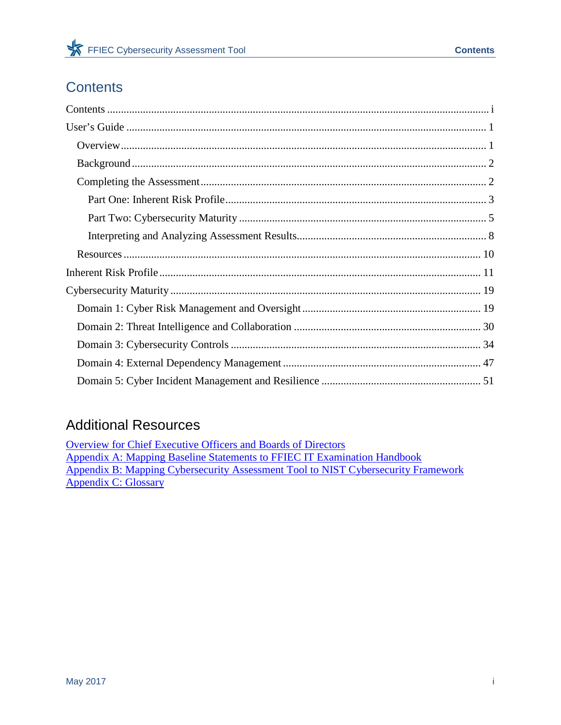## <span id="page-1-0"></span>**Contents**

## **Additional Resources**

**Overview for Chief Executive Officers and Boards of Directors Appendix A: Mapping Baseline Statements to FFIEC IT Examination Handbook** Appendix B: Mapping Cybersecurity Assessment Tool to NIST Cybersecurity Framework Appendix C: Glossary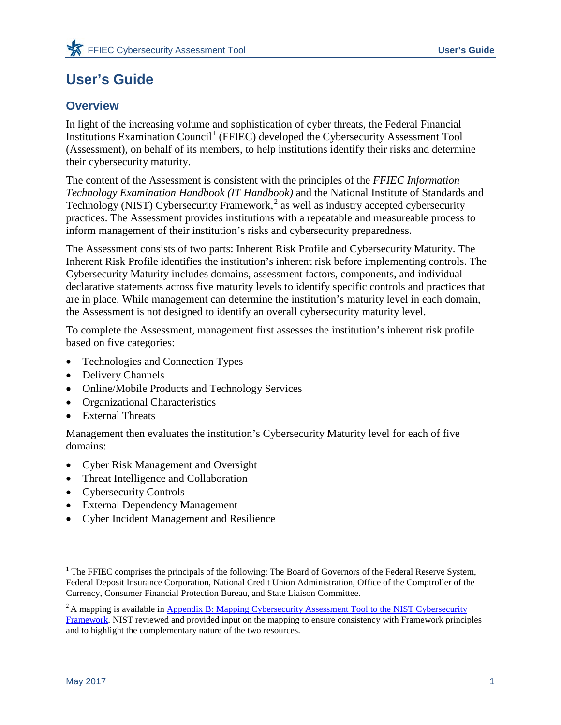## <span id="page-2-0"></span>**User's Guide**

## <span id="page-2-1"></span>**Overview**

In light of the increasing volume and sophistication of cyber threats, the Federal Financial Institutions Examination Council<sup>[1](#page-2-2)</sup> (FFIEC) developed the Cybersecurity Assessment Tool (Assessment), on behalf of its members, to help institutions identify their risks and determine their cybersecurity maturity.

The content of the Assessment is consistent with the principles of the *FFIEC Information Technology Examination Handbook (IT Handbook)* and the National Institute of Standards and Technology (NIST) Cybersecurity Framework,<sup>[2](#page-2-3)</sup> as well as industry accepted cybersecurity practices. The Assessment provides institutions with a repeatable and measureable process to inform management of their institution's risks and cybersecurity preparedness.

The Assessment consists of two parts: Inherent Risk Profile and Cybersecurity Maturity. The Inherent Risk Profile identifies the institution's inherent risk before implementing controls. The Cybersecurity Maturity includes domains, assessment factors, components, and individual declarative statements across five maturity levels to identify specific controls and practices that are in place. While management can determine the institution's maturity level in each domain, the Assessment is not designed to identify an overall cybersecurity maturity level.

To complete the Assessment, management first assesses the institution's inherent risk profile based on five categories:

- Technologies and Connection Types
- Delivery Channels
- Online/Mobile Products and Technology Services
- Organizational Characteristics
- External Threats

Management then evaluates the institution's Cybersecurity Maturity level for each of five domains:

- Cyber Risk Management and Oversight
- Threat Intelligence and Collaboration
- Cybersecurity Controls
- External Dependency Management
- Cyber Incident Management and Resilience

 $\overline{a}$ 

<span id="page-2-2"></span><sup>&</sup>lt;sup>1</sup> The FFIEC comprises the principals of the following: The Board of Governors of the Federal Reserve System, Federal Deposit Insurance Corporation, National Credit Union Administration, Office of the Comptroller of the Currency, Consumer Financial Protection Bureau, and State Liaison Committee.

<span id="page-2-3"></span><sup>&</sup>lt;sup>2</sup> A mapping is available in **Appendix B: Mapping Cybersecurity Assessment Tool to the NIST Cybersecurity** [Framework.](http://www.ffiec.gov/pdf/cybersecurity/FFIEC_CAT_App_B_Map_to_NIST_CSF_June_2015_PDF4.pdf) NIST reviewed and provided input on the mapping to ensure consistency with Framework principles and to highlight the complementary nature of the two resources.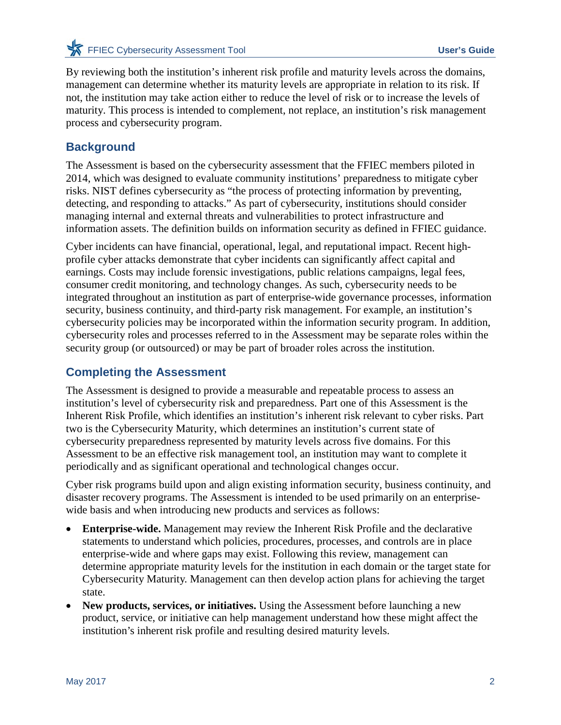**EXAMPLE CONSECUTE ASSESS IN THE CONSECUTE ASSESSMENT TOOL CONSECUTE ASSESSMENT CONSECUTE ASSESSMENT CONSECUTED ASSESSMENT CONSECUTED ASSESSMENT CONSECUTED ASSESSMENT CONSECUTED ASSESSMENT CONSECUTED ASSESSMENT CONSECUTED** 

By reviewing both the institution's inherent risk profile and maturity levels across the domains, management can determine whether its maturity levels are appropriate in relation to its risk. If not, the institution may take action either to reduce the level of risk or to increase the levels of maturity. This process is intended to complement, not replace, an institution's risk management process and cybersecurity program.

## <span id="page-3-0"></span>**Background**

The Assessment is based on the cybersecurity assessment that the FFIEC members piloted in 2014, which was designed to evaluate community institutions' preparedness to mitigate cyber risks. NIST defines cybersecurity as "the process of protecting information by preventing, detecting, and responding to attacks." As part of cybersecurity, institutions should consider managing internal and external threats and vulnerabilities to protect infrastructure and information assets. The definition builds on information security as defined in FFIEC guidance.

Cyber incidents can have financial, operational, legal, and reputational impact. Recent highprofile cyber attacks demonstrate that cyber incidents can significantly affect capital and earnings. Costs may include forensic investigations, public relations campaigns, legal fees, consumer credit monitoring, and technology changes. As such, cybersecurity needs to be integrated throughout an institution as part of enterprise-wide governance processes, information security, business continuity, and third-party risk management. For example, an institution's cybersecurity policies may be incorporated within the information security program. In addition, cybersecurity roles and processes referred to in the Assessment may be separate roles within the security group (or outsourced) or may be part of broader roles across the institution.

## <span id="page-3-1"></span>**Completing the Assessment**

The Assessment is designed to provide a measurable and repeatable process to assess an institution's level of cybersecurity risk and preparedness. Part one of this Assessment is the Inherent Risk Profile, which identifies an institution's inherent risk relevant to cyber risks. Part two is the Cybersecurity Maturity, which determines an institution's current state of cybersecurity preparedness represented by maturity levels across five domains. For this Assessment to be an effective risk management tool, an institution may want to complete it periodically and as significant operational and technological changes occur.

Cyber risk programs build upon and align existing information security, business continuity, and disaster recovery programs. The Assessment is intended to be used primarily on an enterprisewide basis and when introducing new products and services as follows:

- **Enterprise-wide.** Management may review the Inherent Risk Profile and the declarative statements to understand which policies, procedures, processes, and controls are in place enterprise-wide and where gaps may exist. Following this review, management can determine appropriate maturity levels for the institution in each domain or the target state for Cybersecurity Maturity. Management can then develop action plans for achieving the target state.
- **New products, services, or initiatives.** Using the Assessment before launching a new product, service, or initiative can help management understand how these might affect the institution's inherent risk profile and resulting desired maturity levels.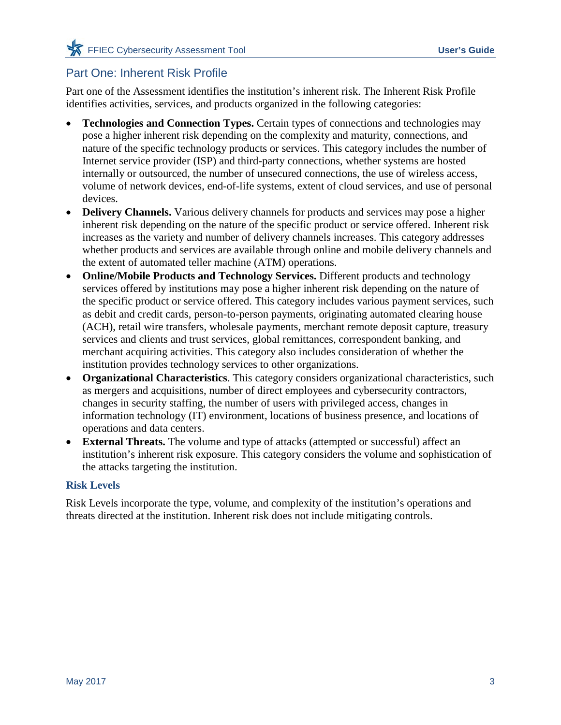## <span id="page-4-0"></span>Part One: Inherent Risk Profile

Part one of the Assessment identifies the institution's inherent risk. The Inherent Risk Profile identifies activities, services, and products organized in the following categories:

- **Technologies and Connection Types.** Certain types of connections and technologies may pose a higher inherent risk depending on the complexity and maturity, connections, and nature of the specific technology products or services. This category includes the number of Internet service provider (ISP) and third-party connections, whether systems are hosted internally or outsourced, the number of unsecured connections, the use of wireless access, volume of network devices, end-of-life systems, extent of cloud services, and use of personal devices.
- **Delivery Channels.** Various delivery channels for products and services may pose a higher inherent risk depending on the nature of the specific product or service offered. Inherent risk increases as the variety and number of delivery channels increases. This category addresses whether products and services are available through online and mobile delivery channels and the extent of automated teller machine (ATM) operations.
- **Online/Mobile Products and Technology Services.** Different products and technology services offered by institutions may pose a higher inherent risk depending on the nature of the specific product or service offered. This category includes various payment services, such as debit and credit cards, person-to-person payments, originating automated clearing house (ACH), retail wire transfers, wholesale payments, merchant remote deposit capture, treasury services and clients and trust services, global remittances, correspondent banking, and merchant acquiring activities. This category also includes consideration of whether the institution provides technology services to other organizations.
- **Organizational Characteristics**. This category considers organizational characteristics, such as mergers and acquisitions, number of direct employees and cybersecurity contractors, changes in security staffing, the number of users with privileged access, changes in information technology (IT) environment, locations of business presence, and locations of operations and data centers.
- **External Threats.** The volume and type of attacks (attempted or successful) affect an institution's inherent risk exposure. This category considers the volume and sophistication of the attacks targeting the institution.

### **Risk Levels**

Risk Levels incorporate the type, volume, and complexity of the institution's operations and threats directed at the institution. Inherent risk does not include mitigating controls.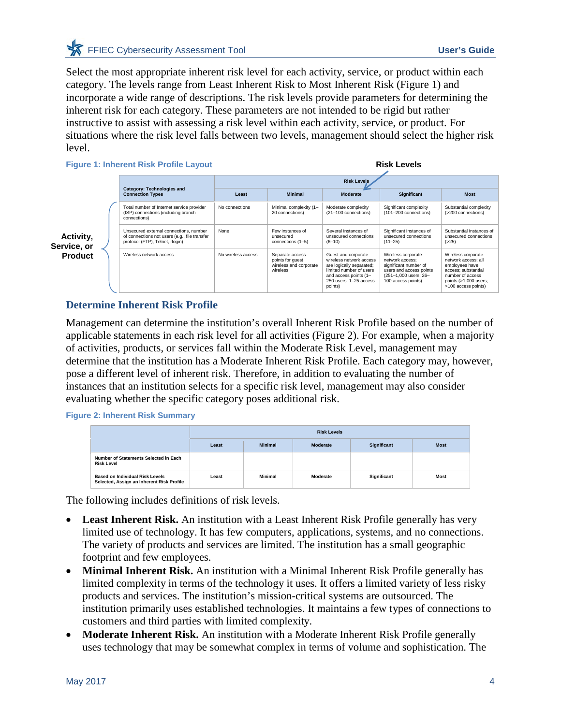Select the most appropriate inherent risk level for each activity, service, or product within each category. The levels range from Least Inherent Risk to Most Inherent Risk [\(Figure 1\)](#page-5-0) and incorporate a wide range of descriptions. The risk levels provide parameters for determining the inherent risk for each category. These parameters are not intended to be rigid but rather instructive to assist with assessing a risk level within each activity, service, or product. For situations where the risk level falls between two levels, management should select the higher risk level.

<span id="page-5-0"></span>**Figure 1: Inherent Risk Profile Layout**

**Risk Levels**

|                          |                                                                                                                            | <b>Risk Levels</b> |                                                                           |                                                                                                                                                                     |                                                                                                                                          |                                                                                                                                                          |  |  |
|--------------------------|----------------------------------------------------------------------------------------------------------------------------|--------------------|---------------------------------------------------------------------------|---------------------------------------------------------------------------------------------------------------------------------------------------------------------|------------------------------------------------------------------------------------------------------------------------------------------|----------------------------------------------------------------------------------------------------------------------------------------------------------|--|--|
|                          | Category: Technologies and<br><b>Connection Types</b>                                                                      | Least              | <b>Minimal</b>                                                            | Moderate                                                                                                                                                            | <b>Significant</b>                                                                                                                       | <b>Most</b>                                                                                                                                              |  |  |
|                          | Total number of Internet service provider<br>(ISP) connections (including branch<br>connections)                           | No connections     | Minimal complexity (1-<br>20 connections)                                 | Moderate complexity<br>(21-100 connections)                                                                                                                         | Significant complexity<br>(101-200 connections)                                                                                          | Substantial complexity<br>(>200 connections)                                                                                                             |  |  |
| Activity,<br>Service, or | Unsecured external connections, number<br>of connections not users (e.g., file transfer<br>protocol (FTP), Telnet, rlogin) | None               | Few instances of<br>unsecured<br>connections (1-5)                        | Several instances of<br>unsecured connections<br>$(6 - 10)$                                                                                                         | Significant instances of<br>unsecured connections<br>$(11 - 25)$                                                                         | Substantial instances of<br>unsecured connections<br>( >25)                                                                                              |  |  |
| <b>Product</b>           | Wireless network access                                                                                                    | No wireless access | Separate access<br>points for quest<br>wireless and corporate<br>wireless | Guest and corporate<br>wireless network access<br>are logically separated;<br>limited number of users<br>and access points (1-<br>250 users: 1-25 access<br>points) | Wireless corporate<br>network access:<br>significant number of<br>users and access points<br>(251-1,000 users; 26-<br>100 access points) | Wireless corporate<br>network access: all<br>employees have<br>access: substantial<br>number of access<br>points $(>1,000$ users;<br>>100 access points) |  |  |

### **Determine Inherent Risk Profile**

Management can determine the institution's overall Inherent Risk Profile based on the number of applicable statements in each risk level for all activities [\(Figure 2\)](#page-5-1). For example, when a majority of activities, products, or services fall within the Moderate Risk Level, management may determine that the institution has a Moderate Inherent Risk Profile. Each category may, however, pose a different level of inherent risk. Therefore, in addition to evaluating the number of instances that an institution selects for a specific risk level, management may also consider evaluating whether the specific category poses additional risk.

<span id="page-5-1"></span>**Figure 2: Inherent Risk Summary**

|                                                                                     |       | <b>Risk Levels</b> |          |                    |             |  |  |
|-------------------------------------------------------------------------------------|-------|--------------------|----------|--------------------|-------------|--|--|
|                                                                                     | Least | <b>Minimal</b>     | Moderate | <b>Significant</b> | <b>Most</b> |  |  |
| Number of Statements Selected in Each<br><b>Risk Level</b>                          |       |                    |          |                    |             |  |  |
| <b>Based on Individual Risk Levels</b><br>Selected, Assign an Inherent Risk Profile | Least | Minimal            | Moderate | <b>Significant</b> | <b>Most</b> |  |  |

The following includes definitions of risk levels.

- Least Inherent Risk. An institution with a Least Inherent Risk Profile generally has very limited use of technology. It has few computers, applications, systems, and no connections. The variety of products and services are limited. The institution has a small geographic footprint and few employees.
- **Minimal Inherent Risk.** An institution with a Minimal Inherent Risk Profile generally has limited complexity in terms of the technology it uses. It offers a limited variety of less risky products and services. The institution's mission-critical systems are outsourced. The institution primarily uses established technologies. It maintains a few types of connections to customers and third parties with limited complexity.
- **Moderate Inherent Risk.** An institution with a Moderate Inherent Risk Profile generally uses technology that may be somewhat complex in terms of volume and sophistication. The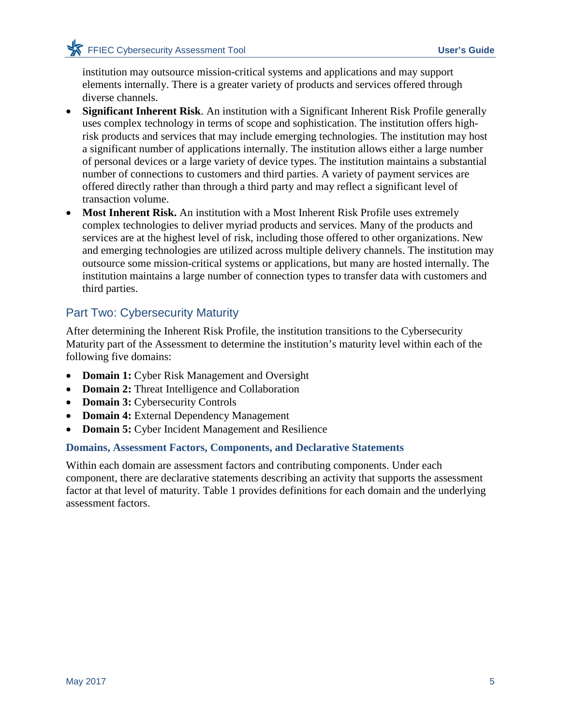institution may outsource mission-critical systems and applications and may support elements internally. There is a greater variety of products and services offered through diverse channels.

- **Significant Inherent Risk**. An institution with a Significant Inherent Risk Profile generally uses complex technology in terms of scope and sophistication. The institution offers highrisk products and services that may include emerging technologies. The institution may host a significant number of applications internally. The institution allows either a large number of personal devices or a large variety of device types. The institution maintains a substantial number of connections to customers and third parties. A variety of payment services are offered directly rather than through a third party and may reflect a significant level of transaction volume.
- **Most Inherent Risk.** An institution with a Most Inherent Risk Profile uses extremely complex technologies to deliver myriad products and services. Many of the products and services are at the highest level of risk, including those offered to other organizations. New and emerging technologies are utilized across multiple delivery channels. The institution may outsource some mission-critical systems or applications, but many are hosted internally. The institution maintains a large number of connection types to transfer data with customers and third parties.

## <span id="page-6-0"></span>Part Two: Cybersecurity Maturity

After determining the Inherent Risk Profile, the institution transitions to the Cybersecurity Maturity part of the Assessment to determine the institution's maturity level within each of the following five domains:

- **Domain 1:** Cyber Risk Management and Oversight
- **Domain 2:** Threat Intelligence and Collaboration
- **Domain 3:** Cybersecurity Controls
- **Domain 4:** External Dependency Management
- **Domain 5:** Cyber Incident Management and Resilience

### **Domains, Assessment Factors, Components, and Declarative Statements**

Within each domain are assessment factors and contributing components. Under each component, there are declarative statements describing an activity that supports the assessment factor at that level of maturity. [Table 1](#page-7-0) provides definitions for each domain and the underlying assessment factors.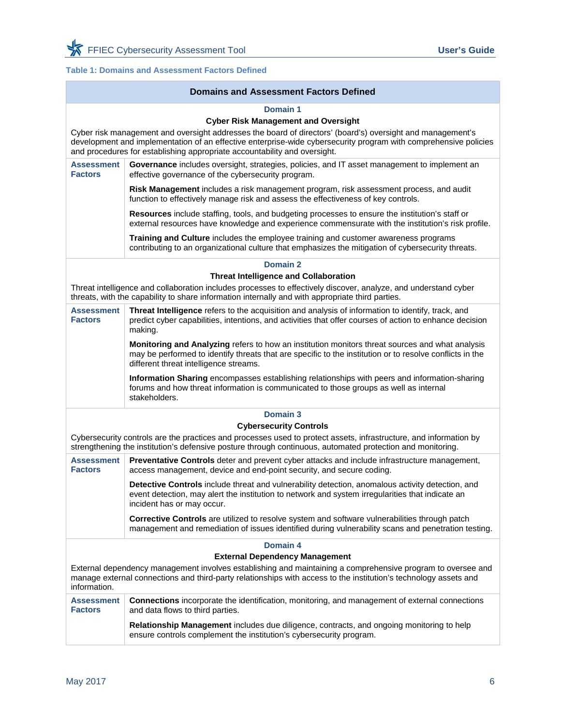### <span id="page-7-0"></span>**Table 1: Domains and Assessment Factors Defined**

|                                                                                                                                                                                                                     | <b>Domains and Assessment Factors Defined</b>                                                                                                                                                                                                                                                                                                                         |  |  |  |  |  |
|---------------------------------------------------------------------------------------------------------------------------------------------------------------------------------------------------------------------|-----------------------------------------------------------------------------------------------------------------------------------------------------------------------------------------------------------------------------------------------------------------------------------------------------------------------------------------------------------------------|--|--|--|--|--|
|                                                                                                                                                                                                                     | Domain 1<br><b>Cyber Risk Management and Oversight</b><br>Cyber risk management and oversight addresses the board of directors' (board's) oversight and management's<br>development and implementation of an effective enterprise-wide cybersecurity program with comprehensive policies<br>and procedures for establishing appropriate accountability and oversight. |  |  |  |  |  |
| <b>Assessment</b><br><b>Factors</b>                                                                                                                                                                                 | Governance includes oversight, strategies, policies, and IT asset management to implement an<br>effective governance of the cybersecurity program.                                                                                                                                                                                                                    |  |  |  |  |  |
|                                                                                                                                                                                                                     | Risk Management includes a risk management program, risk assessment process, and audit<br>function to effectively manage risk and assess the effectiveness of key controls.                                                                                                                                                                                           |  |  |  |  |  |
|                                                                                                                                                                                                                     | Resources include staffing, tools, and budgeting processes to ensure the institution's staff or<br>external resources have knowledge and experience commensurate with the institution's risk profile.                                                                                                                                                                 |  |  |  |  |  |
|                                                                                                                                                                                                                     | Training and Culture includes the employee training and customer awareness programs<br>contributing to an organizational culture that emphasizes the mitigation of cybersecurity threats.                                                                                                                                                                             |  |  |  |  |  |
|                                                                                                                                                                                                                     | Domain 2                                                                                                                                                                                                                                                                                                                                                              |  |  |  |  |  |
|                                                                                                                                                                                                                     | <b>Threat Intelligence and Collaboration</b>                                                                                                                                                                                                                                                                                                                          |  |  |  |  |  |
| Threat intelligence and collaboration includes processes to effectively discover, analyze, and understand cyber<br>threats, with the capability to share information internally and with appropriate third parties. |                                                                                                                                                                                                                                                                                                                                                                       |  |  |  |  |  |
| <b>Assessment</b><br><b>Factors</b>                                                                                                                                                                                 | Threat Intelligence refers to the acquisition and analysis of information to identify, track, and<br>predict cyber capabilities, intentions, and activities that offer courses of action to enhance decision<br>making.                                                                                                                                               |  |  |  |  |  |
|                                                                                                                                                                                                                     | Monitoring and Analyzing refers to how an institution monitors threat sources and what analysis<br>may be performed to identify threats that are specific to the institution or to resolve conflicts in the<br>different threat intelligence streams.                                                                                                                 |  |  |  |  |  |
|                                                                                                                                                                                                                     | Information Sharing encompasses establishing relationships with peers and information-sharing<br>forums and how threat information is communicated to those groups as well as internal<br>stakeholders.                                                                                                                                                               |  |  |  |  |  |
|                                                                                                                                                                                                                     | <b>Domain 3</b>                                                                                                                                                                                                                                                                                                                                                       |  |  |  |  |  |
|                                                                                                                                                                                                                     | <b>Cybersecurity Controls</b>                                                                                                                                                                                                                                                                                                                                         |  |  |  |  |  |
|                                                                                                                                                                                                                     | Cybersecurity controls are the practices and processes used to protect assets, infrastructure, and information by<br>strengthening the institution's defensive posture through continuous, automated protection and monitoring.                                                                                                                                       |  |  |  |  |  |
| <b>Assessment</b><br><b>Factors</b>                                                                                                                                                                                 | Preventative Controls deter and prevent cyber attacks and include infrastructure management,<br>access management, device and end-point security, and secure coding.                                                                                                                                                                                                  |  |  |  |  |  |
|                                                                                                                                                                                                                     | Detective Controls include threat and vulnerability detection, anomalous activity detection, and<br>event detection, may alert the institution to network and system irregularities that indicate an<br>incident has or may occur.                                                                                                                                    |  |  |  |  |  |
|                                                                                                                                                                                                                     | Corrective Controls are utilized to resolve system and software vulnerabilities through patch<br>management and remediation of issues identified during vulnerability scans and penetration testing.                                                                                                                                                                  |  |  |  |  |  |
|                                                                                                                                                                                                                     | Domain 4                                                                                                                                                                                                                                                                                                                                                              |  |  |  |  |  |
|                                                                                                                                                                                                                     | <b>External Dependency Management</b>                                                                                                                                                                                                                                                                                                                                 |  |  |  |  |  |
| information.                                                                                                                                                                                                        | External dependency management involves establishing and maintaining a comprehensive program to oversee and<br>manage external connections and third-party relationships with access to the institution's technology assets and                                                                                                                                       |  |  |  |  |  |
| <b>Assessment</b><br><b>Factors</b>                                                                                                                                                                                 | <b>Connections</b> incorporate the identification, monitoring, and management of external connections<br>and data flows to third parties.                                                                                                                                                                                                                             |  |  |  |  |  |
|                                                                                                                                                                                                                     | Relationship Management includes due diligence, contracts, and ongoing monitoring to help<br>ensure controls complement the institution's cybersecurity program.                                                                                                                                                                                                      |  |  |  |  |  |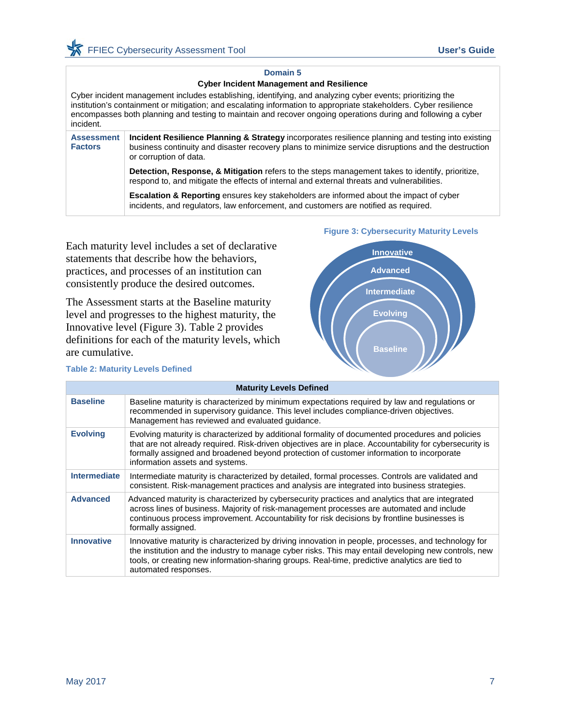#### **Domain 5**

#### **Cyber Incident Management and Resilience**

Cyber incident management includes establishing, identifying, and analyzing cyber events; prioritizing the institution's containment or mitigation; and escalating information to appropriate stakeholders. Cyber resilience encompasses both planning and testing to maintain and recover ongoing operations during and following a cyber incident.

| <b>Assessment</b><br><b>Factors</b> | Incident Resilience Planning & Strategy incorporates resilience planning and testing into existing<br>business continuity and disaster recovery plans to minimize service disruptions and the destruction<br>or corruption of data. |
|-------------------------------------|-------------------------------------------------------------------------------------------------------------------------------------------------------------------------------------------------------------------------------------|
|                                     | Detection, Response, & Mitigation refers to the steps management takes to identify, prioritize,<br>respond to, and mitigate the effects of internal and external threats and vulnerabilities.                                       |
|                                     | <b>Escalation &amp; Reporting</b> ensures key stakeholders are informed about the impact of cyber<br>incidents, and regulators, law enforcement, and customers are notified as required.                                            |

Each maturity level includes a set of declarative statements that describe how the behaviors, practices, and processes of an institution can consistently produce the desired outcomes.

The Assessment starts at the Baseline maturity level and progresses to the highest maturity, the Innovative level [\(Figure 3](#page-8-0)). [Table 2](#page-8-1) provides definitions for each of the maturity levels, which are cumulative.

#### <span id="page-8-1"></span>**Table 2: Maturity Levels Defined**

#### <span id="page-8-0"></span>**Figure 3: Cybersecurity Maturity Levels**



|                     | <b>Maturity Levels Defined</b>                                                                                                                                                                                                                                                                                                             |
|---------------------|--------------------------------------------------------------------------------------------------------------------------------------------------------------------------------------------------------------------------------------------------------------------------------------------------------------------------------------------|
| <b>Baseline</b>     | Baseline maturity is characterized by minimum expectations required by law and regulations or<br>recommended in supervisory guidance. This level includes compliance-driven objectives.<br>Management has reviewed and evaluated guidance.                                                                                                 |
| <b>Evolving</b>     | Evolving maturity is characterized by additional formality of documented procedures and policies<br>that are not already required. Risk-driven objectives are in place. Accountability for cybersecurity is<br>formally assigned and broadened beyond protection of customer information to incorporate<br>information assets and systems. |
| <b>Intermediate</b> | Intermediate maturity is characterized by detailed, formal processes. Controls are validated and<br>consistent. Risk-management practices and analysis are integrated into business strategies.                                                                                                                                            |
| <b>Advanced</b>     | Advanced maturity is characterized by cybersecurity practices and analytics that are integrated<br>across lines of business. Majority of risk-management processes are automated and include<br>continuous process improvement. Accountability for risk decisions by frontline businesses is<br>formally assigned.                         |
| <b>Innovative</b>   | Innovative maturity is characterized by driving innovation in people, processes, and technology for<br>the institution and the industry to manage cyber risks. This may entail developing new controls, new<br>tools, or creating new information-sharing groups. Real-time, predictive analytics are tied to<br>automated responses.      |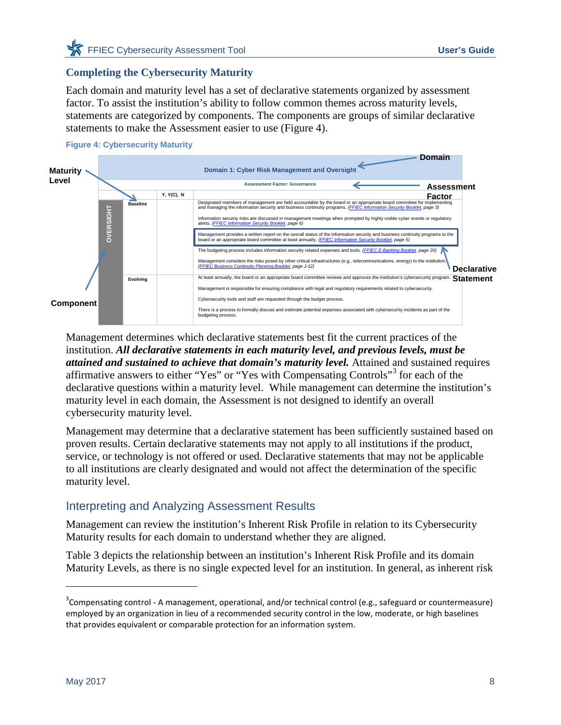### **Completing the Cybersecurity Maturity**

Each domain and maturity level has a set of declarative statements organized by assessment factor. To assist the institution's ability to follow common themes across maturity levels, statements are categorized by components. The components are groups of similar declarative statements to make the Assessment easier to use [\(Figure 4\)](#page-9-1).

<span id="page-9-1"></span>

Management determines which declarative statements best fit the current practices of the institution. *All declarative statements in each maturity level, and previous levels, must be attained and sustained to achieve that domain's maturity level.* Attained and sustained requires affirmative answers to either "Yes" or "Yes with Compensating Controls"[3](#page-9-2) for each of the declarative questions within a maturity level. While management can determine the institution's maturity level in each domain, the Assessment is not designed to identify an overall cybersecurity maturity level.

Management may determine that a declarative statement has been sufficiently sustained based on proven results. Certain declarative statements may not apply to all institutions if the product, service, or technology is not offered or used. Declarative statements that may not be applicable to all institutions are clearly designated and would not affect the determination of the specific maturity level.

## <span id="page-9-0"></span>Interpreting and Analyzing Assessment Results

Management can review the institution's Inherent Risk Profile in relation to its Cybersecurity Maturity results for each domain to understand whether they are aligned.

[Table 3](#page-10-0) depicts the relationship between an institution's Inherent Risk Profile and its domain Maturity Levels, as there is no single expected level for an institution. In general, as inherent risk

 $\overline{a}$ 

<span id="page-9-2"></span> $3$ Compensating control - A management, operational, and/or technical control (e.g., safeguard or countermeasure) employed by an organization in lieu of a recommended security control in the low, moderate, or high baselines that provides equivalent or comparable protection for an information system.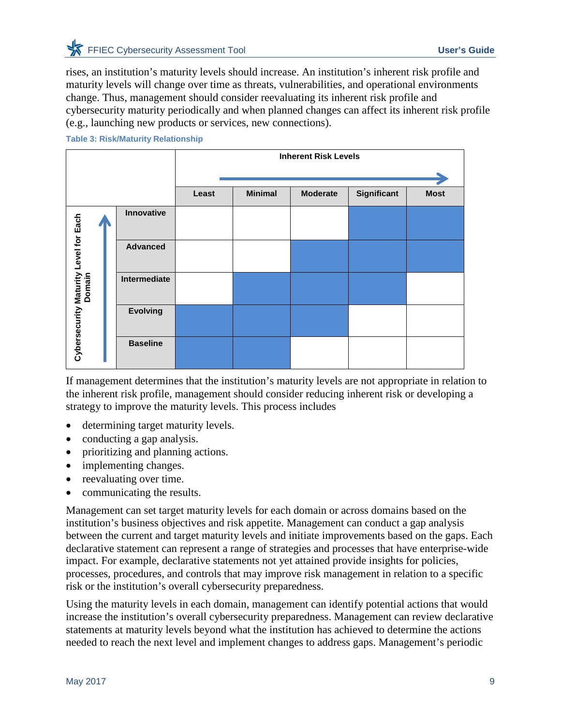rises, an institution's maturity levels should increase. An institution's inherent risk profile and maturity levels will change over time as threats, vulnerabilities, and operational environments change. Thus, management should consider reevaluating its inherent risk profile and cybersecurity maturity periodically and when planned changes can affect its inherent risk profile (e.g., launching new products or services, new connections).

|                                       |  |                 | <b>Inherent Risk Levels</b> |                |                 |             |             |  |                 |  |  |  |  |  |
|---------------------------------------|--|-----------------|-----------------------------|----------------|-----------------|-------------|-------------|--|-----------------|--|--|--|--|--|
|                                       |  |                 |                             |                |                 |             |             |  |                 |  |  |  |  |  |
|                                       |  |                 | Least                       | <b>Minimal</b> | <b>Moderate</b> | Significant | <b>Most</b> |  |                 |  |  |  |  |  |
|                                       |  | Innovative      |                             |                |                 |             |             |  |                 |  |  |  |  |  |
| Cybersecurity Maturity Level for Each |  |                 |                             |                |                 |             |             |  | <b>Advanced</b> |  |  |  |  |  |
|                                       |  | Intermediate    |                             |                |                 |             |             |  |                 |  |  |  |  |  |
|                                       |  | <b>Evolving</b> |                             |                |                 |             |             |  |                 |  |  |  |  |  |
|                                       |  | <b>Baseline</b> |                             |                |                 |             |             |  |                 |  |  |  |  |  |

#### <span id="page-10-0"></span>**Table 3: Risk/Maturity Relationship**

If management determines that the institution's maturity levels are not appropriate in relation to the inherent risk profile, management should consider reducing inherent risk or developing a strategy to improve the maturity levels. This process includes

- determining target maturity levels.
- conducting a gap analysis.
- prioritizing and planning actions.
- implementing changes.
- reevaluating over time.
- communicating the results.

Management can set target maturity levels for each domain or across domains based on the institution's business objectives and risk appetite. Management can conduct a gap analysis between the current and target maturity levels and initiate improvements based on the gaps. Each declarative statement can represent a range of strategies and processes that have enterprise-wide impact. For example, declarative statements not yet attained provide insights for policies, processes, procedures, and controls that may improve risk management in relation to a specific risk or the institution's overall cybersecurity preparedness.

Using the maturity levels in each domain, management can identify potential actions that would increase the institution's overall cybersecurity preparedness. Management can review declarative statements at maturity levels beyond what the institution has achieved to determine the actions needed to reach the next level and implement changes to address gaps. Management's periodic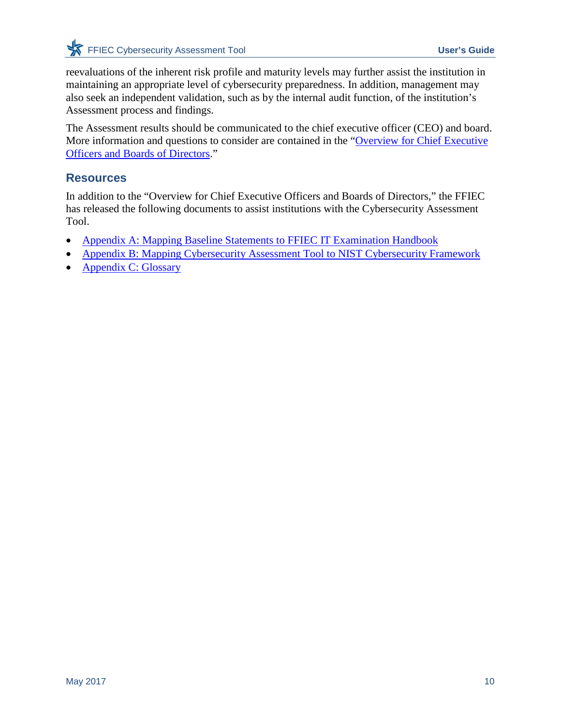reevaluations of the inherent risk profile and maturity levels may further assist the institution in maintaining an appropriate level of cybersecurity preparedness. In addition, management may also seek an independent validation, such as by the internal audit function, of the institution's Assessment process and findings.

The Assessment results should be communicated to the chief executive officer (CEO) and board. More information and questions to consider are contained in the ["Overview for Chief Executive](http://www.ffiec.gov/pdf/cybersecurity/FFIEC_CAT_CEO_Board_Overview_June_2015_PDF1.pdf)  [Officers and Boards of Directors.](http://www.ffiec.gov/pdf/cybersecurity/FFIEC_CAT_CEO_Board_Overview_June_2015_PDF1.pdf)"

## <span id="page-11-0"></span>**Resources**

In addition to the "Overview for Chief Executive Officers and Boards of Directors," the FFIEC has released the following documents to assist institutions with the Cybersecurity Assessment Tool.

- [Appendix A: Mapping Baseline Statements to FFIEC IT Examination Handbook](https://www.ffiec.gov/pdf/cybersecurity/FFIEC_CAT_Appendix_A_May_2017.pdf)
- [Appendix B: Mapping Cybersecurity Assessment Tool to NIST Cybersecurity Framework](http://www.ffiec.gov/pdf/cybersecurity/FFIEC_CAT_App_B_Map_to_NIST_CSF_June_2015_PDF4.pdf)
- [Appendix C: Glossary](http://www.ffiec.gov/pdf/cybersecurity/FFIEC_CAT_App_C_Glossary_June_2015_PDF5.pdf)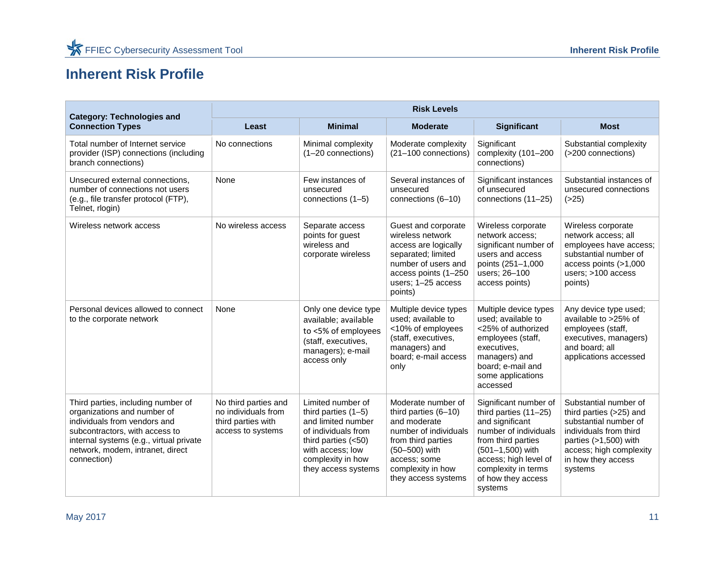## **Inherent Risk Profile**

<span id="page-12-0"></span>

| <b>Category: Technologies and</b>                                                                                                                                                                                                 | <b>Risk Levels</b>                                                                     |                                                                                                                                                                                  |                                                                                                                                                                                        |                                                                                                                                                                                                                         |                                                                                                                                                                                          |  |  |
|-----------------------------------------------------------------------------------------------------------------------------------------------------------------------------------------------------------------------------------|----------------------------------------------------------------------------------------|----------------------------------------------------------------------------------------------------------------------------------------------------------------------------------|----------------------------------------------------------------------------------------------------------------------------------------------------------------------------------------|-------------------------------------------------------------------------------------------------------------------------------------------------------------------------------------------------------------------------|------------------------------------------------------------------------------------------------------------------------------------------------------------------------------------------|--|--|
| <b>Connection Types</b>                                                                                                                                                                                                           | Least                                                                                  | <b>Minimal</b>                                                                                                                                                                   | <b>Moderate</b>                                                                                                                                                                        | <b>Significant</b>                                                                                                                                                                                                      | <b>Most</b>                                                                                                                                                                              |  |  |
| Total number of Internet service<br>provider (ISP) connections (including<br>branch connections)                                                                                                                                  | No connections                                                                         | Minimal complexity<br>(1-20 connections)                                                                                                                                         | Moderate complexity<br>(21-100 connections)                                                                                                                                            | Significant<br>complexity (101-200<br>connections)                                                                                                                                                                      | Substantial complexity<br>(>200 connections)                                                                                                                                             |  |  |
| Unsecured external connections,<br>number of connections not users<br>(e.g., file transfer protocol (FTP),<br>Telnet, rlogin)                                                                                                     | None                                                                                   | Few instances of<br>unsecured<br>connections (1-5)                                                                                                                               | Several instances of<br>unsecured<br>connections (6-10)                                                                                                                                | Significant instances<br>of unsecured<br>connections (11-25)                                                                                                                                                            | Substantial instances of<br>unsecured connections<br>( >25)                                                                                                                              |  |  |
| Wireless network access                                                                                                                                                                                                           | No wireless access                                                                     | Separate access<br>points for guest<br>wireless and<br>corporate wireless                                                                                                        | Guest and corporate<br>wireless network<br>access are logically<br>separated; limited<br>number of users and<br>access points (1-250)<br>users; 1-25 access<br>points)                 | Wireless corporate<br>network access;<br>significant number of<br>users and access<br>points (251-1,000<br>users; 26-100<br>access points)                                                                              | Wireless corporate<br>network access; all<br>employees have access;<br>substantial number of<br>access points $($ >1,000<br>users; >100 access<br>points)                                |  |  |
| Personal devices allowed to connect<br>to the corporate network                                                                                                                                                                   | None                                                                                   | Only one device type<br>available; available<br>to <5% of employees<br>(staff, executives,<br>managers); e-mail<br>access only                                                   | Multiple device types<br>used: available to<br><10% of employees<br>(staff, executives,<br>managers) and<br>board; e-mail access<br>only                                               | Multiple device types<br>used; available to<br><25% of authorized<br>employees (staff,<br>executives,<br>managers) and<br>board; e-mail and<br>some applications<br>accessed                                            | Any device type used;<br>available to >25% of<br>employees (staff,<br>executives, managers)<br>and board; all<br>applications accessed                                                   |  |  |
| Third parties, including number of<br>organizations and number of<br>individuals from vendors and<br>subcontractors, with access to<br>internal systems (e.g., virtual private<br>network, modem, intranet, direct<br>connection) | No third parties and<br>no individuals from<br>third parties with<br>access to systems | Limited number of<br>third parties $(1-5)$<br>and limited number<br>of individuals from<br>third parties $(<50)$<br>with access; low<br>complexity in how<br>they access systems | Moderate number of<br>third parties (6-10)<br>and moderate<br>number of individuals<br>from third parties<br>(50-500) with<br>access: some<br>complexity in how<br>they access systems | Significant number of<br>third parties $(11-25)$<br>and significant<br>number of individuals<br>from third parties<br>(501-1,500) with<br>access; high level of<br>complexity in terms<br>of how they access<br>systems | Substantial number of<br>third parties (>25) and<br>substantial number of<br>individuals from third<br>parties (>1,500) with<br>access; high complexity<br>in how they access<br>systems |  |  |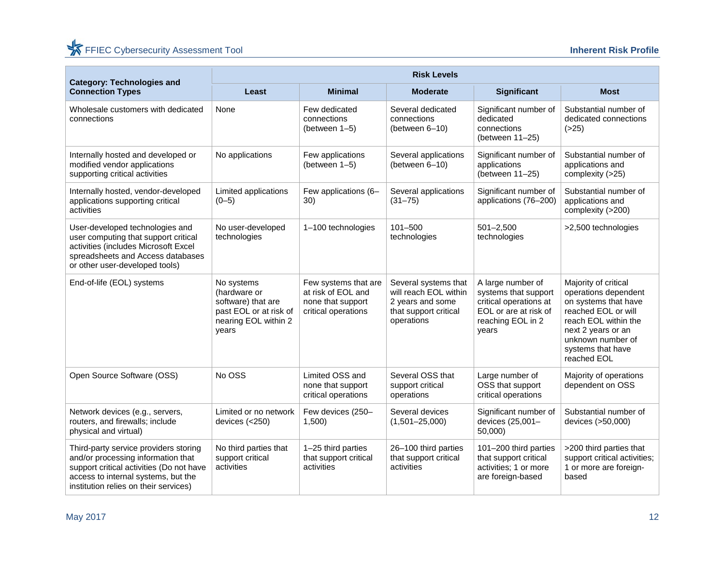| <b>Category: Technologies and</b>                                                                                                                                                                       | <b>Risk Levels</b>                                                                                          |                                                                                        |                                                                                                          |                                                                                                                            |                                                                                                                                                                                                    |  |  |
|---------------------------------------------------------------------------------------------------------------------------------------------------------------------------------------------------------|-------------------------------------------------------------------------------------------------------------|----------------------------------------------------------------------------------------|----------------------------------------------------------------------------------------------------------|----------------------------------------------------------------------------------------------------------------------------|----------------------------------------------------------------------------------------------------------------------------------------------------------------------------------------------------|--|--|
| <b>Connection Types</b>                                                                                                                                                                                 | Least                                                                                                       | <b>Minimal</b>                                                                         | <b>Moderate</b>                                                                                          | Significant                                                                                                                | <b>Most</b>                                                                                                                                                                                        |  |  |
| Wholesale customers with dedicated<br>connections                                                                                                                                                       | None                                                                                                        | Few dedicated<br>connections<br>(between 1-5)                                          | Several dedicated<br>connections<br>(between 6-10)                                                       | Significant number of<br>dedicated<br>connections<br>(between 11-25)                                                       | Substantial number of<br>dedicated connections<br>( >25)                                                                                                                                           |  |  |
| Internally hosted and developed or<br>modified vendor applications<br>supporting critical activities                                                                                                    | No applications                                                                                             | Few applications<br>(between 1-5)                                                      | Several applications<br>(between 6-10)                                                                   | Significant number of<br>applications<br>(between 11-25)                                                                   | Substantial number of<br>applications and<br>complexity (>25)                                                                                                                                      |  |  |
| Internally hosted, vendor-developed<br>applications supporting critical<br>activities                                                                                                                   | Limited applications<br>$(0 - 5)$                                                                           | Few applications (6-<br>30)                                                            | Several applications<br>$(31 - 75)$                                                                      | Significant number of<br>applications (76-200)                                                                             | Substantial number of<br>applications and<br>complexity (>200)                                                                                                                                     |  |  |
| User-developed technologies and<br>user computing that support critical<br>activities (includes Microsoft Excel<br>spreadsheets and Access databases<br>or other user-developed tools)                  | No user-developed<br>technologies                                                                           | 1-100 technologies                                                                     | $101 - 500$<br>technologies                                                                              | $501 - 2,500$<br>technologies                                                                                              | >2,500 technologies                                                                                                                                                                                |  |  |
| End-of-life (EOL) systems                                                                                                                                                                               | No systems<br>(hardware or<br>software) that are<br>past EOL or at risk of<br>nearing EOL within 2<br>years | Few systems that are<br>at risk of EOL and<br>none that support<br>critical operations | Several systems that<br>will reach EOL within<br>2 years and some<br>that support critical<br>operations | A large number of<br>systems that support<br>critical operations at<br>EOL or are at risk of<br>reaching EOL in 2<br>years | Majority of critical<br>operations dependent<br>on systems that have<br>reached EOL or will<br>reach EOL within the<br>next 2 years or an<br>unknown number of<br>systems that have<br>reached EOL |  |  |
| Open Source Software (OSS)                                                                                                                                                                              | No OSS                                                                                                      | Limited OSS and<br>none that support<br>critical operations                            | Several OSS that<br>support critical<br>operations                                                       | Large number of<br>OSS that support<br>critical operations                                                                 | Majority of operations<br>dependent on OSS                                                                                                                                                         |  |  |
| Network devices (e.g., servers,<br>routers, and firewalls; include<br>physical and virtual)                                                                                                             | Limited or no network<br>devices (<250)                                                                     | Few devices (250-<br>1,500                                                             | Several devices<br>$(1,501 - 25,000)$                                                                    | Significant number of<br>devices (25,001-<br>50,000)                                                                       | Substantial number of<br>devices (>50,000)                                                                                                                                                         |  |  |
| Third-party service providers storing<br>and/or processing information that<br>support critical activities (Do not have<br>access to internal systems, but the<br>institution relies on their services) | No third parties that<br>support critical<br>activities                                                     | 1-25 third parties<br>that support critical<br>activities                              | 26-100 third parties<br>that support critical<br>activities                                              | 101-200 third parties<br>that support critical<br>activities; 1 or more<br>are foreign-based                               | >200 third parties that<br>support critical activities;<br>1 or more are foreign-<br>based                                                                                                         |  |  |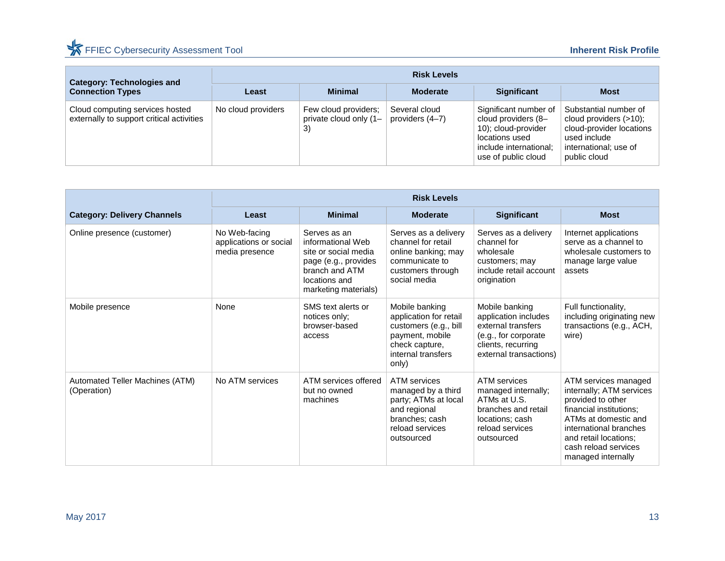| <b>Category: Technologies and</b>                                            | <b>Risk Levels</b> |                                                      |                                  |                                                                                                                                        |                                                                                                                                         |  |  |
|------------------------------------------------------------------------------|--------------------|------------------------------------------------------|----------------------------------|----------------------------------------------------------------------------------------------------------------------------------------|-----------------------------------------------------------------------------------------------------------------------------------------|--|--|
| <b>Connection Types</b>                                                      | Least              | <b>Minimal</b>                                       | <b>Moderate</b>                  | <b>Significant</b>                                                                                                                     | <b>Most</b>                                                                                                                             |  |  |
| Cloud computing services hosted<br>externally to support critical activities | No cloud providers | Few cloud providers:<br>private cloud only (1–<br>3) | Several cloud<br>providers (4–7) | Significant number of<br>cloud providers (8-<br>10); cloud-provider<br>locations used<br>include international;<br>use of public cloud | Substantial number of<br>cloud providers $(>10)$ ;<br>cloud-provider locations<br>used include<br>international; use of<br>public cloud |  |  |

|                                                | <b>Risk Levels</b>                                        |                                                                                                                                              |                                                                                                                                       |                                                                                                                                       |                                                                                                                                                                                                                           |  |  |
|------------------------------------------------|-----------------------------------------------------------|----------------------------------------------------------------------------------------------------------------------------------------------|---------------------------------------------------------------------------------------------------------------------------------------|---------------------------------------------------------------------------------------------------------------------------------------|---------------------------------------------------------------------------------------------------------------------------------------------------------------------------------------------------------------------------|--|--|
| <b>Category: Delivery Channels</b>             | Least                                                     | <b>Minimal</b>                                                                                                                               | <b>Moderate</b>                                                                                                                       | Significant                                                                                                                           | <b>Most</b>                                                                                                                                                                                                               |  |  |
| Online presence (customer)                     | No Web-facing<br>applications or social<br>media presence | Serves as an<br>informational Web<br>site or social media<br>page (e.g., provides<br>branch and ATM<br>locations and<br>marketing materials) | Serves as a delivery<br>channel for retail<br>online banking; may<br>communicate to<br>customers through<br>social media              | Serves as a delivery<br>channel for<br>wholesale<br>customers; may<br>include retail account<br>origination                           | Internet applications<br>serve as a channel to<br>wholesale customers to<br>manage large value<br>assets                                                                                                                  |  |  |
| Mobile presence                                | None                                                      | SMS text alerts or<br>notices only;<br>browser-based<br>access                                                                               | Mobile banking<br>application for retail<br>customers (e.g., bill<br>payment, mobile<br>check capture,<br>internal transfers<br>only) | Mobile banking<br>application includes<br>external transfers<br>(e.g., for corporate<br>clients, recurring<br>external transactions)  | Full functionality,<br>including originating new<br>transactions (e.g., ACH,<br>wire)                                                                                                                                     |  |  |
| Automated Teller Machines (ATM)<br>(Operation) | No ATM services                                           | ATM services offered<br>but no owned<br>machines                                                                                             | ATM services<br>managed by a third<br>party; ATMs at local<br>and regional<br>branches; cash<br>reload services<br>outsourced         | <b>ATM</b> services<br>managed internally;<br>ATMs at U.S.<br>branches and retail<br>locations; cash<br>reload services<br>outsourced | ATM services managed<br>internally; ATM services<br>provided to other<br>financial institutions:<br>ATMs at domestic and<br>international branches<br>and retail locations;<br>cash reload services<br>managed internally |  |  |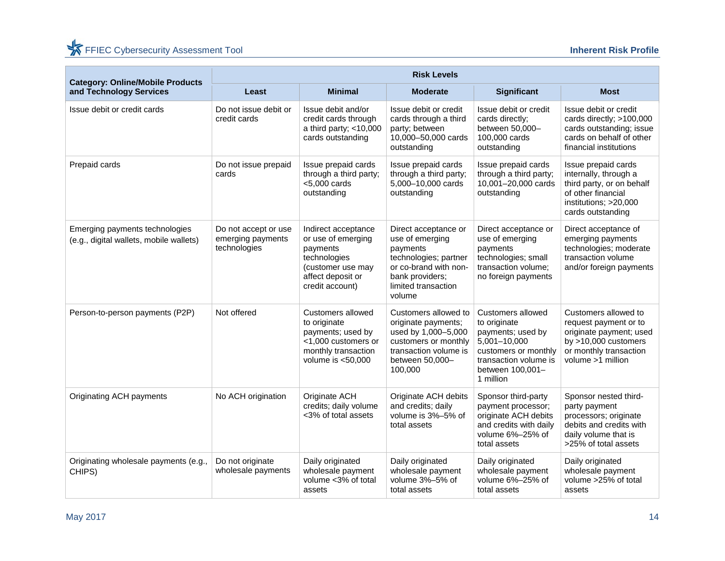| <b>Category: Online/Mobile Products</b>                                   | <b>Risk Levels</b>                                        |                                                                                                                                    |                                                                                                                                                           |                                                                                                                                                          |                                                                                                                                                   |  |  |
|---------------------------------------------------------------------------|-----------------------------------------------------------|------------------------------------------------------------------------------------------------------------------------------------|-----------------------------------------------------------------------------------------------------------------------------------------------------------|----------------------------------------------------------------------------------------------------------------------------------------------------------|---------------------------------------------------------------------------------------------------------------------------------------------------|--|--|
| and Technology Services                                                   | Least                                                     | <b>Minimal</b>                                                                                                                     | <b>Moderate</b>                                                                                                                                           | <b>Significant</b>                                                                                                                                       | <b>Most</b>                                                                                                                                       |  |  |
| Issue debit or credit cards                                               | Do not issue debit or<br>credit cards                     | Issue debit and/or<br>credit cards through<br>a third party; $<$ 10,000<br>cards outstanding                                       | Issue debit or credit<br>cards through a third<br>party; between<br>10,000-50,000 cards<br>outstanding                                                    | Issue debit or credit<br>cards directly;<br>between 50,000-<br>100,000 cards<br>outstanding                                                              | Issue debit or credit<br>cards directly; >100,000<br>cards outstanding; issue<br>cards on behalf of other<br>financial institutions               |  |  |
| Prepaid cards                                                             | Do not issue prepaid<br>cards                             | Issue prepaid cards<br>through a third party;<br>$<$ 5,000 cards<br>outstanding                                                    | Issue prepaid cards<br>through a third party;<br>5,000-10,000 cards<br>outstanding                                                                        | Issue prepaid cards<br>through a third party;<br>10,001-20,000 cards<br>outstanding                                                                      | Issue prepaid cards<br>internally, through a<br>third party, or on behalf<br>of other financial<br>institutions; >20,000<br>cards outstanding     |  |  |
| Emerging payments technologies<br>(e.g., digital wallets, mobile wallets) | Do not accept or use<br>emerging payments<br>technologies | Indirect acceptance<br>or use of emerging<br>payments<br>technologies<br>(customer use may<br>affect deposit or<br>credit account) | Direct acceptance or<br>use of emerging<br>payments<br>technologies; partner<br>or co-brand with non-<br>bank providers;<br>limited transaction<br>volume | Direct acceptance or<br>use of emerging<br>payments<br>technologies; small<br>transaction volume;<br>no foreign payments                                 | Direct acceptance of<br>emerging payments<br>technologies; moderate<br>transaction volume<br>and/or foreign payments                              |  |  |
| Person-to-person payments (P2P)                                           | Not offered                                               | Customers allowed<br>to originate<br>payments; used by<br><1,000 customers or<br>monthly transaction<br>volume is $<$ 50,000       | Customers allowed to<br>originate payments;<br>used by 1,000-5,000<br>customers or monthly<br>transaction volume is<br>between 50,000-<br>100,000         | Customers allowed<br>to originate<br>payments; used by<br>5,001-10,000<br>customers or monthly<br>transaction volume is<br>between 100,001-<br>1 million | Customers allowed to<br>request payment or to<br>originate payment; used<br>by $>10,000$ customers<br>or monthly transaction<br>volume >1 million |  |  |
| Originating ACH payments                                                  | No ACH origination                                        | Originate ACH<br>credits; daily volume<br><3% of total assets                                                                      | Originate ACH debits<br>and credits; daily<br>volume is 3%-5% of<br>total assets                                                                          | Sponsor third-party<br>payment processor;<br>originate ACH debits<br>and credits with daily<br>volume 6%-25% of<br>total assets                          | Sponsor nested third-<br>party payment<br>processors; originate<br>debits and credits with<br>daily volume that is<br>>25% of total assets        |  |  |
| Originating wholesale payments (e.g.,<br>CHIPS)                           | Do not originate<br>wholesale payments                    | Daily originated<br>wholesale payment<br>volume <3% of total<br>assets                                                             | Daily originated<br>wholesale payment<br>volume 3%-5% of<br>total assets                                                                                  | Daily originated<br>wholesale payment<br>volume 6%-25% of<br>total assets                                                                                | Daily originated<br>wholesale payment<br>volume >25% of total<br>assets                                                                           |  |  |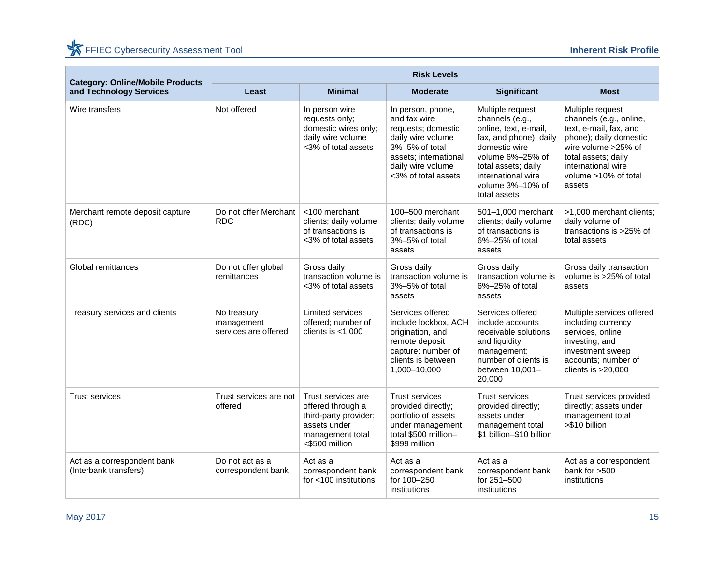| <b>Category: Online/Mobile Products</b>              | <b>Risk Levels</b>                                |                                                                                                                        |                                                                                                                                                                     |                                                                                                                                                                                                              |                                                                                                                                                                                                       |  |  |
|------------------------------------------------------|---------------------------------------------------|------------------------------------------------------------------------------------------------------------------------|---------------------------------------------------------------------------------------------------------------------------------------------------------------------|--------------------------------------------------------------------------------------------------------------------------------------------------------------------------------------------------------------|-------------------------------------------------------------------------------------------------------------------------------------------------------------------------------------------------------|--|--|
| and Technology Services                              | Least                                             | <b>Minimal</b>                                                                                                         | <b>Moderate</b>                                                                                                                                                     | <b>Significant</b>                                                                                                                                                                                           | <b>Most</b>                                                                                                                                                                                           |  |  |
| Wire transfers                                       | Not offered                                       | In person wire<br>requests only;<br>domestic wires only;<br>daily wire volume<br><3% of total assets                   | In person, phone,<br>and fax wire<br>requests; domestic<br>daily wire volume<br>3%-5% of total<br>assets; international<br>daily wire volume<br><3% of total assets | Multiple request<br>channels (e.g.,<br>online, text, e-mail,<br>fax, and phone); daily<br>domestic wire<br>volume 6%-25% of<br>total assets; daily<br>international wire<br>volume 3%-10% of<br>total assets | Multiple request<br>channels (e.g., online,<br>text, e-mail, fax, and<br>phone); daily domestic<br>wire volume >25% of<br>total assets; daily<br>international wire<br>volume >10% of total<br>assets |  |  |
| Merchant remote deposit capture<br>(RDC)             | Do not offer Merchant<br><b>RDC</b>               | <100 merchant<br>clients; daily volume<br>of transactions is<br><3% of total assets                                    | 100-500 merchant<br>clients; daily volume<br>of transactions is<br>3%-5% of total<br>assets                                                                         | 501-1,000 merchant<br>clients; daily volume<br>of transactions is<br>6%-25% of total<br>assets                                                                                                               | >1,000 merchant clients;<br>daily volume of<br>transactions is >25% of<br>total assets                                                                                                                |  |  |
| Global remittances                                   | Do not offer global<br>remittances                | Gross daily<br>transaction volume is<br><3% of total assets                                                            | Gross daily<br>transaction volume is<br>3%-5% of total<br>assets                                                                                                    | Gross daily<br>transaction volume is<br>6%-25% of total<br>assets                                                                                                                                            | Gross daily transaction<br>volume is >25% of total<br>assets                                                                                                                                          |  |  |
| Treasury services and clients                        | No treasury<br>management<br>services are offered | <b>Limited services</b><br>offered; number of<br>clients is $<$ 1,000                                                  | Services offered<br>include lockbox, ACH<br>origination, and<br>remote deposit<br>capture; number of<br>clients is between<br>1,000-10,000                          | Services offered<br>include accounts<br>receivable solutions<br>and liquidity<br>management;<br>number of clients is<br>between 10,001-<br>20,000                                                            | Multiple services offered<br>including currency<br>services, online<br>investing, and<br>investment sweep<br>accounts; number of<br>clients is $>20,000$                                              |  |  |
| <b>Trust services</b>                                | Trust services are not<br>offered                 | Trust services are<br>offered through a<br>third-party provider;<br>assets under<br>management total<br><\$500 million | <b>Trust services</b><br>provided directly;<br>portfolio of assets<br>under management<br>total \$500 million-<br>\$999 million                                     | <b>Trust services</b><br>provided directly;<br>assets under<br>management total<br>\$1 billion-\$10 billion                                                                                                  | Trust services provided<br>directly; assets under<br>management total<br>>\$10 billion                                                                                                                |  |  |
| Act as a correspondent bank<br>(Interbank transfers) | Do not act as a<br>correspondent bank             | Act as a<br>correspondent bank<br>for <100 institutions                                                                | Act as a<br>correspondent bank<br>for 100-250<br>institutions                                                                                                       | Act as a<br>correspondent bank<br>for 251-500<br>institutions                                                                                                                                                | Act as a correspondent<br>bank for >500<br>institutions                                                                                                                                               |  |  |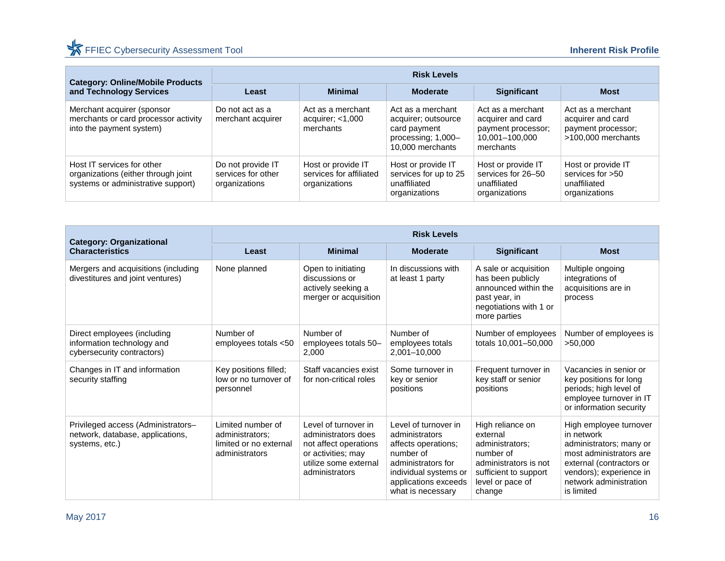| <b>Category: Online/Mobile Products</b>                                                                 | <b>Risk Levels</b>                                       |                                                                |                                                                                                    |                                                                                             |                                                                                      |  |  |
|---------------------------------------------------------------------------------------------------------|----------------------------------------------------------|----------------------------------------------------------------|----------------------------------------------------------------------------------------------------|---------------------------------------------------------------------------------------------|--------------------------------------------------------------------------------------|--|--|
| and Technology Services                                                                                 | Least                                                    | <b>Minimal</b>                                                 | <b>Moderate</b>                                                                                    | <b>Significant</b>                                                                          | <b>Most</b>                                                                          |  |  |
| Merchant acquirer (sponsor<br>merchants or card processor activity<br>into the payment system)          | Do not act as a<br>merchant acquirer                     | Act as a merchant<br>acquirer; $<$ 1,000<br>merchants          | Act as a merchant<br>acquirer; outsource<br>card payment<br>processing: 1,000-<br>10,000 merchants | Act as a merchant<br>acquirer and card<br>payment processor;<br>10.001-100.000<br>merchants | Act as a merchant<br>acquirer and card<br>payment processor;<br>$>100.000$ merchants |  |  |
| Host IT services for other<br>organizations (either through joint<br>systems or administrative support) | Do not provide IT<br>services for other<br>organizations | Host or provide IT<br>services for affiliated<br>organizations | Host or provide IT<br>services for up to 25<br>unaffiliated<br>organizations                       | Host or provide IT<br>services for 26-50<br>unaffiliated<br>organizations                   | Host or provide IT<br>services for $>50$<br>unaffiliated<br>organizations            |  |  |

| <b>Category: Organizational</b>                                                          | <b>Risk Levels</b>                                                               |                                                                                                                                       |                                                                                                                                                                        |                                                                                                                                              |                                                                                                                                                                                           |  |
|------------------------------------------------------------------------------------------|----------------------------------------------------------------------------------|---------------------------------------------------------------------------------------------------------------------------------------|------------------------------------------------------------------------------------------------------------------------------------------------------------------------|----------------------------------------------------------------------------------------------------------------------------------------------|-------------------------------------------------------------------------------------------------------------------------------------------------------------------------------------------|--|
| <b>Characteristics</b>                                                                   | Least                                                                            | <b>Minimal</b>                                                                                                                        | <b>Moderate</b>                                                                                                                                                        | Significant                                                                                                                                  | <b>Most</b>                                                                                                                                                                               |  |
| Mergers and acquisitions (including<br>divestitures and joint ventures)                  | None planned                                                                     | Open to initiating<br>discussions or<br>actively seeking a<br>merger or acquisition                                                   | In discussions with<br>at least 1 party                                                                                                                                | A sale or acquisition<br>has been publicly<br>announced within the<br>past year, in<br>negotiations with 1 or<br>more parties                | Multiple ongoing<br>integrations of<br>acquisitions are in<br>process                                                                                                                     |  |
| Direct employees (including<br>information technology and<br>cybersecurity contractors)  | Number of<br>employees totals <50                                                | Number of<br>employees totals 50-<br>2,000                                                                                            | Number of<br>employees totals<br>2,001-10,000                                                                                                                          | Number of employees<br>totals 10,001-50,000                                                                                                  | Number of employees is<br>>50,000                                                                                                                                                         |  |
| Changes in IT and information<br>security staffing                                       | Key positions filled;<br>low or no turnover of<br>personnel                      | Staff vacancies exist<br>for non-critical roles                                                                                       | Some turnover in<br>key or senior<br>positions                                                                                                                         | Frequent turnover in<br>key staff or senior<br>positions                                                                                     | Vacancies in senior or<br>key positions for long<br>periods; high level of<br>employee turnover in IT<br>or information security                                                          |  |
| Privileged access (Administrators-<br>network, database, applications,<br>systems, etc.) | Limited number of<br>administrators;<br>limited or no external<br>administrators | Level of turnover in<br>administrators does<br>not affect operations<br>or activities; may<br>utilize some external<br>administrators | Level of turnover in<br>administrators<br>affects operations;<br>number of<br>administrators for<br>individual systems or<br>applications exceeds<br>what is necessary | High reliance on<br>external<br>administrators:<br>number of<br>administrators is not<br>sufficient to support<br>level or pace of<br>change | High employee turnover<br>in network<br>administrators; many or<br>most administrators are<br>external (contractors or<br>vendors); experience in<br>network administration<br>is limited |  |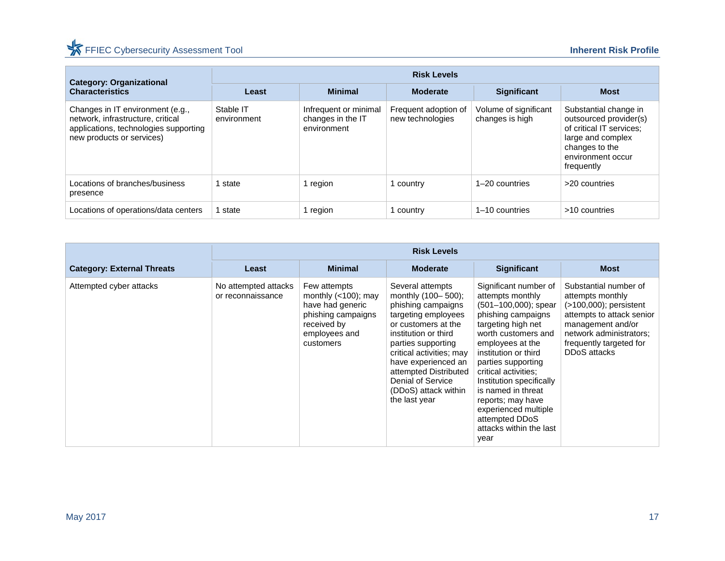## FFIEC Cybersecurity Assessment Tool **Inherent Risk Profile**

| <b>Category: Organizational</b>                                                                                                             | <b>Risk Levels</b>       |                                                           |                                          |                                          |                                                                                                                                                       |  |  |
|---------------------------------------------------------------------------------------------------------------------------------------------|--------------------------|-----------------------------------------------------------|------------------------------------------|------------------------------------------|-------------------------------------------------------------------------------------------------------------------------------------------------------|--|--|
| <b>Characteristics</b>                                                                                                                      | Least                    | <b>Minimal</b>                                            | <b>Moderate</b>                          | <b>Significant</b>                       | <b>Most</b>                                                                                                                                           |  |  |
| Changes in IT environment (e.g.,<br>network, infrastructure, critical<br>applications, technologies supporting<br>new products or services) | Stable IT<br>environment | Infrequent or minimal<br>changes in the IT<br>environment | Frequent adoption of<br>new technologies | Volume of significant<br>changes is high | Substantial change in<br>outsourced provider(s)<br>of critical IT services;<br>large and complex<br>changes to the<br>environment occur<br>frequently |  |  |
| Locations of branches/business<br>presence                                                                                                  | state                    | 1 region                                                  | 1 country                                | 1-20 countries                           | >20 countries                                                                                                                                         |  |  |
| Locations of operations/data centers                                                                                                        | state                    | 1 region                                                  | l country                                | $1-10$ countries                         | >10 countries                                                                                                                                         |  |  |

|                                   | <b>Risk Levels</b>                        |                                                                                                                               |                                                                                                                                                                                                                                                                                                    |                                                                                                                                                                                                                                                                                                                                                                                       |                                                                                                                                                                                                |
|-----------------------------------|-------------------------------------------|-------------------------------------------------------------------------------------------------------------------------------|----------------------------------------------------------------------------------------------------------------------------------------------------------------------------------------------------------------------------------------------------------------------------------------------------|---------------------------------------------------------------------------------------------------------------------------------------------------------------------------------------------------------------------------------------------------------------------------------------------------------------------------------------------------------------------------------------|------------------------------------------------------------------------------------------------------------------------------------------------------------------------------------------------|
| <b>Category: External Threats</b> | Least                                     | <b>Minimal</b>                                                                                                                | <b>Moderate</b>                                                                                                                                                                                                                                                                                    | <b>Significant</b>                                                                                                                                                                                                                                                                                                                                                                    | <b>Most</b>                                                                                                                                                                                    |
| Attempted cyber attacks           | No attempted attacks<br>or reconnaissance | Few attempts<br>monthly $(<100)$ ; may<br>have had generic<br>phishing campaigns<br>received by<br>employees and<br>customers | Several attempts<br>monthly (100-500);<br>phishing campaigns<br>targeting employees<br>or customers at the<br>institution or third<br>parties supporting<br>critical activities; may<br>have experienced an<br>attempted Distributed<br>Denial of Service<br>(DDoS) attack within<br>the last year | Significant number of<br>attempts monthly<br>$(501-100,000)$ ; spear<br>phishing campaigns<br>targeting high net<br>worth customers and<br>employees at the<br>institution or third<br>parties supporting<br>critical activities:<br>Institution specifically<br>is named in threat<br>reports; may have<br>experienced multiple<br>attempted DDoS<br>attacks within the last<br>year | Substantial number of<br>attempts monthly<br>$($ >100,000); persistent<br>attempts to attack senior<br>management and/or<br>network administrators:<br>frequently targeted for<br>DDoS attacks |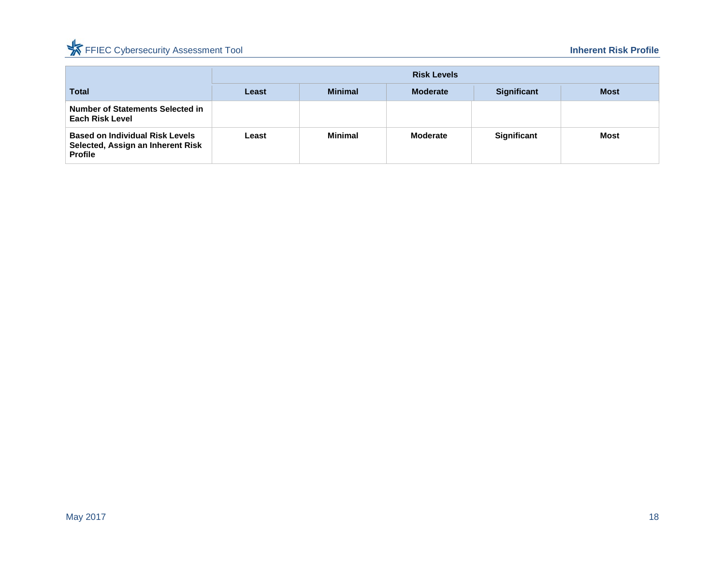## FFIEC Cybersecurity Assessment Tool **Inherent Risk Profile**

|                                                                                               |       | <b>Risk Levels</b> |                 |                    |             |  |
|-----------------------------------------------------------------------------------------------|-------|--------------------|-----------------|--------------------|-------------|--|
| <b>Total</b>                                                                                  | Least | <b>Minimal</b>     | <b>Moderate</b> | <b>Significant</b> | <b>Most</b> |  |
| <b>Number of Statements Selected in</b><br><b>Each Risk Level</b>                             |       |                    |                 |                    |             |  |
| <b>Based on Individual Risk Levels</b><br>Selected, Assign an Inherent Risk<br><b>Profile</b> | Least | Minimal            | Moderate        | <b>Significant</b> | <b>Most</b> |  |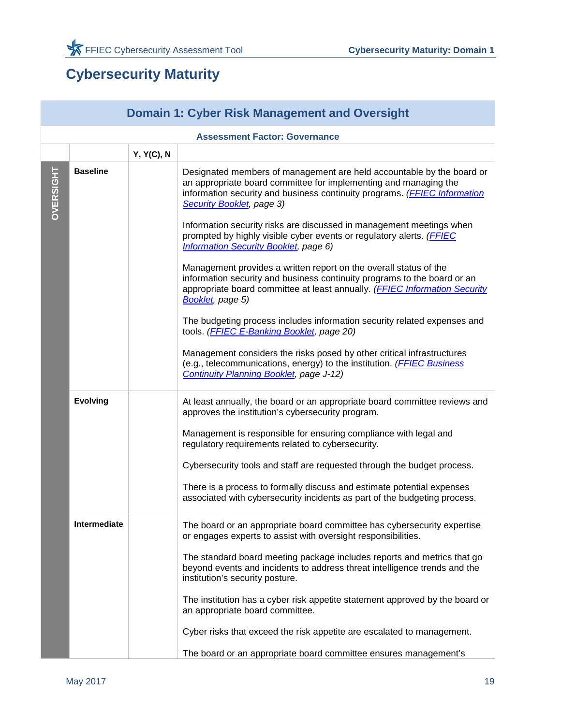## <span id="page-20-0"></span>**Cybersecurity Maturity**

<span id="page-20-1"></span>

|                  | <b>Domain 1: Cyber Risk Management and Oversight</b> |            |                                                                                                                                                                                                                                                                                                                                                                                                                                                                                                                                                                                                                                                                                                                                                                                                                                                                                                                                                                                                                                       |  |  |  |
|------------------|------------------------------------------------------|------------|---------------------------------------------------------------------------------------------------------------------------------------------------------------------------------------------------------------------------------------------------------------------------------------------------------------------------------------------------------------------------------------------------------------------------------------------------------------------------------------------------------------------------------------------------------------------------------------------------------------------------------------------------------------------------------------------------------------------------------------------------------------------------------------------------------------------------------------------------------------------------------------------------------------------------------------------------------------------------------------------------------------------------------------|--|--|--|
|                  |                                                      |            | <b>Assessment Factor: Governance</b>                                                                                                                                                                                                                                                                                                                                                                                                                                                                                                                                                                                                                                                                                                                                                                                                                                                                                                                                                                                                  |  |  |  |
|                  |                                                      | Y, Y(C), N |                                                                                                                                                                                                                                                                                                                                                                                                                                                                                                                                                                                                                                                                                                                                                                                                                                                                                                                                                                                                                                       |  |  |  |
| <b>OVERSIGHT</b> | <b>Baseline</b>                                      |            | Designated members of management are held accountable by the board or<br>an appropriate board committee for implementing and managing the<br>information security and business continuity programs. (FFIEC Information<br>Security Booklet, page 3)<br>Information security risks are discussed in management meetings when<br>prompted by highly visible cyber events or regulatory alerts. (FFIEC<br><b>Information Security Booklet, page 6)</b><br>Management provides a written report on the overall status of the<br>information security and business continuity programs to the board or an<br>appropriate board committee at least annually. (FFIEC Information Security<br>Booklet, page 5)<br>The budgeting process includes information security related expenses and<br>tools. (FFIEC E-Banking Booklet, page 20)<br>Management considers the risks posed by other critical infrastructures<br>(e.g., telecommunications, energy) to the institution. (FFIEC Business<br><b>Continuity Planning Booklet, page J-12)</b> |  |  |  |
|                  | <b>Evolving</b>                                      |            | At least annually, the board or an appropriate board committee reviews and<br>approves the institution's cybersecurity program.<br>Management is responsible for ensuring compliance with legal and<br>regulatory requirements related to cybersecurity.<br>Cybersecurity tools and staff are requested through the budget process.<br>There is a process to formally discuss and estimate potential expenses<br>associated with cybersecurity incidents as part of the budgeting process.                                                                                                                                                                                                                                                                                                                                                                                                                                                                                                                                            |  |  |  |
|                  | <b>Intermediate</b>                                  |            | The board or an appropriate board committee has cybersecurity expertise<br>or engages experts to assist with oversight responsibilities.<br>The standard board meeting package includes reports and metrics that go<br>beyond events and incidents to address threat intelligence trends and the<br>institution's security posture.<br>The institution has a cyber risk appetite statement approved by the board or<br>an appropriate board committee.<br>Cyber risks that exceed the risk appetite are escalated to management.<br>The board or an appropriate board committee ensures management's                                                                                                                                                                                                                                                                                                                                                                                                                                  |  |  |  |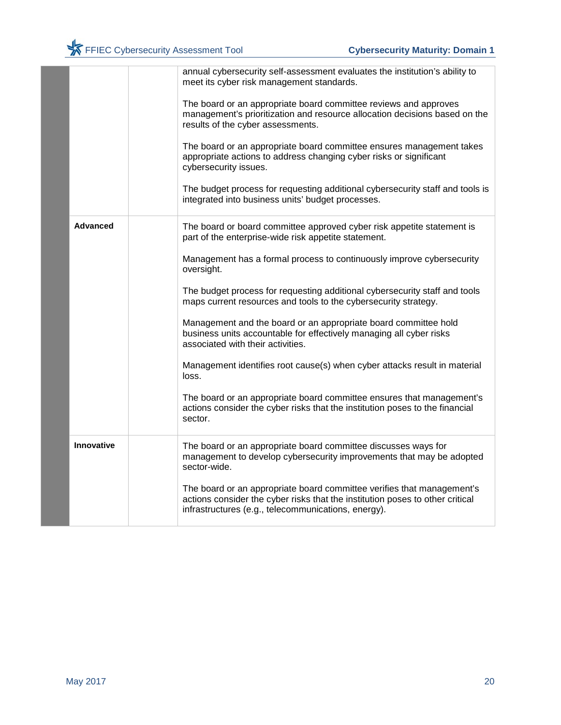|                   | annual cybersecurity self-assessment evaluates the institution's ability to<br>meet its cyber risk management standards.                                                                                       |
|-------------------|----------------------------------------------------------------------------------------------------------------------------------------------------------------------------------------------------------------|
|                   | The board or an appropriate board committee reviews and approves<br>management's prioritization and resource allocation decisions based on the<br>results of the cyber assessments.                            |
|                   | The board or an appropriate board committee ensures management takes<br>appropriate actions to address changing cyber risks or significant<br>cybersecurity issues.                                            |
|                   | The budget process for requesting additional cybersecurity staff and tools is<br>integrated into business units' budget processes.                                                                             |
| <b>Advanced</b>   | The board or board committee approved cyber risk appetite statement is<br>part of the enterprise-wide risk appetite statement.                                                                                 |
|                   | Management has a formal process to continuously improve cybersecurity<br>oversight.                                                                                                                            |
|                   | The budget process for requesting additional cybersecurity staff and tools<br>maps current resources and tools to the cybersecurity strategy.                                                                  |
|                   | Management and the board or an appropriate board committee hold<br>business units accountable for effectively managing all cyber risks<br>associated with their activities.                                    |
|                   | Management identifies root cause(s) when cyber attacks result in material<br>loss.                                                                                                                             |
|                   | The board or an appropriate board committee ensures that management's<br>actions consider the cyber risks that the institution poses to the financial<br>sector.                                               |
| <b>Innovative</b> | The board or an appropriate board committee discusses ways for<br>management to develop cybersecurity improvements that may be adopted<br>sector-wide.                                                         |
|                   | The board or an appropriate board committee verifies that management's<br>actions consider the cyber risks that the institution poses to other critical<br>infrastructures (e.g., telecommunications, energy). |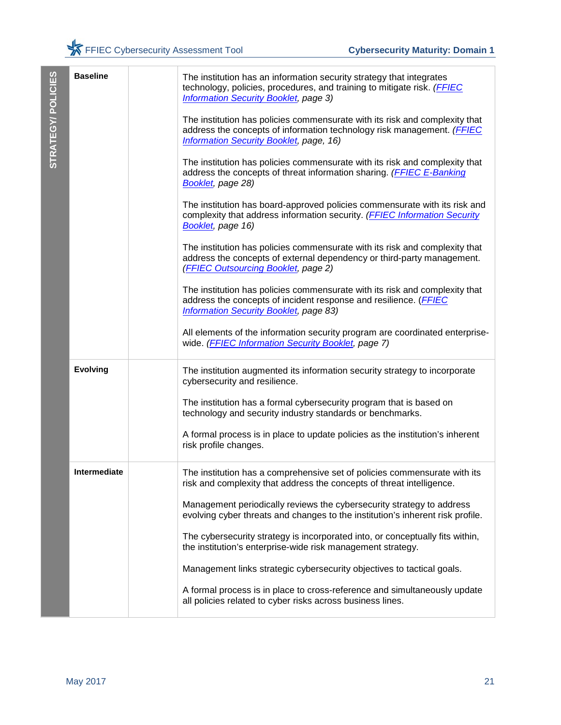| STRATEGY/POLICIES | <b>Baseline</b>     | The institution has an information security strategy that integrates<br>technology, policies, procedures, and training to mitigate risk. (FFIEC<br><b>Information Security Booklet, page 3)</b><br>The institution has policies commensurate with its risk and complexity that<br>address the concepts of information technology risk management. (FFIEC<br><b>Information Security Booklet, page, 16)</b><br>The institution has policies commensurate with its risk and complexity that<br>address the concepts of threat information sharing. (FFIEC E-Banking<br>Booklet, page 28)<br>The institution has board-approved policies commensurate with its risk and<br>complexity that address information security. (FFIEC Information Security<br>Booklet, page 16)<br>The institution has policies commensurate with its risk and complexity that<br>address the concepts of external dependency or third-party management.<br>(FFIEC Outsourcing Booklet, page 2)<br>The institution has policies commensurate with its risk and complexity that<br>address the concepts of incident response and resilience. (FFIEC<br><b>Information Security Booklet, page 83)</b><br>All elements of the information security program are coordinated enterprise-<br>wide. (FFIEC Information Security Booklet, page 7) |
|-------------------|---------------------|------------------------------------------------------------------------------------------------------------------------------------------------------------------------------------------------------------------------------------------------------------------------------------------------------------------------------------------------------------------------------------------------------------------------------------------------------------------------------------------------------------------------------------------------------------------------------------------------------------------------------------------------------------------------------------------------------------------------------------------------------------------------------------------------------------------------------------------------------------------------------------------------------------------------------------------------------------------------------------------------------------------------------------------------------------------------------------------------------------------------------------------------------------------------------------------------------------------------------------------------------------------------------------------------------------------|
|                   | <b>Evolving</b>     | The institution augmented its information security strategy to incorporate<br>cybersecurity and resilience.<br>The institution has a formal cybersecurity program that is based on<br>technology and security industry standards or benchmarks.<br>A formal process is in place to update policies as the institution's inherent<br>risk profile changes.                                                                                                                                                                                                                                                                                                                                                                                                                                                                                                                                                                                                                                                                                                                                                                                                                                                                                                                                                        |
|                   | <b>Intermediate</b> | The institution has a comprehensive set of policies commensurate with its<br>risk and complexity that address the concepts of threat intelligence.<br>Management periodically reviews the cybersecurity strategy to address<br>evolving cyber threats and changes to the institution's inherent risk profile.<br>The cybersecurity strategy is incorporated into, or conceptually fits within,<br>the institution's enterprise-wide risk management strategy.<br>Management links strategic cybersecurity objectives to tactical goals.<br>A formal process is in place to cross-reference and simultaneously update<br>all policies related to cyber risks across business lines.                                                                                                                                                                                                                                                                                                                                                                                                                                                                                                                                                                                                                               |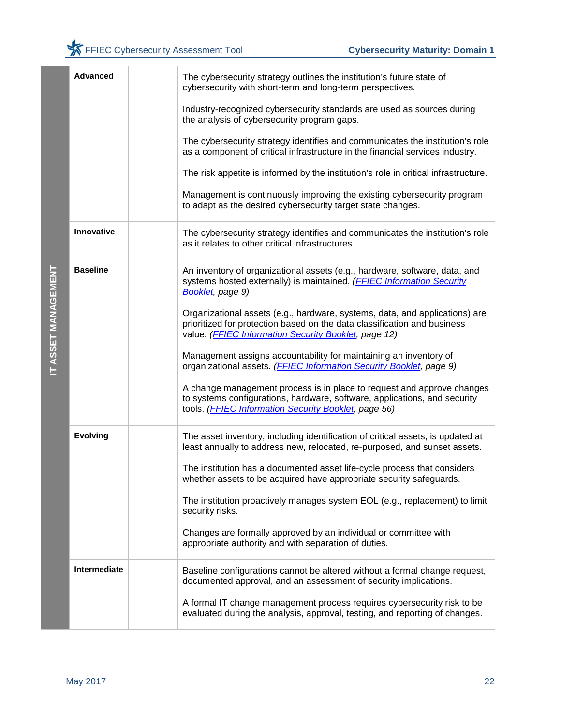|                     | Advanced          | The cybersecurity strategy outlines the institution's future state of<br>cybersecurity with short-term and long-term perspectives.                                                                              |
|---------------------|-------------------|-----------------------------------------------------------------------------------------------------------------------------------------------------------------------------------------------------------------|
|                     |                   | Industry-recognized cybersecurity standards are used as sources during<br>the analysis of cybersecurity program gaps.                                                                                           |
|                     |                   | The cybersecurity strategy identifies and communicates the institution's role<br>as a component of critical infrastructure in the financial services industry.                                                  |
|                     |                   | The risk appetite is informed by the institution's role in critical infrastructure.                                                                                                                             |
|                     |                   | Management is continuously improving the existing cybersecurity program<br>to adapt as the desired cybersecurity target state changes.                                                                          |
|                     | <b>Innovative</b> | The cybersecurity strategy identifies and communicates the institution's role<br>as it relates to other critical infrastructures.                                                                               |
|                     | <b>Baseline</b>   | An inventory of organizational assets (e.g., hardware, software, data, and<br>systems hosted externally) is maintained. (FFIEC Information Security<br><b>Booklet</b> , page 9)                                 |
| IT ASSET MANAGEMENT |                   | Organizational assets (e.g., hardware, systems, data, and applications) are<br>prioritized for protection based on the data classification and business<br>value. (FFIEC Information Security Booklet, page 12) |
|                     |                   | Management assigns accountability for maintaining an inventory of<br>organizational assets. (FFIEC Information Security Booklet, page 9)                                                                        |
|                     |                   | A change management process is in place to request and approve changes<br>to systems configurations, hardware, software, applications, and security<br>tools. (FFIEC Information Security Booklet, page 56)     |
|                     | <b>Evolving</b>   | The asset inventory, including identification of critical assets, is updated at<br>least annually to address new, relocated, re-purposed, and sunset assets.                                                    |
|                     |                   | The institution has a documented asset life-cycle process that considers<br>whether assets to be acquired have appropriate security safeguards.                                                                 |
|                     |                   | The institution proactively manages system EOL (e.g., replacement) to limit<br>security risks.                                                                                                                  |
|                     |                   | Changes are formally approved by an individual or committee with<br>appropriate authority and with separation of duties.                                                                                        |
|                     | Intermediate      | Baseline configurations cannot be altered without a formal change request,<br>documented approval, and an assessment of security implications.                                                                  |
|                     |                   | A formal IT change management process requires cybersecurity risk to be<br>evaluated during the analysis, approval, testing, and reporting of changes.                                                          |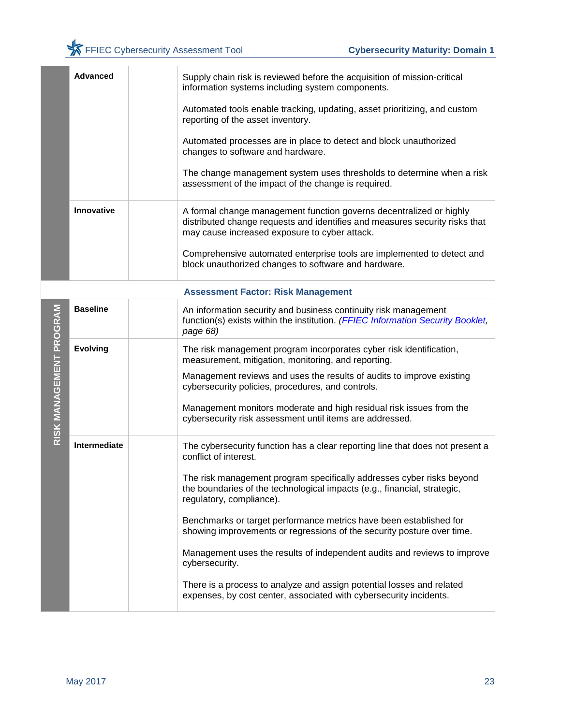| <b>Advanced</b> | Supply chain risk is reviewed before the acquisition of mission-critical<br>information systems including system components.                                                                        |
|-----------------|-----------------------------------------------------------------------------------------------------------------------------------------------------------------------------------------------------|
|                 | Automated tools enable tracking, updating, asset prioritizing, and custom<br>reporting of the asset inventory.                                                                                      |
|                 | Automated processes are in place to detect and block unauthorized<br>changes to software and hardware.                                                                                              |
|                 | The change management system uses thresholds to determine when a risk<br>assessment of the impact of the change is required.                                                                        |
| Innovative      | A formal change management function governs decentralized or highly<br>distributed change requests and identifies and measures security risks that<br>may cause increased exposure to cyber attack. |
|                 | Comprehensive automated enterprise tools are implemented to detect and<br>block unauthorized changes to software and hardware.                                                                      |

|                 | ASSESSINGIILI AULUI. INISK MANAYEMENT                                                                                                                                                               |
|-----------------|-----------------------------------------------------------------------------------------------------------------------------------------------------------------------------------------------------|
| <b>Baseline</b> | An information security and business continuity risk management<br>function(s) exists within the institution. (FFIEC Information Security Booklet,<br>page 68)                                      |
| <b>Evolving</b> | The risk management program incorporates cyber risk identification,<br>measurement, mitigation, monitoring, and reporting.<br>Management reviews and uses the results of audits to improve existing |
|                 | cybersecurity policies, procedures, and controls.                                                                                                                                                   |
|                 | Management monitors moderate and high residual risk issues from the<br>cybersecurity risk assessment until items are addressed.                                                                     |
| Intermediate    | The cybersecurity function has a clear reporting line that does not present a<br>conflict of interest.                                                                                              |
|                 | The risk management program specifically addresses cyber risks beyond<br>the boundaries of the technological impacts (e.g., financial, strategic,<br>regulatory, compliance).                       |
|                 | Benchmarks or target performance metrics have been established for<br>showing improvements or regressions of the security posture over time.                                                        |
|                 | Management uses the results of independent audits and reviews to improve<br>cybersecurity.                                                                                                          |
|                 | There is a process to analyze and assign potential losses and related<br>expenses, by cost center, associated with cybersecurity incidents.                                                         |
|                 |                                                                                                                                                                                                     |

#### **Assessment Factor: Risk Management**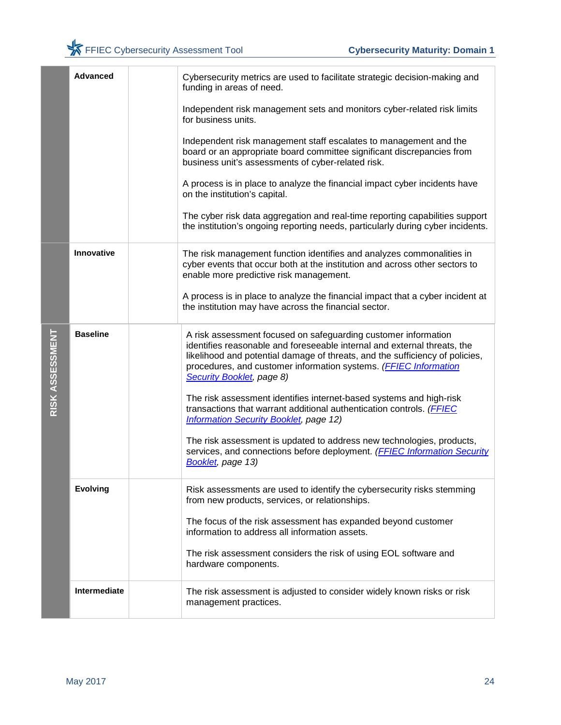|                 | <b>Advanced</b> | Cybersecurity metrics are used to facilitate strategic decision-making and<br>funding in areas of need.                                                                                                                                                                                        |
|-----------------|-----------------|------------------------------------------------------------------------------------------------------------------------------------------------------------------------------------------------------------------------------------------------------------------------------------------------|
|                 |                 | Independent risk management sets and monitors cyber-related risk limits<br>for business units.                                                                                                                                                                                                 |
|                 |                 | Independent risk management staff escalates to management and the<br>board or an appropriate board committee significant discrepancies from<br>business unit's assessments of cyber-related risk.                                                                                              |
|                 |                 | A process is in place to analyze the financial impact cyber incidents have<br>on the institution's capital.                                                                                                                                                                                    |
|                 |                 | The cyber risk data aggregation and real-time reporting capabilities support<br>the institution's ongoing reporting needs, particularly during cyber incidents.                                                                                                                                |
|                 | Innovative      | The risk management function identifies and analyzes commonalities in<br>cyber events that occur both at the institution and across other sectors to<br>enable more predictive risk management.                                                                                                |
|                 |                 | A process is in place to analyze the financial impact that a cyber incident at<br>the institution may have across the financial sector.                                                                                                                                                        |
| RISK ASSESSMENT | <b>Baseline</b> | A risk assessment focused on safeguarding customer information<br>identifies reasonable and foreseeable internal and external threats, the<br>likelihood and potential damage of threats, and the sufficiency of policies,<br>procedures, and customer information systems. (FFIEC Information |
|                 |                 | Security Booklet, page 8)                                                                                                                                                                                                                                                                      |
|                 |                 | The risk assessment identifies internet-based systems and high-risk<br>transactions that warrant additional authentication controls. (FFIEC<br><b>Information Security Booklet, page 12)</b>                                                                                                   |
|                 |                 | The risk assessment is updated to address new technologies, products,<br>services, and connections before deployment. (FFIEC Information Security<br>Booklet, page 13)                                                                                                                         |
|                 | <b>Evolving</b> | Risk assessments are used to identify the cybersecurity risks stemming<br>from new products, services, or relationships.                                                                                                                                                                       |
|                 |                 | The focus of the risk assessment has expanded beyond customer<br>information to address all information assets.                                                                                                                                                                                |
|                 |                 | The risk assessment considers the risk of using EOL software and<br>hardware components.                                                                                                                                                                                                       |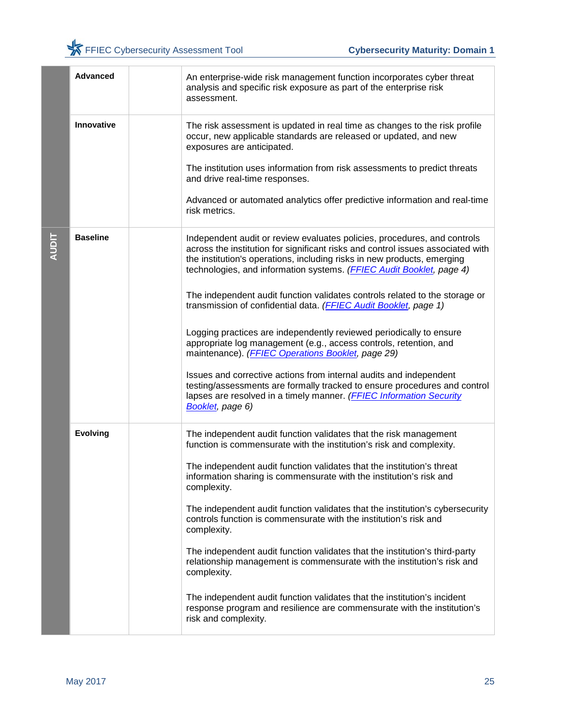|              | <b>Advanced</b> | An enterprise-wide risk management function incorporates cyber threat<br>analysis and specific risk exposure as part of the enterprise risk<br>assessment.                                                                                                                                                     |
|--------------|-----------------|----------------------------------------------------------------------------------------------------------------------------------------------------------------------------------------------------------------------------------------------------------------------------------------------------------------|
|              | Innovative      | The risk assessment is updated in real time as changes to the risk profile<br>occur, new applicable standards are released or updated, and new<br>exposures are anticipated.                                                                                                                                   |
|              |                 | The institution uses information from risk assessments to predict threats<br>and drive real-time responses.                                                                                                                                                                                                    |
|              |                 | Advanced or automated analytics offer predictive information and real-time<br>risk metrics.                                                                                                                                                                                                                    |
| <b>AUDIT</b> | <b>Baseline</b> | Independent audit or review evaluates policies, procedures, and controls<br>across the institution for significant risks and control issues associated with<br>the institution's operations, including risks in new products, emerging<br>technologies, and information systems. (FFIEC Audit Booklet, page 4) |
|              |                 | The independent audit function validates controls related to the storage or<br>transmission of confidential data. (FFIEC Audit Booklet, page 1)                                                                                                                                                                |
|              |                 | Logging practices are independently reviewed periodically to ensure<br>appropriate log management (e.g., access controls, retention, and<br>maintenance). (FFIEC Operations Booklet, page 29)                                                                                                                  |
|              |                 | Issues and corrective actions from internal audits and independent<br>testing/assessments are formally tracked to ensure procedures and control<br>lapses are resolved in a timely manner. (FFIEC Information Security<br>Booklet, page 6)                                                                     |
|              | <b>Evolving</b> | The independent audit function validates that the risk management<br>function is commensurate with the institution's risk and complexity.                                                                                                                                                                      |
|              |                 | The independent audit function validates that the institution's threat<br>information sharing is commensurate with the institution's risk and<br>complexity.                                                                                                                                                   |
|              |                 | The independent audit function validates that the institution's cybersecurity<br>controls function is commensurate with the institution's risk and<br>complexity.                                                                                                                                              |
|              |                 | The independent audit function validates that the institution's third-party<br>relationship management is commensurate with the institution's risk and<br>complexity.                                                                                                                                          |
|              |                 | The independent audit function validates that the institution's incident<br>response program and resilience are commensurate with the institution's<br>risk and complexity.                                                                                                                                    |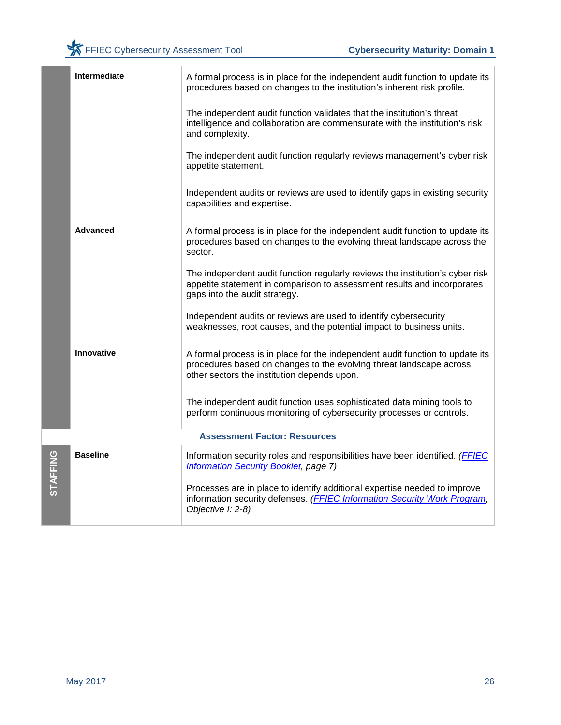|          | <b>Intermediate</b> | A formal process is in place for the independent audit function to update its<br>procedures based on changes to the institution's inherent risk profile.                                            |
|----------|---------------------|-----------------------------------------------------------------------------------------------------------------------------------------------------------------------------------------------------|
|          |                     | The independent audit function validates that the institution's threat<br>intelligence and collaboration are commensurate with the institution's risk<br>and complexity.                            |
|          |                     | The independent audit function regularly reviews management's cyber risk<br>appetite statement.                                                                                                     |
|          |                     | Independent audits or reviews are used to identify gaps in existing security<br>capabilities and expertise.                                                                                         |
|          | <b>Advanced</b>     | A formal process is in place for the independent audit function to update its<br>procedures based on changes to the evolving threat landscape across the<br>sector.                                 |
|          |                     | The independent audit function regularly reviews the institution's cyber risk<br>appetite statement in comparison to assessment results and incorporates<br>gaps into the audit strategy.           |
|          |                     | Independent audits or reviews are used to identify cybersecurity<br>weaknesses, root causes, and the potential impact to business units.                                                            |
|          | Innovative          | A formal process is in place for the independent audit function to update its<br>procedures based on changes to the evolving threat landscape across<br>other sectors the institution depends upon. |
|          |                     | The independent audit function uses sophisticated data mining tools to<br>perform continuous monitoring of cybersecurity processes or controls.                                                     |
|          |                     | <b>Assessment Factor: Resources</b>                                                                                                                                                                 |
| STAFFING | <b>Baseline</b>     | Information security roles and responsibilities have been identified. (FFIEC<br><b>Information Security Booklet, page 7)</b>                                                                        |
|          |                     | Processes are in place to identify additional expertise needed to improve<br>information security defenses. (FFIEC Information Security Work Program,<br>Objective I: 2-8)                          |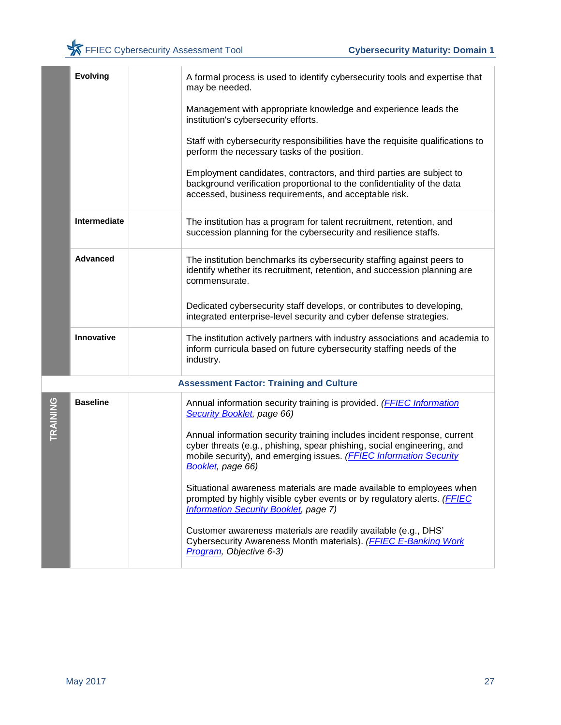|          | <b>Evolving</b> | A formal process is used to identify cybersecurity tools and expertise that<br>may be needed.                                                                                                                                                 |
|----------|-----------------|-----------------------------------------------------------------------------------------------------------------------------------------------------------------------------------------------------------------------------------------------|
|          |                 | Management with appropriate knowledge and experience leads the<br>institution's cybersecurity efforts.                                                                                                                                        |
|          |                 | Staff with cybersecurity responsibilities have the requisite qualifications to<br>perform the necessary tasks of the position.                                                                                                                |
|          |                 | Employment candidates, contractors, and third parties are subject to<br>background verification proportional to the confidentiality of the data<br>accessed, business requirements, and acceptable risk.                                      |
|          | Intermediate    | The institution has a program for talent recruitment, retention, and<br>succession planning for the cybersecurity and resilience staffs.                                                                                                      |
|          | <b>Advanced</b> | The institution benchmarks its cybersecurity staffing against peers to<br>identify whether its recruitment, retention, and succession planning are<br>commensurate.                                                                           |
|          |                 | Dedicated cybersecurity staff develops, or contributes to developing,<br>integrated enterprise-level security and cyber defense strategies.                                                                                                   |
|          | Innovative      | The institution actively partners with industry associations and academia to<br>inform curricula based on future cybersecurity staffing needs of the<br>industry.                                                                             |
|          |                 | <b>Assessment Factor: Training and Culture</b>                                                                                                                                                                                                |
| TRAINING | <b>Baseline</b> | Annual information security training is provided. (FFIEC Information<br>Security Booklet, page 66)                                                                                                                                            |
|          |                 | Annual information security training includes incident response, current<br>cyber threats (e.g., phishing, spear phishing, social engineering, and<br>mobile security), and emerging issues. (FFIEC Information Security<br>Booklet, page 66) |
|          |                 | Situational awareness materials are made available to employees when<br>prompted by highly visible cyber events or by regulatory alerts. (FFIEC<br><b>Information Security Booklet, page 7)</b>                                               |
|          |                 | Customer awareness materials are readily available (e.g., DHS'<br>Cybersecurity Awareness Month materials). (FFIEC E-Banking Work<br>Program, Objective 6-3)                                                                                  |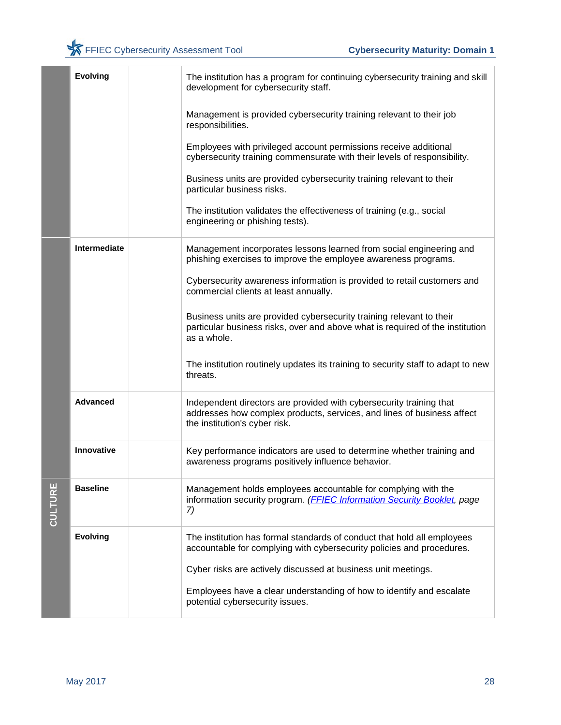|         | <b>Evolving</b> | The institution has a program for continuing cybersecurity training and skill<br>development for cybersecurity staff.                                                          |
|---------|-----------------|--------------------------------------------------------------------------------------------------------------------------------------------------------------------------------|
|         |                 | Management is provided cybersecurity training relevant to their job<br>responsibilities.                                                                                       |
|         |                 | Employees with privileged account permissions receive additional<br>cybersecurity training commensurate with their levels of responsibility.                                   |
|         |                 | Business units are provided cybersecurity training relevant to their<br>particular business risks.                                                                             |
|         |                 | The institution validates the effectiveness of training (e.g., social<br>engineering or phishing tests).                                                                       |
|         | Intermediate    | Management incorporates lessons learned from social engineering and<br>phishing exercises to improve the employee awareness programs.                                          |
|         |                 | Cybersecurity awareness information is provided to retail customers and<br>commercial clients at least annually.                                                               |
|         |                 | Business units are provided cybersecurity training relevant to their<br>particular business risks, over and above what is required of the institution<br>as a whole.           |
|         |                 | The institution routinely updates its training to security staff to adapt to new<br>threats.                                                                                   |
|         | <b>Advanced</b> | Independent directors are provided with cybersecurity training that<br>addresses how complex products, services, and lines of business affect<br>the institution's cyber risk. |
|         | Innovative      | Key performance indicators are used to determine whether training and<br>awareness programs positively influence behavior.                                                     |
| CULTURE | <b>Baseline</b> | Management holds employees accountable for complying with the<br>information security program. (FFIEC Information Security Booklet, page<br>7)                                 |
|         | <b>Evolving</b> | The institution has formal standards of conduct that hold all employees<br>accountable for complying with cybersecurity policies and procedures.                               |
|         |                 | Cyber risks are actively discussed at business unit meetings.                                                                                                                  |
|         |                 | Employees have a clear understanding of how to identify and escalate<br>potential cybersecurity issues.                                                                        |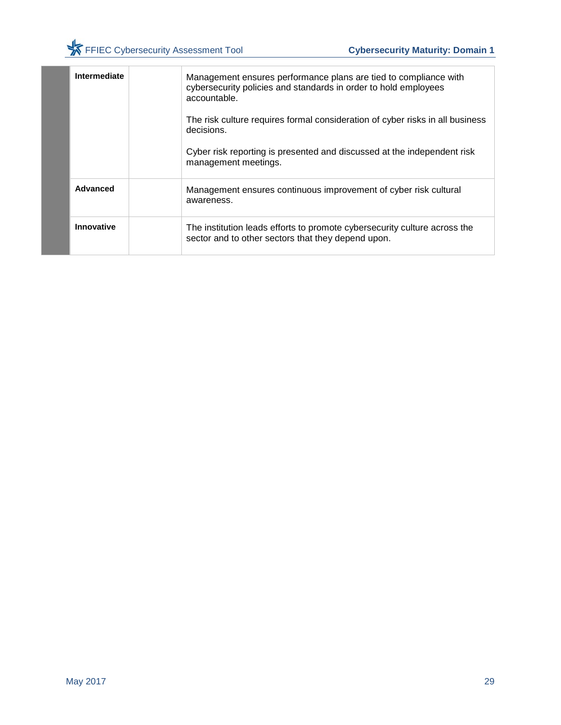|  | Intermediate | Management ensures performance plans are tied to compliance with<br>cybersecurity policies and standards in order to hold employees<br>accountable. |
|--|--------------|-----------------------------------------------------------------------------------------------------------------------------------------------------|
|  |              | The risk culture requires formal consideration of cyber risks in all business<br>decisions.                                                         |
|  |              | Cyber risk reporting is presented and discussed at the independent risk<br>management meetings.                                                     |
|  | Advanced     | Management ensures continuous improvement of cyber risk cultural<br>awareness.                                                                      |
|  | Innovative   | The institution leads efforts to promote cybersecurity culture across the<br>sector and to other sectors that they depend upon.                     |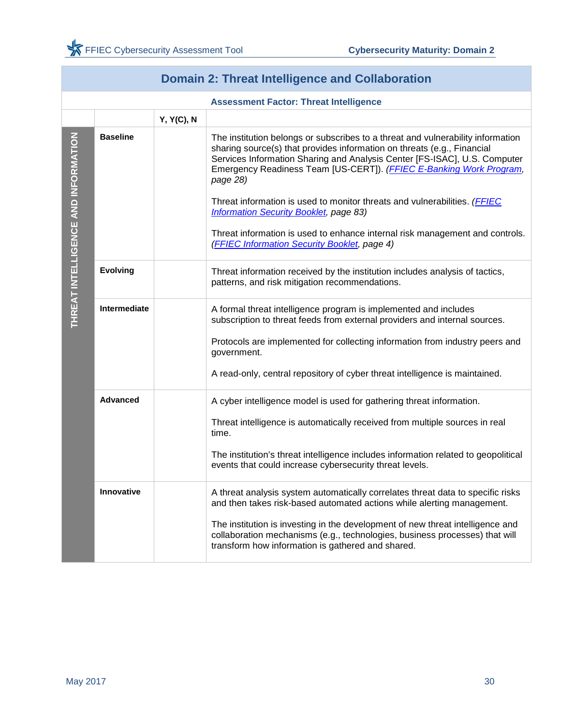<span id="page-31-0"></span>

|                                     | <b>Domain 2: Threat Intelligence and Collaboration</b> |                   |                                                                                                                                                                                                                                                                                                                                                                                                         |  |
|-------------------------------------|--------------------------------------------------------|-------------------|---------------------------------------------------------------------------------------------------------------------------------------------------------------------------------------------------------------------------------------------------------------------------------------------------------------------------------------------------------------------------------------------------------|--|
|                                     |                                                        |                   | <b>Assessment Factor: Threat Intelligence</b>                                                                                                                                                                                                                                                                                                                                                           |  |
|                                     |                                                        | <b>Y, Y(C), N</b> |                                                                                                                                                                                                                                                                                                                                                                                                         |  |
| THREAT INTELLIGENCE AND INFORMATION | <b>Baseline</b>                                        |                   | The institution belongs or subscribes to a threat and vulnerability information<br>sharing source(s) that provides information on threats (e.g., Financial<br>Services Information Sharing and Analysis Center [FS-ISAC], U.S. Computer<br>Emergency Readiness Team [US-CERT]). (FFIEC E-Banking Work Program,<br>page 28)<br>Threat information is used to monitor threats and vulnerabilities. (FFIEC |  |
|                                     |                                                        |                   | <b>Information Security Booklet, page 83)</b>                                                                                                                                                                                                                                                                                                                                                           |  |
|                                     |                                                        |                   | Threat information is used to enhance internal risk management and controls.<br>(FFIEC Information Security Booklet, page 4)                                                                                                                                                                                                                                                                            |  |
|                                     | <b>Evolving</b>                                        |                   | Threat information received by the institution includes analysis of tactics,<br>patterns, and risk mitigation recommendations.                                                                                                                                                                                                                                                                          |  |
|                                     | Intermediate                                           |                   | A formal threat intelligence program is implemented and includes<br>subscription to threat feeds from external providers and internal sources.                                                                                                                                                                                                                                                          |  |
|                                     |                                                        |                   | Protocols are implemented for collecting information from industry peers and<br>government.                                                                                                                                                                                                                                                                                                             |  |
|                                     |                                                        |                   | A read-only, central repository of cyber threat intelligence is maintained.                                                                                                                                                                                                                                                                                                                             |  |
|                                     | <b>Advanced</b>                                        |                   | A cyber intelligence model is used for gathering threat information.                                                                                                                                                                                                                                                                                                                                    |  |
|                                     |                                                        |                   | Threat intelligence is automatically received from multiple sources in real<br>time.                                                                                                                                                                                                                                                                                                                    |  |
|                                     |                                                        |                   | The institution's threat intelligence includes information related to geopolitical<br>events that could increase cybersecurity threat levels.                                                                                                                                                                                                                                                           |  |
|                                     | Innovative                                             |                   | A threat analysis system automatically correlates threat data to specific risks<br>and then takes risk-based automated actions while alerting management.                                                                                                                                                                                                                                               |  |
|                                     |                                                        |                   | The institution is investing in the development of new threat intelligence and<br>collaboration mechanisms (e.g., technologies, business processes) that will<br>transform how information is gathered and shared.                                                                                                                                                                                      |  |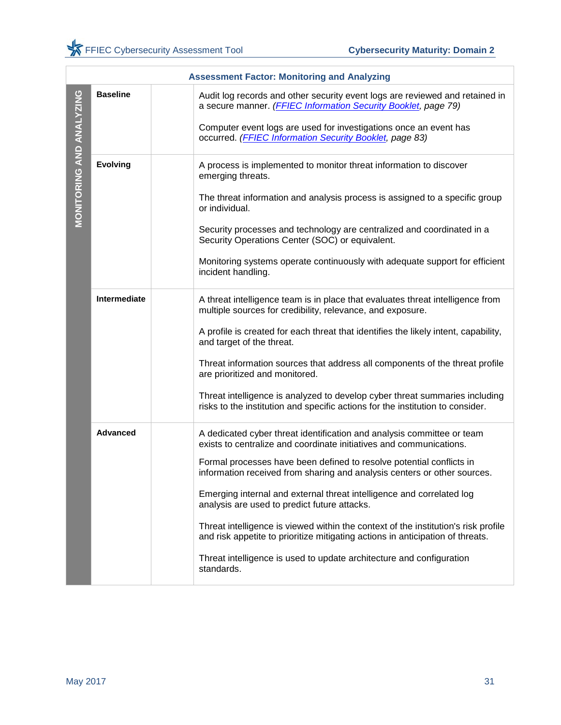|                          | <b>Assessment Factor: Monitoring and Analyzing</b> |                                                                                                                                                                                                                                                                                                                                                                                                                                                                                                                                                                                                                                                                                          |  |  |
|--------------------------|----------------------------------------------------|------------------------------------------------------------------------------------------------------------------------------------------------------------------------------------------------------------------------------------------------------------------------------------------------------------------------------------------------------------------------------------------------------------------------------------------------------------------------------------------------------------------------------------------------------------------------------------------------------------------------------------------------------------------------------------------|--|--|
|                          | <b>Baseline</b>                                    | Audit log records and other security event logs are reviewed and retained in<br>a secure manner. (FFIEC Information Security Booklet, page 79)<br>Computer event logs are used for investigations once an event has<br>occurred. (FFIEC Information Security Booklet, page 83)                                                                                                                                                                                                                                                                                                                                                                                                           |  |  |
| MONITORING AND ANALYZING | <b>Evolving</b>                                    | A process is implemented to monitor threat information to discover<br>emerging threats.<br>The threat information and analysis process is assigned to a specific group<br>or individual.<br>Security processes and technology are centralized and coordinated in a<br>Security Operations Center (SOC) or equivalent.<br>Monitoring systems operate continuously with adequate support for efficient<br>incident handling.                                                                                                                                                                                                                                                               |  |  |
|                          | Intermediate                                       | A threat intelligence team is in place that evaluates threat intelligence from<br>multiple sources for credibility, relevance, and exposure.<br>A profile is created for each threat that identifies the likely intent, capability,<br>and target of the threat.<br>Threat information sources that address all components of the threat profile<br>are prioritized and monitored.<br>Threat intelligence is analyzed to develop cyber threat summaries including<br>risks to the institution and specific actions for the institution to consider.                                                                                                                                      |  |  |
|                          | <b>Advanced</b>                                    | A dedicated cyber threat identification and analysis committee or team<br>exists to centralize and coordinate initiatives and communications.<br>Formal processes have been defined to resolve potential conflicts in<br>information received from sharing and analysis centers or other sources.<br>Emerging internal and external threat intelligence and correlated log<br>analysis are used to predict future attacks.<br>Threat intelligence is viewed within the context of the institution's risk profile<br>and risk appetite to prioritize mitigating actions in anticipation of threats.<br>Threat intelligence is used to update architecture and configuration<br>standards. |  |  |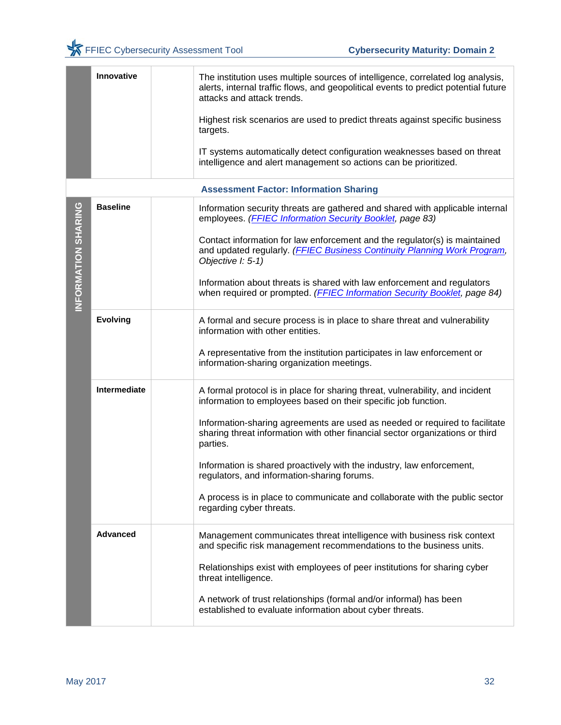|                     | Innovative      | The institution uses multiple sources of intelligence, correlated log analysis,<br>alerts, internal traffic flows, and geopolitical events to predict potential future<br>attacks and attack trends.<br>Highest risk scenarios are used to predict threats against specific business<br>targets.                                                                                                                                                                                                                                                               |
|---------------------|-----------------|----------------------------------------------------------------------------------------------------------------------------------------------------------------------------------------------------------------------------------------------------------------------------------------------------------------------------------------------------------------------------------------------------------------------------------------------------------------------------------------------------------------------------------------------------------------|
|                     |                 | IT systems automatically detect configuration weaknesses based on threat<br>intelligence and alert management so actions can be prioritized.                                                                                                                                                                                                                                                                                                                                                                                                                   |
|                     |                 | <b>Assessment Factor: Information Sharing</b>                                                                                                                                                                                                                                                                                                                                                                                                                                                                                                                  |
| INFORMATION SHARING | <b>Baseline</b> | Information security threats are gathered and shared with applicable internal<br>employees. (FFIEC Information Security Booklet, page 83)<br>Contact information for law enforcement and the regulator(s) is maintained<br>and updated regularly. (FFIEC Business Continuity Planning Work Program,<br>Objective I: 5-1)<br>Information about threats is shared with law enforcement and regulators<br>when required or prompted. (FFIEC Information Security Booklet, page 84)                                                                                |
|                     | <b>Evolving</b> | A formal and secure process is in place to share threat and vulnerability<br>information with other entities.<br>A representative from the institution participates in law enforcement or<br>information-sharing organization meetings.                                                                                                                                                                                                                                                                                                                        |
|                     | Intermediate    | A formal protocol is in place for sharing threat, vulnerability, and incident<br>information to employees based on their specific job function.<br>Information-sharing agreements are used as needed or required to facilitate<br>sharing threat information with other financial sector organizations or third<br>parties.<br>Information is shared proactively with the industry, law enforcement,<br>regulators, and information-sharing forums.<br>A process is in place to communicate and collaborate with the public sector<br>regarding cyber threats. |
|                     | <b>Advanced</b> | Management communicates threat intelligence with business risk context<br>and specific risk management recommendations to the business units.<br>Relationships exist with employees of peer institutions for sharing cyber<br>threat intelligence.<br>A network of trust relationships (formal and/or informal) has been<br>established to evaluate information about cyber threats.                                                                                                                                                                           |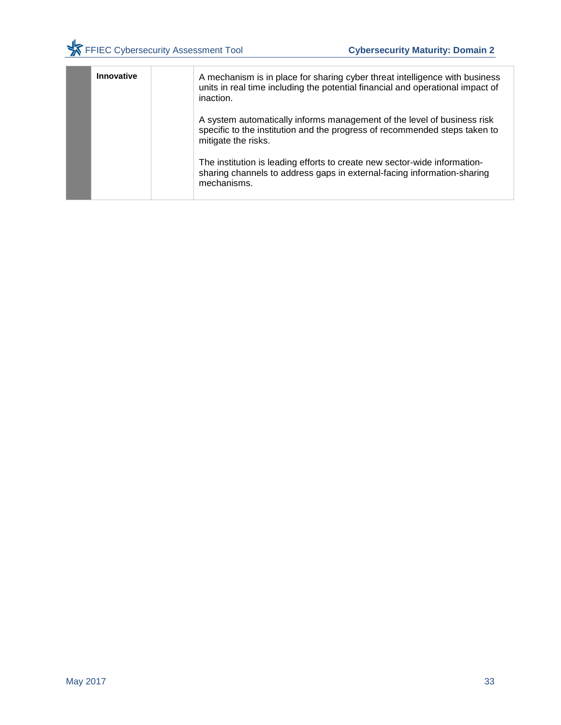| Innovative | A mechanism is in place for sharing cyber threat intelligence with business<br>units in real time including the potential financial and operational impact of<br>inaction.   |
|------------|------------------------------------------------------------------------------------------------------------------------------------------------------------------------------|
|            | A system automatically informs management of the level of business risk<br>specific to the institution and the progress of recommended steps taken to<br>mitigate the risks. |
|            | The institution is leading efforts to create new sector-wide information-<br>sharing channels to address gaps in external-facing information-sharing<br>mechanisms.          |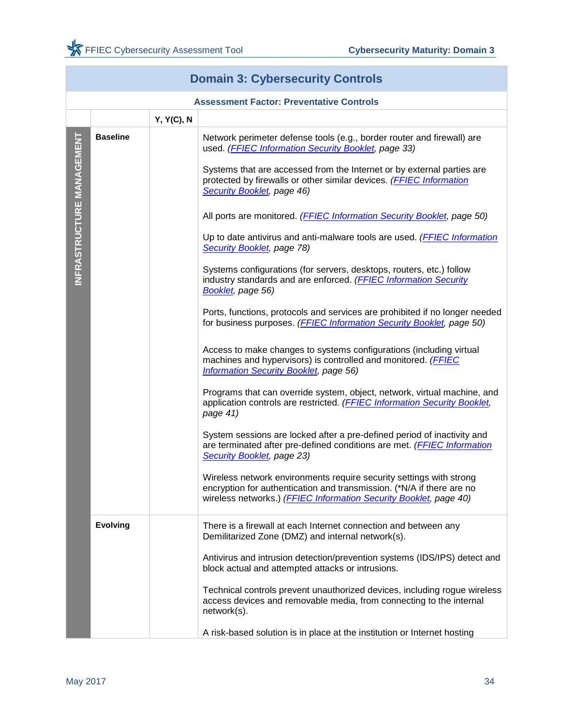<span id="page-35-0"></span>

|                           | <b>Domain 3: Cybersecurity Controls</b>         |            |                                                                                                                                                                                                                                                                                                                                                                                                                                                                                                                                                                                                                                                                                                                                                                                                                                                                                                                                                                                                                                                                                                                                                                                                                                                                                                                                                                                                                                                                                                                                                                                                         |  |
|---------------------------|-------------------------------------------------|------------|---------------------------------------------------------------------------------------------------------------------------------------------------------------------------------------------------------------------------------------------------------------------------------------------------------------------------------------------------------------------------------------------------------------------------------------------------------------------------------------------------------------------------------------------------------------------------------------------------------------------------------------------------------------------------------------------------------------------------------------------------------------------------------------------------------------------------------------------------------------------------------------------------------------------------------------------------------------------------------------------------------------------------------------------------------------------------------------------------------------------------------------------------------------------------------------------------------------------------------------------------------------------------------------------------------------------------------------------------------------------------------------------------------------------------------------------------------------------------------------------------------------------------------------------------------------------------------------------------------|--|
|                           | <b>Assessment Factor: Preventative Controls</b> |            |                                                                                                                                                                                                                                                                                                                                                                                                                                                                                                                                                                                                                                                                                                                                                                                                                                                                                                                                                                                                                                                                                                                                                                                                                                                                                                                                                                                                                                                                                                                                                                                                         |  |
|                           |                                                 | Y, Y(C), N |                                                                                                                                                                                                                                                                                                                                                                                                                                                                                                                                                                                                                                                                                                                                                                                                                                                                                                                                                                                                                                                                                                                                                                                                                                                                                                                                                                                                                                                                                                                                                                                                         |  |
| INFRASTRUCTURE MANAGEMENT | <b>Baseline</b>                                 |            | Network perimeter defense tools (e.g., border router and firewall) are<br>used. (FFIEC Information Security Booklet, page 33)<br>Systems that are accessed from the Internet or by external parties are<br>protected by firewalls or other similar devices. (FFIEC Information<br>Security Booklet, page 46)<br>All ports are monitored. (FFIEC Information Security Booklet, page 50)<br>Up to date antivirus and anti-malware tools are used. ( <b>FFIEC Information</b><br>Security Booklet, page 78)<br>Systems configurations (for servers, desktops, routers, etc.) follow<br>industry standards and are enforced. (FFIEC Information Security<br>Booklet, page 56)<br>Ports, functions, protocols and services are prohibited if no longer needed<br>for business purposes. (FFIEC Information Security Booklet, page 50)<br>Access to make changes to systems configurations (including virtual<br>machines and hypervisors) is controlled and monitored. (FFIEC<br><b>Information Security Booklet, page 56)</b><br>Programs that can override system, object, network, virtual machine, and<br>application controls are restricted. (FFIEC Information Security Booklet,<br>page 41)<br>System sessions are locked after a pre-defined period of inactivity and<br>are terminated after pre-defined conditions are met. (FFIEC Information<br>Security Booklet, page 23)<br>Wireless network environments require security settings with strong<br>encryption for authentication and transmission. (*N/A if there are no<br>wireless networks.) (FFIEC Information Security Booklet, page 40) |  |
|                           | <b>Evolving</b>                                 |            | There is a firewall at each Internet connection and between any<br>Demilitarized Zone (DMZ) and internal network(s).                                                                                                                                                                                                                                                                                                                                                                                                                                                                                                                                                                                                                                                                                                                                                                                                                                                                                                                                                                                                                                                                                                                                                                                                                                                                                                                                                                                                                                                                                    |  |
|                           |                                                 |            | Antivirus and intrusion detection/prevention systems (IDS/IPS) detect and<br>block actual and attempted attacks or intrusions.<br>Technical controls prevent unauthorized devices, including rogue wireless                                                                                                                                                                                                                                                                                                                                                                                                                                                                                                                                                                                                                                                                                                                                                                                                                                                                                                                                                                                                                                                                                                                                                                                                                                                                                                                                                                                             |  |
|                           |                                                 |            | access devices and removable media, from connecting to the internal<br>network(s).<br>A risk-based solution is in place at the institution or Internet hosting                                                                                                                                                                                                                                                                                                                                                                                                                                                                                                                                                                                                                                                                                                                                                                                                                                                                                                                                                                                                                                                                                                                                                                                                                                                                                                                                                                                                                                          |  |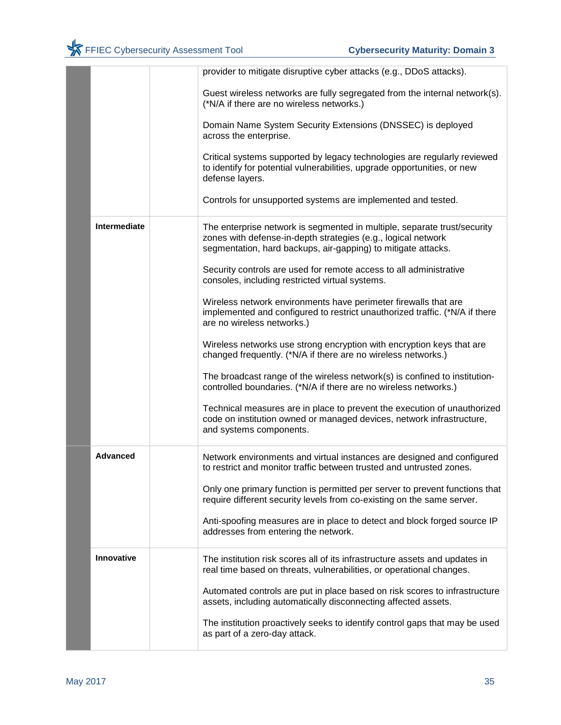|                     | provider to mitigate disruptive cyber attacks (e.g., DDoS attacks).                                                                                                                                        |
|---------------------|------------------------------------------------------------------------------------------------------------------------------------------------------------------------------------------------------------|
|                     | Guest wireless networks are fully segregated from the internal network(s).<br>(*N/A if there are no wireless networks.)                                                                                    |
|                     | Domain Name System Security Extensions (DNSSEC) is deployed<br>across the enterprise.                                                                                                                      |
|                     | Critical systems supported by legacy technologies are regularly reviewed<br>to identify for potential vulnerabilities, upgrade opportunities, or new<br>defense layers.                                    |
|                     | Controls for unsupported systems are implemented and tested.                                                                                                                                               |
| <b>Intermediate</b> | The enterprise network is segmented in multiple, separate trust/security<br>zones with defense-in-depth strategies (e.g., logical network<br>segmentation, hard backups, air-gapping) to mitigate attacks. |
|                     | Security controls are used for remote access to all administrative<br>consoles, including restricted virtual systems.                                                                                      |
|                     | Wireless network environments have perimeter firewalls that are<br>implemented and configured to restrict unauthorized traffic. (*N/A if there<br>are no wireless networks.)                               |
|                     | Wireless networks use strong encryption with encryption keys that are<br>changed frequently. (*N/A if there are no wireless networks.)                                                                     |
|                     | The broadcast range of the wireless network(s) is confined to institution-<br>controlled boundaries. (*N/A if there are no wireless networks.)                                                             |
|                     | Technical measures are in place to prevent the execution of unauthorized<br>code on institution owned or managed devices, network infrastructure,<br>and systems components.                               |
| <b>Advanced</b>     | Network environments and virtual instances are designed and configured<br>to restrict and monitor traffic between trusted and untrusted zones.                                                             |
|                     | Only one primary function is permitted per server to prevent functions that<br>require different security levels from co-existing on the same server.                                                      |
|                     | Anti-spoofing measures are in place to detect and block forged source IP<br>addresses from entering the network.                                                                                           |
| <b>Innovative</b>   | The institution risk scores all of its infrastructure assets and updates in<br>real time based on threats, vulnerabilities, or operational changes.                                                        |
|                     | Automated controls are put in place based on risk scores to infrastructure<br>assets, including automatically disconnecting affected assets.                                                               |
|                     | The institution proactively seeks to identify control gaps that may be used<br>as part of a zero-day attack.                                                                                               |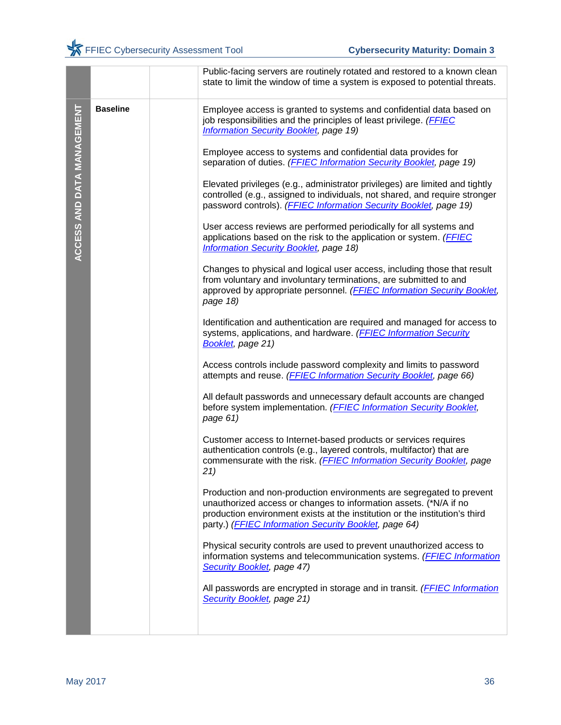|                            |                 | Public-facing servers are routinely rotated and restored to a known clean<br>state to limit the window of time a system is exposed to potential threats.                                                                                                                          |
|----------------------------|-----------------|-----------------------------------------------------------------------------------------------------------------------------------------------------------------------------------------------------------------------------------------------------------------------------------|
|                            | <b>Baseline</b> | Employee access is granted to systems and confidential data based on<br>job responsibilities and the principles of least privilege. (FFIEC<br><b>Information Security Booklet, page 19)</b>                                                                                       |
|                            |                 | Employee access to systems and confidential data provides for<br>separation of duties. (FFIEC Information Security Booklet, page 19)                                                                                                                                              |
|                            |                 | Elevated privileges (e.g., administrator privileges) are limited and tightly<br>controlled (e.g., assigned to individuals, not shared, and require stronger<br>password controls). ( <b>FFIEC Information Security Booklet</b> , page 19)                                         |
| ACCESS AND DATA MANAGEMENT |                 | User access reviews are performed periodically for all systems and<br>applications based on the risk to the application or system. (FFIEC<br><b>Information Security Booklet, page 18)</b>                                                                                        |
|                            |                 | Changes to physical and logical user access, including those that result<br>from voluntary and involuntary terminations, are submitted to and<br>approved by appropriate personnel. (FFIEC Information Security Booklet,<br>page 18)                                              |
|                            |                 | Identification and authentication are required and managed for access to<br>systems, applications, and hardware. (FFIEC Information Security<br>Booklet, page 21)                                                                                                                 |
|                            |                 | Access controls include password complexity and limits to password<br>attempts and reuse. ( <b>FFIEC Information Security Booklet</b> , page 66)                                                                                                                                  |
|                            |                 | All default passwords and unnecessary default accounts are changed<br>before system implementation. (FFIEC Information Security Booklet,<br>page 61)                                                                                                                              |
|                            |                 | Customer access to Internet-based products or services requires<br>authentication controls (e.g., layered controls, multifactor) that are<br>commensurate with the risk. (FFIEC Information Security Booklet, page<br>21)                                                         |
|                            |                 | Production and non-production environments are segregated to prevent<br>unauthorized access or changes to information assets. (*N/A if no<br>production environment exists at the institution or the institution's third<br>party.) (FFIEC Information Security Booklet, page 64) |
|                            |                 | Physical security controls are used to prevent unauthorized access to<br>information systems and telecommunication systems. (FFIEC Information<br>Security Booklet, page 47)                                                                                                      |
|                            |                 | All passwords are encrypted in storage and in transit. (FFIEC Information<br>Security Booklet, page 21)                                                                                                                                                                           |
|                            |                 |                                                                                                                                                                                                                                                                                   |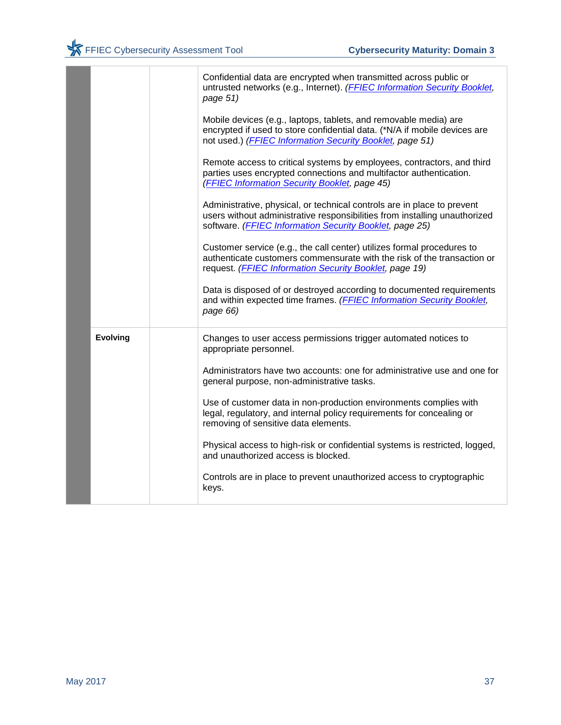|                 | Confidential data are encrypted when transmitted across public or<br>untrusted networks (e.g., Internet). (FFIEC Information Security Booklet,<br>page 51)                                                       |
|-----------------|------------------------------------------------------------------------------------------------------------------------------------------------------------------------------------------------------------------|
|                 | Mobile devices (e.g., laptops, tablets, and removable media) are<br>encrypted if used to store confidential data. (*N/A if mobile devices are<br>not used.) (FFIEC Information Security Booklet, page 51)        |
|                 | Remote access to critical systems by employees, contractors, and third<br>parties uses encrypted connections and multifactor authentication.<br>(FFIEC Information Security Booklet, page 45)                    |
|                 | Administrative, physical, or technical controls are in place to prevent<br>users without administrative responsibilities from installing unauthorized<br>software. (FFIEC Information Security Booklet, page 25) |
|                 | Customer service (e.g., the call center) utilizes formal procedures to<br>authenticate customers commensurate with the risk of the transaction or<br>request. (FFIEC Information Security Booklet, page 19)      |
|                 | Data is disposed of or destroyed according to documented requirements<br>and within expected time frames. (FFIEC Information Security Booklet,<br>page 66)                                                       |
| <b>Evolving</b> | Changes to user access permissions trigger automated notices to<br>appropriate personnel.                                                                                                                        |
|                 | Administrators have two accounts: one for administrative use and one for<br>general purpose, non-administrative tasks.                                                                                           |
|                 | Use of customer data in non-production environments complies with<br>legal, regulatory, and internal policy requirements for concealing or<br>removing of sensitive data elements.                               |
|                 | Physical access to high-risk or confidential systems is restricted, logged,<br>and unauthorized access is blocked.                                                                                               |
|                 | Controls are in place to prevent unauthorized access to cryptographic<br>keys.                                                                                                                                   |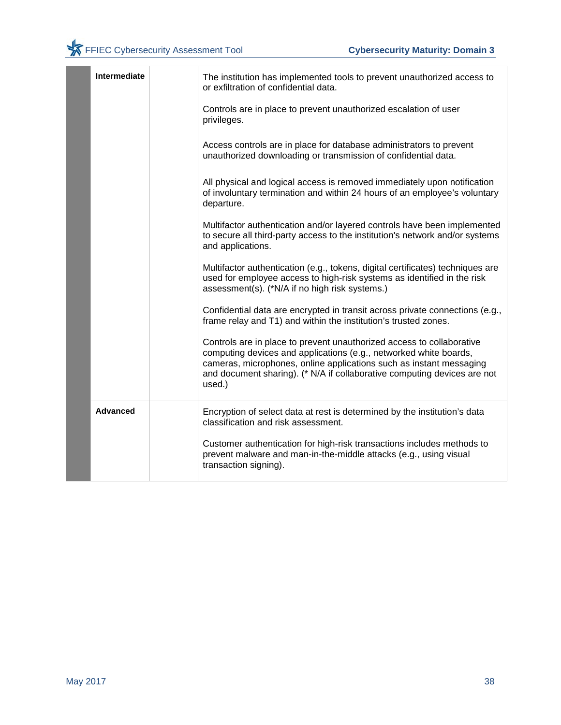| <b>Intermediate</b> | The institution has implemented tools to prevent unauthorized access to<br>or exfiltration of confidential data.                                                                                                                                                                                        |
|---------------------|---------------------------------------------------------------------------------------------------------------------------------------------------------------------------------------------------------------------------------------------------------------------------------------------------------|
|                     | Controls are in place to prevent unauthorized escalation of user<br>privileges.                                                                                                                                                                                                                         |
|                     | Access controls are in place for database administrators to prevent<br>unauthorized downloading or transmission of confidential data.                                                                                                                                                                   |
|                     | All physical and logical access is removed immediately upon notification<br>of involuntary termination and within 24 hours of an employee's voluntary<br>departure.                                                                                                                                     |
|                     | Multifactor authentication and/or layered controls have been implemented<br>to secure all third-party access to the institution's network and/or systems<br>and applications.                                                                                                                           |
|                     | Multifactor authentication (e.g., tokens, digital certificates) techniques are<br>used for employee access to high-risk systems as identified in the risk<br>assessment(s). (*N/A if no high risk systems.)                                                                                             |
|                     | Confidential data are encrypted in transit across private connections (e.g.,<br>frame relay and T1) and within the institution's trusted zones.                                                                                                                                                         |
|                     | Controls are in place to prevent unauthorized access to collaborative<br>computing devices and applications (e.g., networked white boards,<br>cameras, microphones, online applications such as instant messaging<br>and document sharing). (* N/A if collaborative computing devices are not<br>used.) |
| <b>Advanced</b>     | Encryption of select data at rest is determined by the institution's data<br>classification and risk assessment.                                                                                                                                                                                        |
|                     | Customer authentication for high-risk transactions includes methods to<br>prevent malware and man-in-the-middle attacks (e.g., using visual<br>transaction signing).                                                                                                                                    |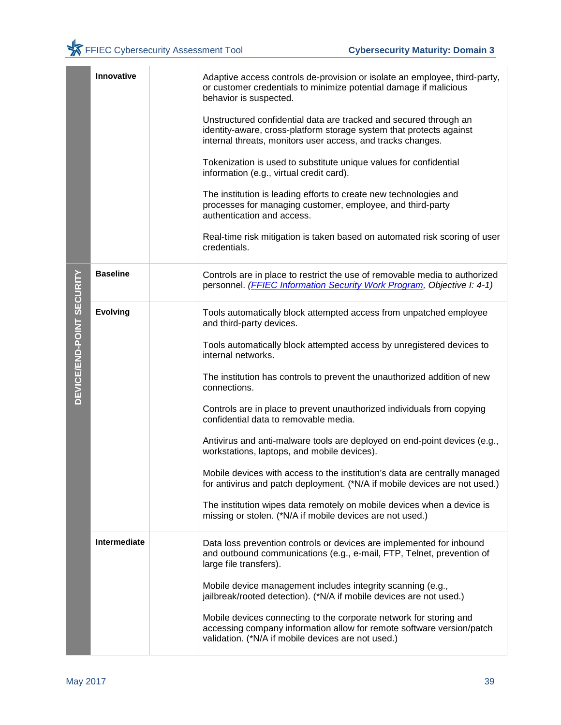|                                  | Innovative      | Adaptive access controls de-provision or isolate an employee, third-party,<br>or customer credentials to minimize potential damage if malicious<br>behavior is suspected.<br>Unstructured confidential data are tracked and secured through an<br>identity-aware, cross-platform storage system that protects against<br>internal threats, monitors user access, and tracks changes.<br>Tokenization is used to substitute unique values for confidential<br>information (e.g., virtual credit card).<br>The institution is leading efforts to create new technologies and<br>processes for managing customer, employee, and third-party<br>authentication and access.<br>Real-time risk mitigation is taken based on automated risk scoring of user<br>credentials.                                                                        |
|----------------------------------|-----------------|---------------------------------------------------------------------------------------------------------------------------------------------------------------------------------------------------------------------------------------------------------------------------------------------------------------------------------------------------------------------------------------------------------------------------------------------------------------------------------------------------------------------------------------------------------------------------------------------------------------------------------------------------------------------------------------------------------------------------------------------------------------------------------------------------------------------------------------------|
|                                  | <b>Baseline</b> | Controls are in place to restrict the use of removable media to authorized<br>personnel. (FFIEC Information Security Work Program, Objective I: 4-1)                                                                                                                                                                                                                                                                                                                                                                                                                                                                                                                                                                                                                                                                                        |
| <b>DEVICE/END-POINT SECURITY</b> | <b>Evolving</b> | Tools automatically block attempted access from unpatched employee<br>and third-party devices.<br>Tools automatically block attempted access by unregistered devices to<br>internal networks.<br>The institution has controls to prevent the unauthorized addition of new<br>connections.<br>Controls are in place to prevent unauthorized individuals from copying<br>confidential data to removable media.<br>Antivirus and anti-malware tools are deployed on end-point devices (e.g.,<br>workstations, laptops, and mobile devices).<br>Mobile devices with access to the institution's data are centrally managed<br>for antivirus and patch deployment. (*N/A if mobile devices are not used.)<br>The institution wipes data remotely on mobile devices when a device is<br>missing or stolen. (*N/A if mobile devices are not used.) |
|                                  | Intermediate    | Data loss prevention controls or devices are implemented for inbound<br>and outbound communications (e.g., e-mail, FTP, Telnet, prevention of<br>large file transfers).<br>Mobile device management includes integrity scanning (e.g.,<br>jailbreak/rooted detection). (*N/A if mobile devices are not used.)<br>Mobile devices connecting to the corporate network for storing and<br>accessing company information allow for remote software version/patch<br>validation. (*N/A if mobile devices are not used.)                                                                                                                                                                                                                                                                                                                          |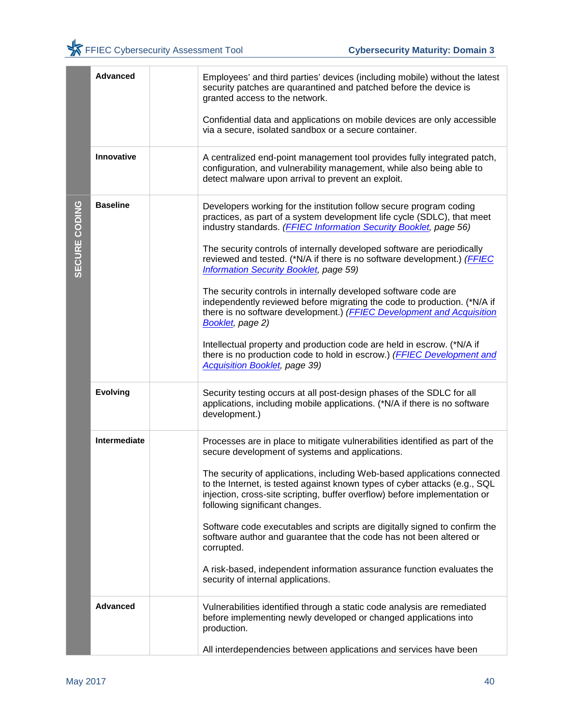|               | <b>Advanced</b> | Employees' and third parties' devices (including mobile) without the latest<br>security patches are quarantined and patched before the device is<br>granted access to the network.<br>Confidential data and applications on mobile devices are only accessible<br>via a secure, isolated sandbox or a secure container.                                                                                                                                                                                                                                                                                                                                                                                                                                                                                                                                             |
|---------------|-----------------|---------------------------------------------------------------------------------------------------------------------------------------------------------------------------------------------------------------------------------------------------------------------------------------------------------------------------------------------------------------------------------------------------------------------------------------------------------------------------------------------------------------------------------------------------------------------------------------------------------------------------------------------------------------------------------------------------------------------------------------------------------------------------------------------------------------------------------------------------------------------|
|               | Innovative      | A centralized end-point management tool provides fully integrated patch,<br>configuration, and vulnerability management, while also being able to<br>detect malware upon arrival to prevent an exploit.                                                                                                                                                                                                                                                                                                                                                                                                                                                                                                                                                                                                                                                             |
| SECURE CODING | <b>Baseline</b> | Developers working for the institution follow secure program coding<br>practices, as part of a system development life cycle (SDLC), that meet<br>industry standards. (FFIEC Information Security Booklet, page 56)<br>The security controls of internally developed software are periodically<br>reviewed and tested. (*N/A if there is no software development.) (FFIEC<br><b>Information Security Booklet, page 59)</b><br>The security controls in internally developed software code are<br>independently reviewed before migrating the code to production. (*N/A if<br>there is no software development.) (FFIEC Development and Acquisition<br>Booklet, page 2)<br>Intellectual property and production code are held in escrow. (*N/A if<br>there is no production code to hold in escrow.) (FFIEC Development and<br><b>Acquisition Booklet</b> , page 39) |
|               | <b>Evolving</b> | Security testing occurs at all post-design phases of the SDLC for all<br>applications, including mobile applications. (*N/A if there is no software<br>development.)                                                                                                                                                                                                                                                                                                                                                                                                                                                                                                                                                                                                                                                                                                |
|               | Intermediate    | Processes are in place to mitigate vulnerabilities identified as part of the<br>secure development of systems and applications.<br>The security of applications, including Web-based applications connected<br>to the Internet, is tested against known types of cyber attacks (e.g., SQL<br>injection, cross-site scripting, buffer overflow) before implementation or<br>following significant changes.<br>Software code executables and scripts are digitally signed to confirm the<br>software author and guarantee that the code has not been altered or<br>corrupted.<br>A risk-based, independent information assurance function evaluates the<br>security of internal applications.                                                                                                                                                                         |
|               | <b>Advanced</b> | Vulnerabilities identified through a static code analysis are remediated<br>before implementing newly developed or changed applications into<br>production.<br>All interdependencies between applications and services have been                                                                                                                                                                                                                                                                                                                                                                                                                                                                                                                                                                                                                                    |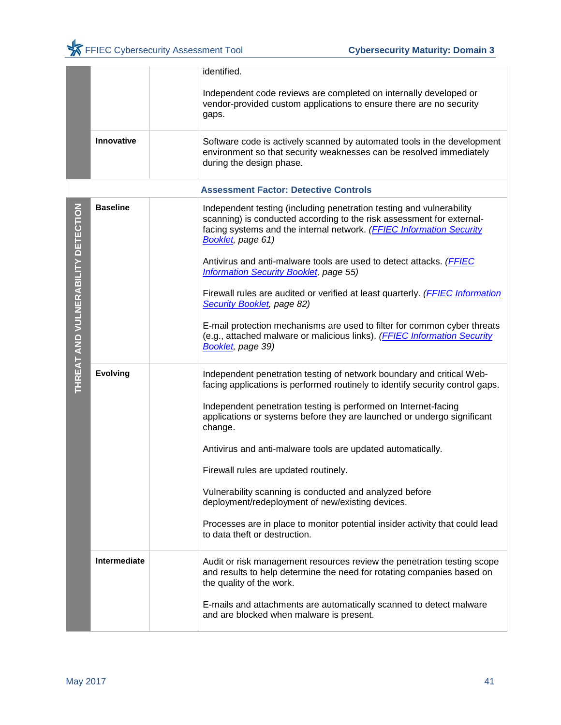|                                    |                 | identified.                                                                                                                                                                                                                                |
|------------------------------------|-----------------|--------------------------------------------------------------------------------------------------------------------------------------------------------------------------------------------------------------------------------------------|
|                                    |                 | Independent code reviews are completed on internally developed or<br>vendor-provided custom applications to ensure there are no security<br>gaps.                                                                                          |
|                                    | Innovative      | Software code is actively scanned by automated tools in the development<br>environment so that security weaknesses can be resolved immediately<br>during the design phase.                                                                 |
|                                    |                 | <b>Assessment Factor: Detective Controls</b>                                                                                                                                                                                               |
|                                    | <b>Baseline</b> | Independent testing (including penetration testing and vulnerability<br>scanning) is conducted according to the risk assessment for external-<br>facing systems and the internal network. (FFIEC Information Security<br>Booklet, page 61) |
|                                    |                 | Antivirus and anti-malware tools are used to detect attacks. ( <b>FFIEC</b><br><b>Information Security Booklet, page 55)</b>                                                                                                               |
|                                    |                 | Firewall rules are audited or verified at least quarterly. (FFIEC Information<br>Security Booklet, page 82)                                                                                                                                |
| THREAT AND VULNERABILITY DETECTION |                 | E-mail protection mechanisms are used to filter for common cyber threats<br>(e.g., attached malware or malicious links). ( <b>FFIEC Information Security</b><br>Booklet, page 39)                                                          |
|                                    | <b>Evolving</b> | Independent penetration testing of network boundary and critical Web-<br>facing applications is performed routinely to identify security control gaps.                                                                                     |
|                                    |                 | Independent penetration testing is performed on Internet-facing<br>applications or systems before they are launched or undergo significant<br>change.                                                                                      |
|                                    |                 | Antivirus and anti-malware tools are updated automatically.                                                                                                                                                                                |
|                                    |                 | Firewall rules are updated routinely.                                                                                                                                                                                                      |
|                                    |                 | Vulnerability scanning is conducted and analyzed before<br>deployment/redeployment of new/existing devices.                                                                                                                                |
|                                    |                 | Processes are in place to monitor potential insider activity that could lead<br>to data theft or destruction.                                                                                                                              |
|                                    | Intermediate    | Audit or risk management resources review the penetration testing scope<br>and results to help determine the need for rotating companies based on<br>the quality of the work.                                                              |
|                                    |                 | E-mails and attachments are automatically scanned to detect malware<br>and are blocked when malware is present.                                                                                                                            |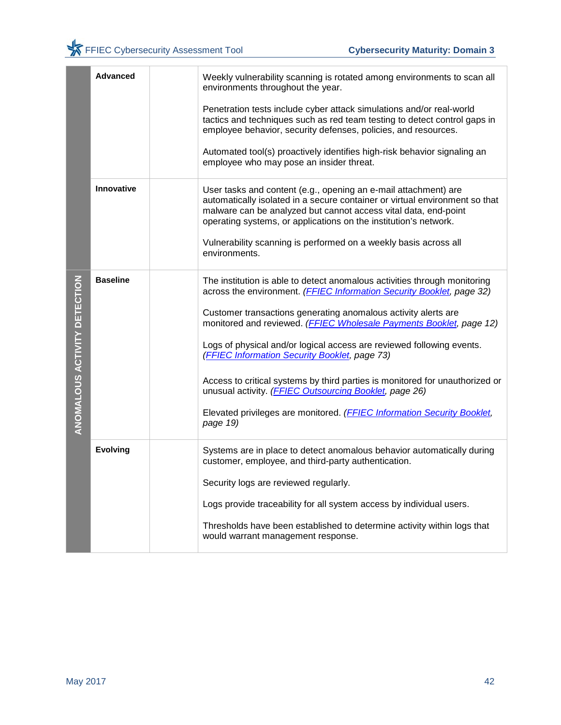|                              | <b>Advanced</b>   | Weekly vulnerability scanning is rotated among environments to scan all<br>environments throughout the year.                                                                                                                                                                                                                                                                                                                                                                                          |
|------------------------------|-------------------|-------------------------------------------------------------------------------------------------------------------------------------------------------------------------------------------------------------------------------------------------------------------------------------------------------------------------------------------------------------------------------------------------------------------------------------------------------------------------------------------------------|
|                              |                   | Penetration tests include cyber attack simulations and/or real-world<br>tactics and techniques such as red team testing to detect control gaps in<br>employee behavior, security defenses, policies, and resources.                                                                                                                                                                                                                                                                                   |
|                              |                   | Automated tool(s) proactively identifies high-risk behavior signaling an<br>employee who may pose an insider threat.                                                                                                                                                                                                                                                                                                                                                                                  |
|                              | <b>Innovative</b> | User tasks and content (e.g., opening an e-mail attachment) are<br>automatically isolated in a secure container or virtual environment so that<br>malware can be analyzed but cannot access vital data, end-point<br>operating systems, or applications on the institution's network.                                                                                                                                                                                                                 |
|                              |                   | Vulnerability scanning is performed on a weekly basis across all<br>environments.                                                                                                                                                                                                                                                                                                                                                                                                                     |
| ANOMALOUS ACTIVITY DETECTION | <b>Baseline</b>   | The institution is able to detect anomalous activities through monitoring<br>across the environment. (FFIEC Information Security Booklet, page 32)<br>Customer transactions generating anomalous activity alerts are<br>monitored and reviewed. (FFIEC Wholesale Payments Booklet, page 12)<br>Logs of physical and/or logical access are reviewed following events.<br>(FFIEC Information Security Booklet, page 73)<br>Access to critical systems by third parties is monitored for unauthorized or |
|                              |                   | unusual activity. (FFIEC Outsourcing Booklet, page 26)<br>Elevated privileges are monitored. (FFIEC Information Security Booklet,<br>page 19)                                                                                                                                                                                                                                                                                                                                                         |
|                              | <b>Evolving</b>   | Systems are in place to detect anomalous behavior automatically during<br>customer, employee, and third-party authentication.                                                                                                                                                                                                                                                                                                                                                                         |
|                              |                   | Security logs are reviewed regularly.                                                                                                                                                                                                                                                                                                                                                                                                                                                                 |
|                              |                   | Logs provide traceability for all system access by individual users.                                                                                                                                                                                                                                                                                                                                                                                                                                  |
|                              |                   | Thresholds have been established to determine activity within logs that<br>would warrant management response.                                                                                                                                                                                                                                                                                                                                                                                         |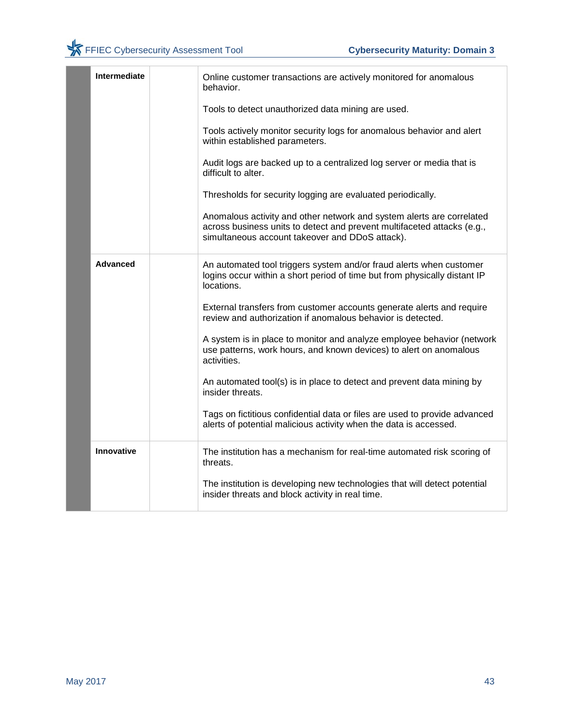|  | Intermediate    | Online customer transactions are actively monitored for anomalous<br>behavior.                                                                                                                      |
|--|-----------------|-----------------------------------------------------------------------------------------------------------------------------------------------------------------------------------------------------|
|  |                 | Tools to detect unauthorized data mining are used.                                                                                                                                                  |
|  |                 | Tools actively monitor security logs for anomalous behavior and alert<br>within established parameters.                                                                                             |
|  |                 | Audit logs are backed up to a centralized log server or media that is<br>difficult to alter.                                                                                                        |
|  |                 | Thresholds for security logging are evaluated periodically.                                                                                                                                         |
|  |                 | Anomalous activity and other network and system alerts are correlated<br>across business units to detect and prevent multifaceted attacks (e.g.,<br>simultaneous account takeover and DDoS attack). |
|  | <b>Advanced</b> | An automated tool triggers system and/or fraud alerts when customer<br>logins occur within a short period of time but from physically distant IP<br>locations.                                      |
|  |                 | External transfers from customer accounts generate alerts and require<br>review and authorization if anomalous behavior is detected.                                                                |
|  |                 | A system is in place to monitor and analyze employee behavior (network<br>use patterns, work hours, and known devices) to alert on anomalous<br>activities.                                         |
|  |                 | An automated tool(s) is in place to detect and prevent data mining by<br>insider threats.                                                                                                           |
|  |                 | Tags on fictitious confidential data or files are used to provide advanced<br>alerts of potential malicious activity when the data is accessed.                                                     |
|  | Innovative      | The institution has a mechanism for real-time automated risk scoring of<br>threats.                                                                                                                 |
|  |                 | The institution is developing new technologies that will detect potential<br>insider threats and block activity in real time.                                                                       |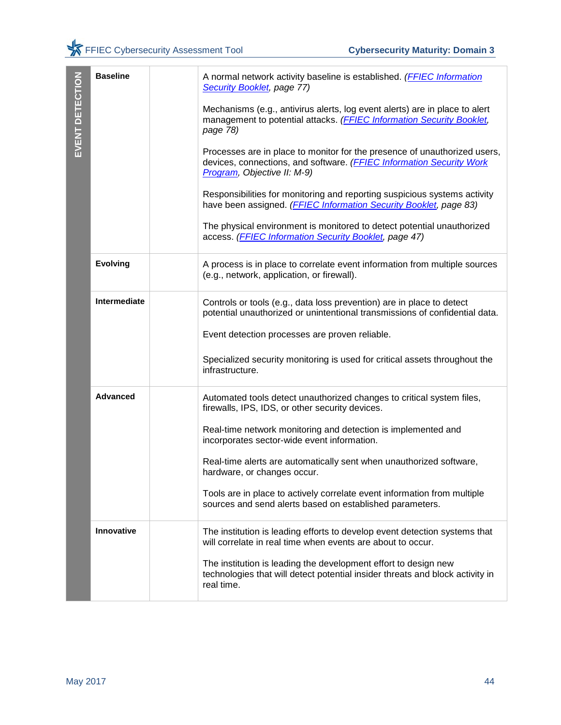| EVENT DETECTION | <b>Baseline</b> | A normal network activity baseline is established. (FFIEC Information<br>Security Booklet, page 77)                                                                              |
|-----------------|-----------------|----------------------------------------------------------------------------------------------------------------------------------------------------------------------------------|
|                 |                 | Mechanisms (e.g., antivirus alerts, log event alerts) are in place to alert<br>management to potential attacks. (FFIEC Information Security Booklet,<br>page 78)                 |
|                 |                 | Processes are in place to monitor for the presence of unauthorized users,<br>devices, connections, and software. (FFIEC Information Security Work<br>Program, Objective II: M-9) |
|                 |                 | Responsibilities for monitoring and reporting suspicious systems activity<br>have been assigned. (FFIEC Information Security Booklet, page 83)                                   |
|                 |                 | The physical environment is monitored to detect potential unauthorized<br>access. (FFIEC Information Security Booklet, page 47)                                                  |
|                 | <b>Evolving</b> | A process is in place to correlate event information from multiple sources<br>(e.g., network, application, or firewall).                                                         |
|                 | Intermediate    | Controls or tools (e.g., data loss prevention) are in place to detect<br>potential unauthorized or unintentional transmissions of confidential data.                             |
|                 |                 | Event detection processes are proven reliable.                                                                                                                                   |
|                 |                 | Specialized security monitoring is used for critical assets throughout the<br>infrastructure.                                                                                    |
|                 | <b>Advanced</b> | Automated tools detect unauthorized changes to critical system files,<br>firewalls, IPS, IDS, or other security devices.                                                         |
|                 |                 | Real-time network monitoring and detection is implemented and<br>incorporates sector-wide event information.                                                                     |
|                 |                 | Real-time alerts are automatically sent when unauthorized software,<br>hardware, or changes occur.                                                                               |
|                 |                 | Tools are in place to actively correlate event information from multiple<br>sources and send alerts based on established parameters.                                             |
|                 | Innovative      | The institution is leading efforts to develop event detection systems that<br>will correlate in real time when events are about to occur.                                        |
|                 |                 | The institution is leading the development effort to design new<br>technologies that will detect potential insider threats and block activity in<br>real time.                   |
|                 |                 |                                                                                                                                                                                  |
|                 |                 |                                                                                                                                                                                  |
|                 |                 |                                                                                                                                                                                  |
| May 2017        |                 | 44                                                                                                                                                                               |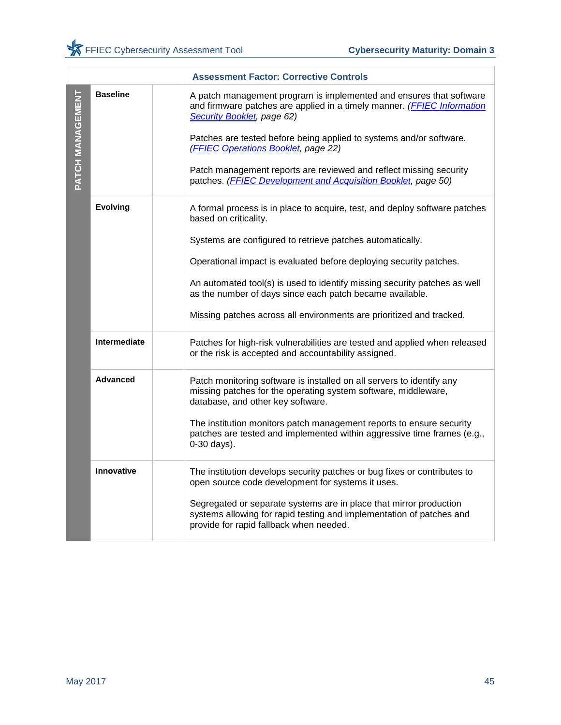|                  |                 | <b>Assessment Factor: Corrective Controls</b>                                                                                                                                                                                                                                                                                                                                                                                     |
|------------------|-----------------|-----------------------------------------------------------------------------------------------------------------------------------------------------------------------------------------------------------------------------------------------------------------------------------------------------------------------------------------------------------------------------------------------------------------------------------|
| PATCH MANAGEMENT | <b>Baseline</b> | A patch management program is implemented and ensures that software<br>and firmware patches are applied in a timely manner. (FFIEC Information<br>Security Booklet, page 62)<br>Patches are tested before being applied to systems and/or software.<br>(FFIEC Operations Booklet, page 22)<br>Patch management reports are reviewed and reflect missing security<br>patches. (FFIEC Development and Acquisition Booklet, page 50) |
|                  |                 |                                                                                                                                                                                                                                                                                                                                                                                                                                   |
|                  | <b>Evolving</b> | A formal process is in place to acquire, test, and deploy software patches<br>based on criticality.                                                                                                                                                                                                                                                                                                                               |
|                  |                 | Systems are configured to retrieve patches automatically.                                                                                                                                                                                                                                                                                                                                                                         |
|                  |                 | Operational impact is evaluated before deploying security patches.                                                                                                                                                                                                                                                                                                                                                                |
|                  |                 | An automated tool(s) is used to identify missing security patches as well<br>as the number of days since each patch became available.                                                                                                                                                                                                                                                                                             |
|                  |                 | Missing patches across all environments are prioritized and tracked.                                                                                                                                                                                                                                                                                                                                                              |
|                  | Intermediate    | Patches for high-risk vulnerabilities are tested and applied when released<br>or the risk is accepted and accountability assigned.                                                                                                                                                                                                                                                                                                |
|                  | <b>Advanced</b> | Patch monitoring software is installed on all servers to identify any<br>missing patches for the operating system software, middleware,<br>database, and other key software.                                                                                                                                                                                                                                                      |
|                  |                 | The institution monitors patch management reports to ensure security<br>patches are tested and implemented within aggressive time frames (e.g.,<br>0-30 days).                                                                                                                                                                                                                                                                    |
|                  | Innovative      | The institution develops security patches or bug fixes or contributes to<br>open source code development for systems it uses.                                                                                                                                                                                                                                                                                                     |
|                  |                 | Segregated or separate systems are in place that mirror production<br>systems allowing for rapid testing and implementation of patches and<br>provide for rapid fallback when needed.                                                                                                                                                                                                                                             |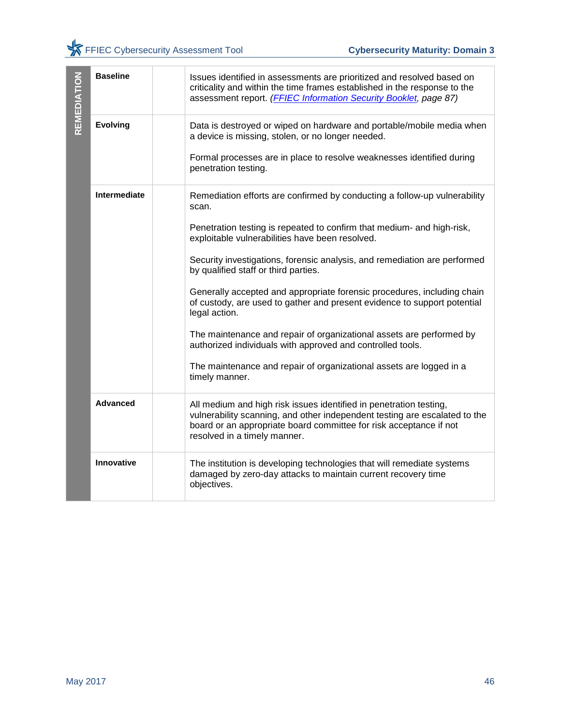| REMEDIATION     | <b>Baseline</b> | Issues identified in assessments are prioritized and resolved based on<br>criticality and within the time frames established in the response to the<br>assessment report. (FFIEC Information Security Booklet, page 87)                                |    |
|-----------------|-----------------|--------------------------------------------------------------------------------------------------------------------------------------------------------------------------------------------------------------------------------------------------------|----|
|                 | <b>Evolving</b> | Data is destroyed or wiped on hardware and portable/mobile media when<br>a device is missing, stolen, or no longer needed.                                                                                                                             |    |
|                 |                 | Formal processes are in place to resolve weaknesses identified during<br>penetration testing.                                                                                                                                                          |    |
|                 | Intermediate    | Remediation efforts are confirmed by conducting a follow-up vulnerability<br>scan.                                                                                                                                                                     |    |
|                 |                 | Penetration testing is repeated to confirm that medium- and high-risk,<br>exploitable vulnerabilities have been resolved.                                                                                                                              |    |
|                 |                 | Security investigations, forensic analysis, and remediation are performed<br>by qualified staff or third parties.                                                                                                                                      |    |
|                 |                 | Generally accepted and appropriate forensic procedures, including chain<br>of custody, are used to gather and present evidence to support potential<br>legal action.                                                                                   |    |
|                 |                 | The maintenance and repair of organizational assets are performed by<br>authorized individuals with approved and controlled tools.                                                                                                                     |    |
|                 |                 | The maintenance and repair of organizational assets are logged in a<br>timely manner.                                                                                                                                                                  |    |
|                 | <b>Advanced</b> | All medium and high risk issues identified in penetration testing,<br>vulnerability scanning, and other independent testing are escalated to the<br>board or an appropriate board committee for risk acceptance if not<br>resolved in a timely manner. |    |
|                 | Innovative      | The institution is developing technologies that will remediate systems<br>damaged by zero-day attacks to maintain current recovery time<br>objectives.                                                                                                 |    |
|                 |                 |                                                                                                                                                                                                                                                        |    |
| <b>May 2017</b> |                 |                                                                                                                                                                                                                                                        | 46 |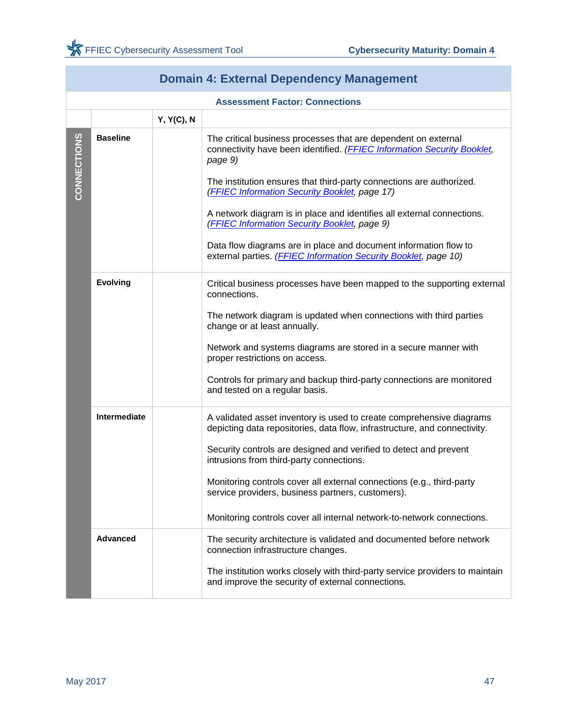<span id="page-48-0"></span>г

|             | <b>Domain 4: External Dependency Management</b> |            |                                                                                                                                                                                                                                                                                                                                                                                                                                                                                                                                                |  |
|-------------|-------------------------------------------------|------------|------------------------------------------------------------------------------------------------------------------------------------------------------------------------------------------------------------------------------------------------------------------------------------------------------------------------------------------------------------------------------------------------------------------------------------------------------------------------------------------------------------------------------------------------|--|
|             |                                                 |            | <b>Assessment Factor: Connections</b>                                                                                                                                                                                                                                                                                                                                                                                                                                                                                                          |  |
|             |                                                 | Y, Y(C), N |                                                                                                                                                                                                                                                                                                                                                                                                                                                                                                                                                |  |
| CONNECTIONS | <b>Baseline</b>                                 |            | The critical business processes that are dependent on external<br>connectivity have been identified. (FFIEC Information Security Booklet,<br>page 9)<br>The institution ensures that third-party connections are authorized.<br>(FFIEC Information Security Booklet, page 17)<br>A network diagram is in place and identifies all external connections.<br>(FFIEC Information Security Booklet, page 9)<br>Data flow diagrams are in place and document information flow to<br>external parties. (FFIEC Information Security Booklet, page 10) |  |
|             | <b>Evolving</b>                                 |            | Critical business processes have been mapped to the supporting external<br>connections.<br>The network diagram is updated when connections with third parties<br>change or at least annually.<br>Network and systems diagrams are stored in a secure manner with<br>proper restrictions on access.<br>Controls for primary and backup third-party connections are monitored<br>and tested on a regular basis.                                                                                                                                  |  |
|             | Intermediate                                    |            | A validated asset inventory is used to create comprehensive diagrams<br>depicting data repositories, data flow, infrastructure, and connectivity.<br>Security controls are designed and verified to detect and prevent<br>intrusions from third-party connections.<br>Monitoring controls cover all external connections (e.g., third-party<br>service providers, business partners, customers).<br>Monitoring controls cover all internal network-to-network connections.                                                                     |  |
|             | <b>Advanced</b>                                 |            | The security architecture is validated and documented before network<br>connection infrastructure changes.<br>The institution works closely with third-party service providers to maintain<br>and improve the security of external connections.                                                                                                                                                                                                                                                                                                |  |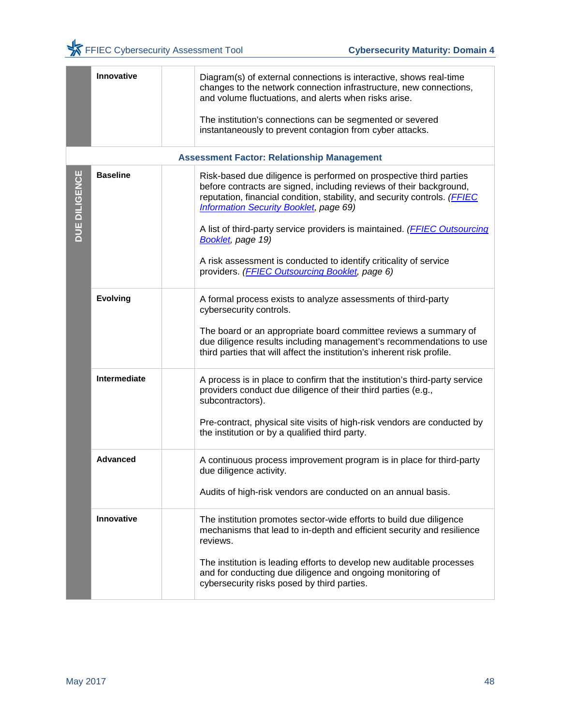|               | Innovative        | Diagram(s) of external connections is interactive, shows real-time<br>changes to the network connection infrastructure, new connections,<br>and volume fluctuations, and alerts when risks arise.<br>The institution's connections can be segmented or severed<br>instantaneously to prevent contagion from cyber attacks. |
|---------------|-------------------|----------------------------------------------------------------------------------------------------------------------------------------------------------------------------------------------------------------------------------------------------------------------------------------------------------------------------|
|               |                   | <b>Assessment Factor: Relationship Management</b>                                                                                                                                                                                                                                                                          |
| DUE DILIGENCE | <b>Baseline</b>   | Risk-based due diligence is performed on prospective third parties<br>before contracts are signed, including reviews of their background,<br>reputation, financial condition, stability, and security controls. (FFIEC<br><b>Information Security Booklet, page 69)</b>                                                    |
|               |                   | A list of third-party service providers is maintained. (FFIEC Outsourcing<br><b>Booklet</b> , page 19)                                                                                                                                                                                                                     |
|               |                   | A risk assessment is conducted to identify criticality of service<br>providers. (FFIEC Outsourcing Booklet, page 6)                                                                                                                                                                                                        |
|               | <b>Evolving</b>   | A formal process exists to analyze assessments of third-party<br>cybersecurity controls.                                                                                                                                                                                                                                   |
|               |                   | The board or an appropriate board committee reviews a summary of<br>due diligence results including management's recommendations to use<br>third parties that will affect the institution's inherent risk profile.                                                                                                         |
|               | Intermediate      | A process is in place to confirm that the institution's third-party service<br>providers conduct due diligence of their third parties (e.g.,<br>subcontractors).                                                                                                                                                           |
|               |                   | Pre-contract, physical site visits of high-risk vendors are conducted by<br>the institution or by a qualified third party.                                                                                                                                                                                                 |
|               | <b>Advanced</b>   | A continuous process improvement program is in place for third-party<br>due diligence activity.                                                                                                                                                                                                                            |
|               |                   | Audits of high-risk vendors are conducted on an annual basis.                                                                                                                                                                                                                                                              |
|               | <b>Innovative</b> | The institution promotes sector-wide efforts to build due diligence<br>mechanisms that lead to in-depth and efficient security and resilience<br>reviews.                                                                                                                                                                  |
|               |                   | The institution is leading efforts to develop new auditable processes<br>and for conducting due diligence and ongoing monitoring of<br>cybersecurity risks posed by third parties.                                                                                                                                         |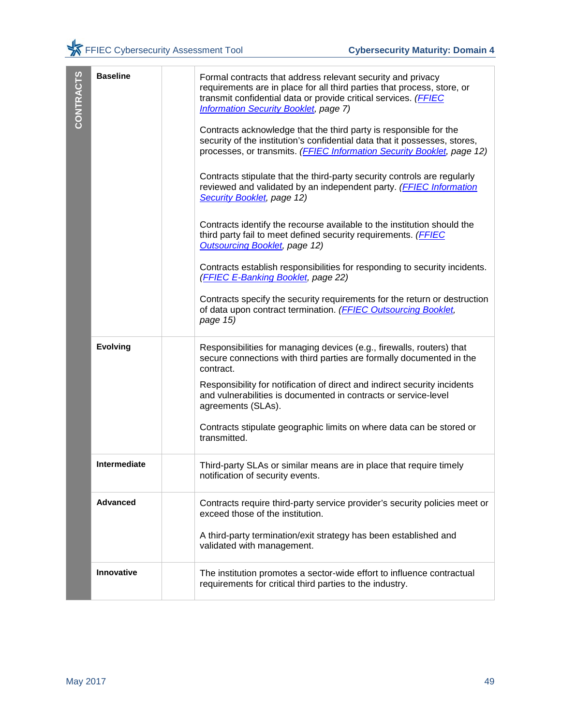| CONTRACTS | <b>Baseline</b>     | Formal contracts that address relevant security and privacy<br>requirements are in place for all third parties that process, store, or<br>transmit confidential data or provide critical services. (FFIEC<br><b>Information Security Booklet, page 7)</b><br>Contracts acknowledge that the third party is responsible for the<br>security of the institution's confidential data that it possesses, stores,<br>processes, or transmits. (FFIEC Information Security Booklet, page 12)<br>Contracts stipulate that the third-party security controls are regularly<br>reviewed and validated by an independent party. ( <b>FFIEC Information</b><br>Security Booklet, page 12)<br>Contracts identify the recourse available to the institution should the<br>third party fail to meet defined security requirements. (FFIEC<br><b>Outsourcing Booklet, page 12)</b><br>Contracts establish responsibilities for responding to security incidents.<br>(FFIEC E-Banking Booklet, page 22)<br>Contracts specify the security requirements for the return or destruction<br>of data upon contract termination. (FFIEC Outsourcing Booklet,<br>page 15) |
|-----------|---------------------|----------------------------------------------------------------------------------------------------------------------------------------------------------------------------------------------------------------------------------------------------------------------------------------------------------------------------------------------------------------------------------------------------------------------------------------------------------------------------------------------------------------------------------------------------------------------------------------------------------------------------------------------------------------------------------------------------------------------------------------------------------------------------------------------------------------------------------------------------------------------------------------------------------------------------------------------------------------------------------------------------------------------------------------------------------------------------------------------------------------------------------------------------|
|           | <b>Evolving</b>     | Responsibilities for managing devices (e.g., firewalls, routers) that<br>secure connections with third parties are formally documented in the<br>contract.<br>Responsibility for notification of direct and indirect security incidents<br>and vulnerabilities is documented in contracts or service-level<br>agreements (SLAs).<br>Contracts stipulate geographic limits on where data can be stored or<br>transmitted.                                                                                                                                                                                                                                                                                                                                                                                                                                                                                                                                                                                                                                                                                                                           |
|           | <b>Intermediate</b> | Third-party SLAs or similar means are in place that require timely<br>notification of security events.                                                                                                                                                                                                                                                                                                                                                                                                                                                                                                                                                                                                                                                                                                                                                                                                                                                                                                                                                                                                                                             |
|           | <b>Advanced</b>     | Contracts require third-party service provider's security policies meet or<br>exceed those of the institution.<br>A third-party termination/exit strategy has been established and<br>validated with management.                                                                                                                                                                                                                                                                                                                                                                                                                                                                                                                                                                                                                                                                                                                                                                                                                                                                                                                                   |
|           | Innovative          | The institution promotes a sector-wide effort to influence contractual<br>requirements for critical third parties to the industry.                                                                                                                                                                                                                                                                                                                                                                                                                                                                                                                                                                                                                                                                                                                                                                                                                                                                                                                                                                                                                 |
| May 2017  |                     | 49                                                                                                                                                                                                                                                                                                                                                                                                                                                                                                                                                                                                                                                                                                                                                                                                                                                                                                                                                                                                                                                                                                                                                 |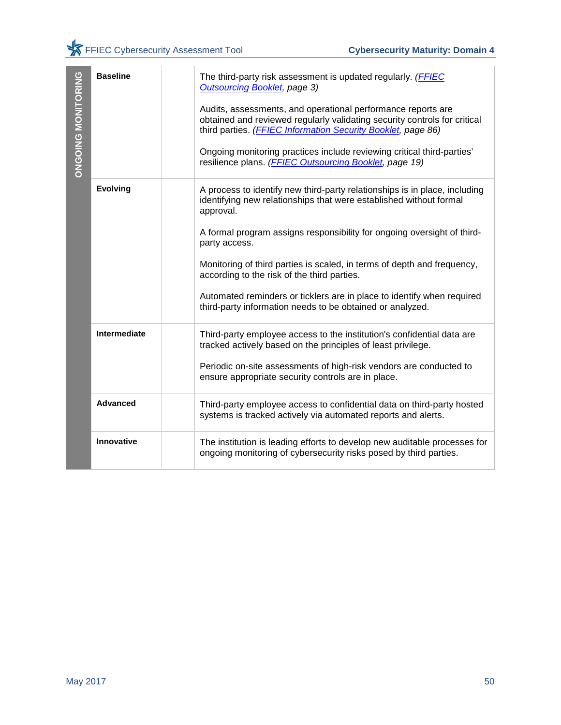| <b>ONGOING MONITORING</b> | <b>Baseline</b>     | The third-party risk assessment is updated regularly. ( <b>FFIEC</b><br><b>Outsourcing Booklet, page 3)</b>                                                                                               |    |
|---------------------------|---------------------|-----------------------------------------------------------------------------------------------------------------------------------------------------------------------------------------------------------|----|
|                           |                     | Audits, assessments, and operational performance reports are<br>obtained and reviewed regularly validating security controls for critical<br>third parties. (FFIEC Information Security Booklet, page 86) |    |
|                           |                     | Ongoing monitoring practices include reviewing critical third-parties'<br>resilience plans. (FFIEC Outsourcing Booklet, page 19)                                                                          |    |
|                           | <b>Evolving</b>     | A process to identify new third-party relationships is in place, including<br>identifying new relationships that were established without formal<br>approval.                                             |    |
|                           |                     | A formal program assigns responsibility for ongoing oversight of third-<br>party access.                                                                                                                  |    |
|                           |                     | Monitoring of third parties is scaled, in terms of depth and frequency,<br>according to the risk of the third parties.                                                                                    |    |
|                           |                     | Automated reminders or ticklers are in place to identify when required<br>third-party information needs to be obtained or analyzed.                                                                       |    |
|                           | <b>Intermediate</b> | Third-party employee access to the institution's confidential data are<br>tracked actively based on the principles of least privilege.                                                                    |    |
|                           |                     | Periodic on-site assessments of high-risk vendors are conducted to<br>ensure appropriate security controls are in place.                                                                                  |    |
|                           | <b>Advanced</b>     | Third-party employee access to confidential data on third-party hosted<br>systems is tracked actively via automated reports and alerts.                                                                   |    |
|                           | Innovative          | The institution is leading efforts to develop new auditable processes for<br>ongoing monitoring of cybersecurity risks posed by third parties.                                                            |    |
|                           |                     |                                                                                                                                                                                                           |    |
|                           |                     |                                                                                                                                                                                                           |    |
|                           |                     |                                                                                                                                                                                                           |    |
|                           |                     |                                                                                                                                                                                                           |    |
|                           |                     |                                                                                                                                                                                                           |    |
| May 2017                  |                     |                                                                                                                                                                                                           | 50 |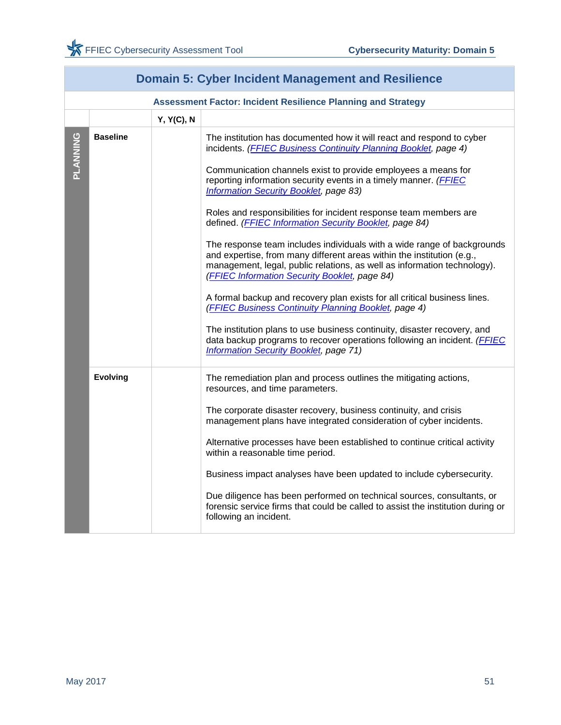<span id="page-52-0"></span>

|          | <b>Domain 5: Cyber Incident Management and Resilience</b> |                   |                                                                                                                                                                                                                                                                                                                                                                                                                                                                                                                                                                                                                                                                                                                                                                                                                                                                                                                                                                                                                                                                                        |  |  |
|----------|-----------------------------------------------------------|-------------------|----------------------------------------------------------------------------------------------------------------------------------------------------------------------------------------------------------------------------------------------------------------------------------------------------------------------------------------------------------------------------------------------------------------------------------------------------------------------------------------------------------------------------------------------------------------------------------------------------------------------------------------------------------------------------------------------------------------------------------------------------------------------------------------------------------------------------------------------------------------------------------------------------------------------------------------------------------------------------------------------------------------------------------------------------------------------------------------|--|--|
|          |                                                           |                   | <b>Assessment Factor: Incident Resilience Planning and Strategy</b>                                                                                                                                                                                                                                                                                                                                                                                                                                                                                                                                                                                                                                                                                                                                                                                                                                                                                                                                                                                                                    |  |  |
|          |                                                           | <b>Y, Y(C), N</b> |                                                                                                                                                                                                                                                                                                                                                                                                                                                                                                                                                                                                                                                                                                                                                                                                                                                                                                                                                                                                                                                                                        |  |  |
| PLANNING | <b>Baseline</b>                                           |                   | The institution has documented how it will react and respond to cyber<br>incidents. (FFIEC Business Continuity Planning Booklet, page 4)<br>Communication channels exist to provide employees a means for<br>reporting information security events in a timely manner. (FFIEC<br>Information Security Booklet, page 83)<br>Roles and responsibilities for incident response team members are<br>defined. (FFIEC Information Security Booklet, page 84)<br>The response team includes individuals with a wide range of backgrounds<br>and expertise, from many different areas within the institution (e.g.,<br>management, legal, public relations, as well as information technology).<br>(FFIEC Information Security Booklet, page 84)<br>A formal backup and recovery plan exists for all critical business lines.<br>(FFIEC Business Continuity Planning Booklet, page 4)<br>The institution plans to use business continuity, disaster recovery, and<br>data backup programs to recover operations following an incident. (FFIEC<br><b>Information Security Booklet, page 71)</b> |  |  |
|          | <b>Evolving</b>                                           |                   | The remediation plan and process outlines the mitigating actions,<br>resources, and time parameters.<br>The corporate disaster recovery, business continuity, and crisis<br>management plans have integrated consideration of cyber incidents.<br>Alternative processes have been established to continue critical activity<br>within a reasonable time period.<br>Business impact analyses have been updated to include cybersecurity.<br>Due diligence has been performed on technical sources, consultants, or<br>forensic service firms that could be called to assist the institution during or<br>following an incident.                                                                                                                                                                                                                                                                                                                                                                                                                                                         |  |  |

## **Domain 5: Cyber Incident Management and Resilience**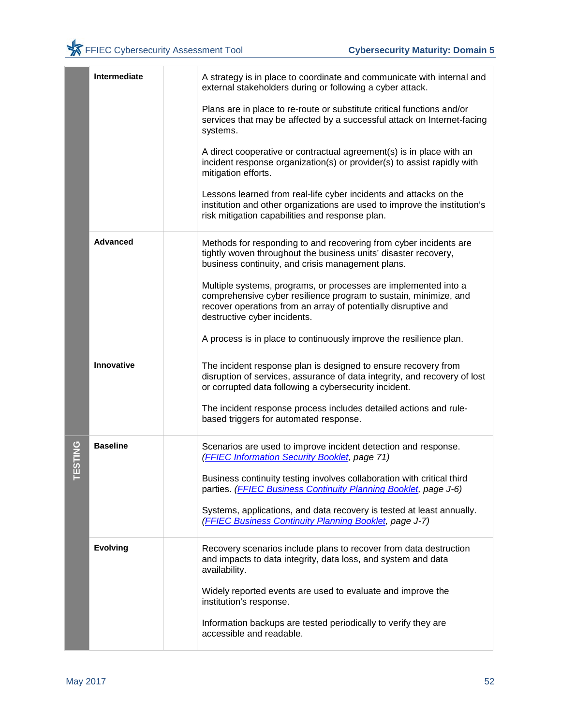|        | Intermediate    | A strategy is in place to coordinate and communicate with internal and<br>external stakeholders during or following a cyber attack.                                                                                                   |
|--------|-----------------|---------------------------------------------------------------------------------------------------------------------------------------------------------------------------------------------------------------------------------------|
|        |                 | Plans are in place to re-route or substitute critical functions and/or<br>services that may be affected by a successful attack on Internet-facing<br>systems.                                                                         |
|        |                 | A direct cooperative or contractual agreement(s) is in place with an<br>incident response organization(s) or provider(s) to assist rapidly with<br>mitigation efforts.                                                                |
|        |                 | Lessons learned from real-life cyber incidents and attacks on the<br>institution and other organizations are used to improve the institution's<br>risk mitigation capabilities and response plan.                                     |
|        | <b>Advanced</b> | Methods for responding to and recovering from cyber incidents are<br>tightly woven throughout the business units' disaster recovery,<br>business continuity, and crisis management plans.                                             |
|        |                 | Multiple systems, programs, or processes are implemented into a<br>comprehensive cyber resilience program to sustain, minimize, and<br>recover operations from an array of potentially disruptive and<br>destructive cyber incidents. |
|        |                 | A process is in place to continuously improve the resilience plan.                                                                                                                                                                    |
|        | Innovative      | The incident response plan is designed to ensure recovery from<br>disruption of services, assurance of data integrity, and recovery of lost<br>or corrupted data following a cybersecurity incident.                                  |
|        |                 | The incident response process includes detailed actions and rule-<br>based triggers for automated response.                                                                                                                           |
| ESTING | <b>Baseline</b> | Scenarios are used to improve incident detection and response.<br>(FFIEC Information Security Booklet, page 71)                                                                                                                       |
|        |                 | Business continuity testing involves collaboration with critical third<br>parties. (FFIEC Business Continuity Planning Booklet, page J-6)                                                                                             |
|        |                 | Systems, applications, and data recovery is tested at least annually.<br>(FFIEC Business Continuity Planning Booklet, page J-7)                                                                                                       |
|        | <b>Evolving</b> | Recovery scenarios include plans to recover from data destruction<br>and impacts to data integrity, data loss, and system and data<br>availability.                                                                                   |
|        |                 | Widely reported events are used to evaluate and improve the<br>institution's response.                                                                                                                                                |
|        |                 | Information backups are tested periodically to verify they are<br>accessible and readable.                                                                                                                                            |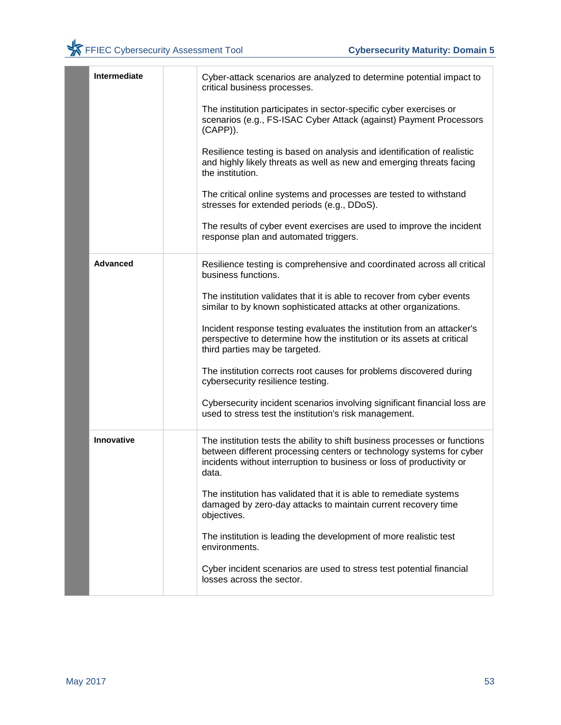| <b>Intermediate</b> | Cyber-attack scenarios are analyzed to determine potential impact to<br>critical business processes.                                                                                                                                 |
|---------------------|--------------------------------------------------------------------------------------------------------------------------------------------------------------------------------------------------------------------------------------|
|                     | The institution participates in sector-specific cyber exercises or<br>scenarios (e.g., FS-ISAC Cyber Attack (against) Payment Processors<br>$(CAPP)$ ).                                                                              |
|                     | Resilience testing is based on analysis and identification of realistic<br>and highly likely threats as well as new and emerging threats facing<br>the institution.                                                                  |
|                     | The critical online systems and processes are tested to withstand<br>stresses for extended periods (e.g., DDoS).                                                                                                                     |
|                     | The results of cyber event exercises are used to improve the incident<br>response plan and automated triggers.                                                                                                                       |
| <b>Advanced</b>     | Resilience testing is comprehensive and coordinated across all critical<br>business functions.                                                                                                                                       |
|                     | The institution validates that it is able to recover from cyber events<br>similar to by known sophisticated attacks at other organizations.                                                                                          |
|                     | Incident response testing evaluates the institution from an attacker's<br>perspective to determine how the institution or its assets at critical<br>third parties may be targeted.                                                   |
|                     | The institution corrects root causes for problems discovered during<br>cybersecurity resilience testing.                                                                                                                             |
|                     | Cybersecurity incident scenarios involving significant financial loss are<br>used to stress test the institution's risk management.                                                                                                  |
| Innovative          | The institution tests the ability to shift business processes or functions<br>between different processing centers or technology systems for cyber<br>incidents without interruption to business or loss of productivity or<br>data. |
|                     | The institution has validated that it is able to remediate systems<br>damaged by zero-day attacks to maintain current recovery time<br>objectives.                                                                                   |
|                     | The institution is leading the development of more realistic test<br>environments.                                                                                                                                                   |
|                     | Cyber incident scenarios are used to stress test potential financial<br>losses across the sector.                                                                                                                                    |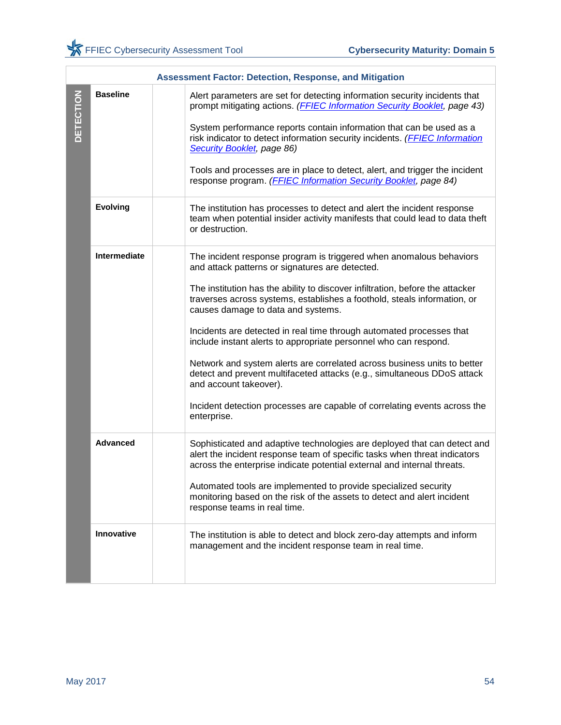|                  | <b>Assessment Factor: Detection, Response, and Mitigation</b> |                                                                                                                                                                                                                                                                                                                                                                                                                                                                                                                                                                                                                                                                                                                                                    |  |
|------------------|---------------------------------------------------------------|----------------------------------------------------------------------------------------------------------------------------------------------------------------------------------------------------------------------------------------------------------------------------------------------------------------------------------------------------------------------------------------------------------------------------------------------------------------------------------------------------------------------------------------------------------------------------------------------------------------------------------------------------------------------------------------------------------------------------------------------------|--|
| <b>DETECTION</b> | <b>Baseline</b>                                               | Alert parameters are set for detecting information security incidents that<br>prompt mitigating actions. (FFIEC Information Security Booklet, page 43)<br>System performance reports contain information that can be used as a<br>risk indicator to detect information security incidents. (FFIEC Information<br>Security Booklet, page 86)<br>Tools and processes are in place to detect, alert, and trigger the incident<br>response program. (FFIEC Information Security Booklet, page 84)                                                                                                                                                                                                                                                      |  |
|                  | <b>Evolving</b>                                               | The institution has processes to detect and alert the incident response<br>team when potential insider activity manifests that could lead to data theft<br>or destruction.                                                                                                                                                                                                                                                                                                                                                                                                                                                                                                                                                                         |  |
|                  | Intermediate                                                  | The incident response program is triggered when anomalous behaviors<br>and attack patterns or signatures are detected.<br>The institution has the ability to discover infiltration, before the attacker<br>traverses across systems, establishes a foothold, steals information, or<br>causes damage to data and systems.<br>Incidents are detected in real time through automated processes that<br>include instant alerts to appropriate personnel who can respond.<br>Network and system alerts are correlated across business units to better<br>detect and prevent multifaceted attacks (e.g., simultaneous DDoS attack<br>and account takeover).<br>Incident detection processes are capable of correlating events across the<br>enterprise. |  |
|                  | <b>Advanced</b>                                               | Sophisticated and adaptive technologies are deployed that can detect and<br>alert the incident response team of specific tasks when threat indicators<br>across the enterprise indicate potential external and internal threats.<br>Automated tools are implemented to provide specialized security<br>monitoring based on the risk of the assets to detect and alert incident<br>response teams in real time.                                                                                                                                                                                                                                                                                                                                     |  |
|                  | Innovative                                                    | The institution is able to detect and block zero-day attempts and inform<br>management and the incident response team in real time.                                                                                                                                                                                                                                                                                                                                                                                                                                                                                                                                                                                                                |  |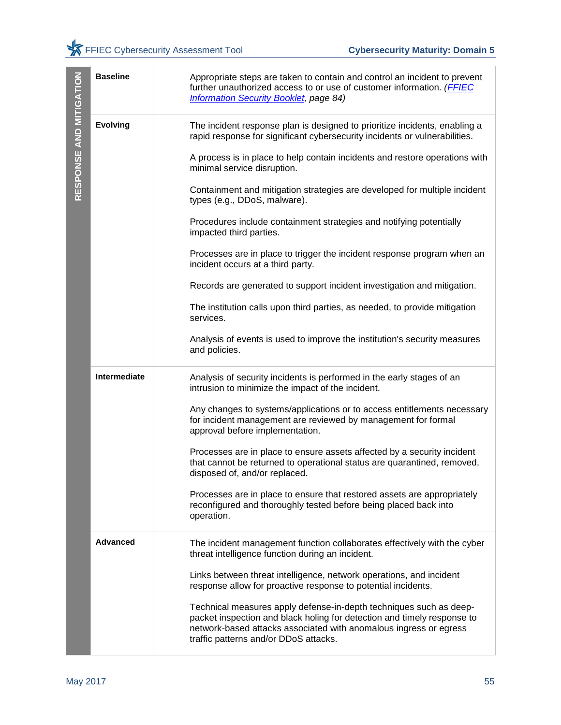| RESPONSE AND MITIGATION | <b>Baseline</b> | Appropriate steps are taken to contain and control an incident to prevent<br>further unauthorized access to or use of customer information. (FFIEC<br>Information Security Booklet, page 84)                                                                |    |
|-------------------------|-----------------|-------------------------------------------------------------------------------------------------------------------------------------------------------------------------------------------------------------------------------------------------------------|----|
|                         | <b>Evolving</b> | The incident response plan is designed to prioritize incidents, enabling a<br>rapid response for significant cybersecurity incidents or vulnerabilities.                                                                                                    |    |
|                         |                 | A process is in place to help contain incidents and restore operations with<br>minimal service disruption.                                                                                                                                                  |    |
|                         |                 | Containment and mitigation strategies are developed for multiple incident<br>types (e.g., DDoS, malware).                                                                                                                                                   |    |
|                         |                 | Procedures include containment strategies and notifying potentially<br>impacted third parties.                                                                                                                                                              |    |
|                         |                 | Processes are in place to trigger the incident response program when an<br>incident occurs at a third party.                                                                                                                                                |    |
|                         |                 | Records are generated to support incident investigation and mitigation.                                                                                                                                                                                     |    |
|                         |                 | The institution calls upon third parties, as needed, to provide mitigation<br>services.                                                                                                                                                                     |    |
|                         |                 | Analysis of events is used to improve the institution's security measures<br>and policies.                                                                                                                                                                  |    |
|                         | Intermediate    | Analysis of security incidents is performed in the early stages of an<br>intrusion to minimize the impact of the incident.                                                                                                                                  |    |
|                         |                 | Any changes to systems/applications or to access entitlements necessary<br>for incident management are reviewed by management for formal<br>approval before implementation.                                                                                 |    |
|                         |                 | Processes are in place to ensure assets affected by a security incident<br>that cannot be returned to operational status are quarantined, removed,<br>disposed of, and/or replaced.                                                                         |    |
|                         |                 | Processes are in place to ensure that restored assets are appropriately<br>reconfigured and thoroughly tested before being placed back into<br>operation.                                                                                                   |    |
|                         | Advanced        | The incident management function collaborates effectively with the cyber<br>threat intelligence function during an incident.                                                                                                                                |    |
|                         |                 | Links between threat intelligence, network operations, and incident<br>response allow for proactive response to potential incidents.                                                                                                                        |    |
|                         |                 | Technical measures apply defense-in-depth techniques such as deep-<br>packet inspection and black holing for detection and timely response to<br>network-based attacks associated with anomalous ingress or egress<br>traffic patterns and/or DDoS attacks. |    |
|                         |                 |                                                                                                                                                                                                                                                             |    |
| May 2017                |                 |                                                                                                                                                                                                                                                             | 55 |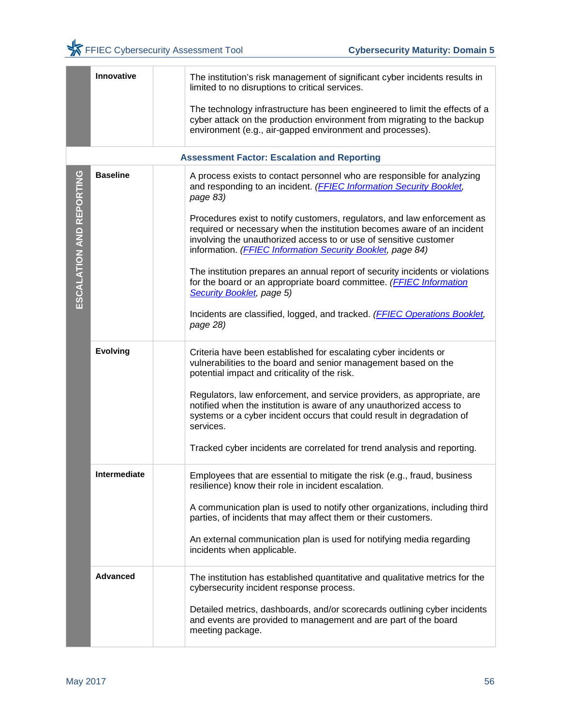|                          | Innovative      | The institution's risk management of significant cyber incidents results in<br>limited to no disruptions to critical services.                                                                                                         |
|--------------------------|-----------------|----------------------------------------------------------------------------------------------------------------------------------------------------------------------------------------------------------------------------------------|
|                          |                 | The technology infrastructure has been engineered to limit the effects of a<br>cyber attack on the production environment from migrating to the backup<br>environment (e.g., air-gapped environment and processes).                    |
|                          |                 | <b>Assessment Factor: Escalation and Reporting</b>                                                                                                                                                                                     |
| ESCALATION AND REPORTING | <b>Baseline</b> | A process exists to contact personnel who are responsible for analyzing<br>and responding to an incident. (FFIEC Information Security Booklet,<br>page 83)<br>Procedures exist to notify customers, regulators, and law enforcement as |
|                          |                 | required or necessary when the institution becomes aware of an incident<br>involving the unauthorized access to or use of sensitive customer<br>information. ( <b>FFIEC Information Security Booklet</b> , page 84)                    |
|                          |                 | The institution prepares an annual report of security incidents or violations<br>for the board or an appropriate board committee. (FFIEC Information<br>Security Booklet, page 5)                                                      |
|                          |                 | Incidents are classified, logged, and tracked. ( <b>FFIEC Operations Booklet</b> ,<br>page 28)                                                                                                                                         |
|                          | <b>Evolving</b> | Criteria have been established for escalating cyber incidents or<br>vulnerabilities to the board and senior management based on the<br>potential impact and criticality of the risk.                                                   |
|                          |                 | Regulators, law enforcement, and service providers, as appropriate, are<br>notified when the institution is aware of any unauthorized access to<br>systems or a cyber incident occurs that could result in degradation of<br>services. |
|                          |                 | Tracked cyber incidents are correlated for trend analysis and reporting.                                                                                                                                                               |
|                          | Intermediate    | Employees that are essential to mitigate the risk (e.g., fraud, business<br>resilience) know their role in incident escalation.                                                                                                        |
|                          |                 | A communication plan is used to notify other organizations, including third<br>parties, of incidents that may affect them or their customers.                                                                                          |
|                          |                 | An external communication plan is used for notifying media regarding<br>incidents when applicable.                                                                                                                                     |
|                          | <b>Advanced</b> | The institution has established quantitative and qualitative metrics for the<br>cybersecurity incident response process.                                                                                                               |
|                          |                 | Detailed metrics, dashboards, and/or scorecards outlining cyber incidents<br>and events are provided to management and are part of the board<br>meeting package.                                                                       |